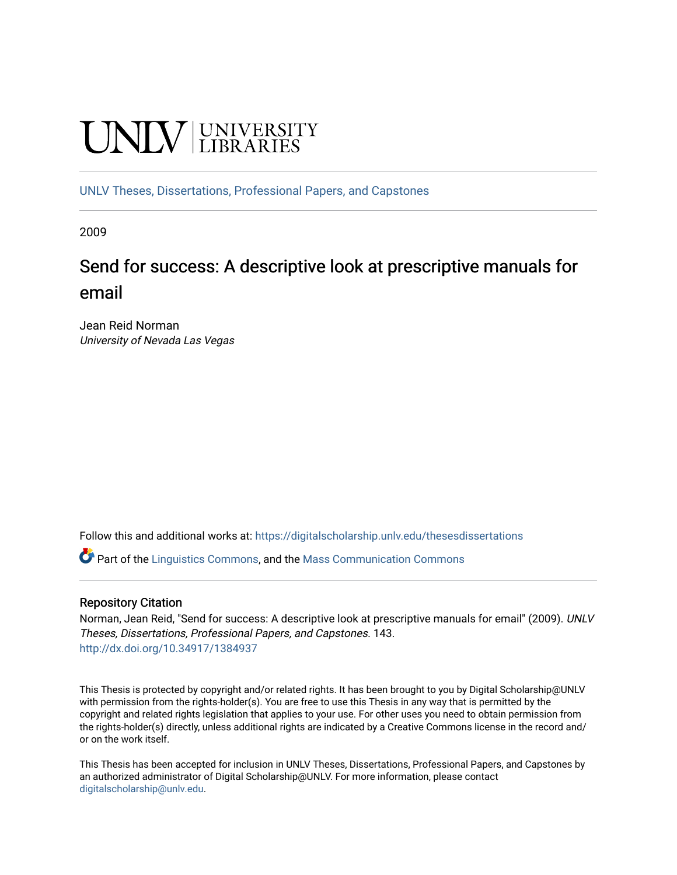# **UNIVERSITY**

[UNLV Theses, Dissertations, Professional Papers, and Capstones](https://digitalscholarship.unlv.edu/thesesdissertations)

2009

## Send for success: A descriptive look at prescriptive manuals for email

Jean Reid Norman University of Nevada Las Vegas

Follow this and additional works at: [https://digitalscholarship.unlv.edu/thesesdissertations](https://digitalscholarship.unlv.edu/thesesdissertations?utm_source=digitalscholarship.unlv.edu%2Fthesesdissertations%2F143&utm_medium=PDF&utm_campaign=PDFCoverPages)

Part of the [Linguistics Commons,](http://network.bepress.com/hgg/discipline/371?utm_source=digitalscholarship.unlv.edu%2Fthesesdissertations%2F143&utm_medium=PDF&utm_campaign=PDFCoverPages) and the [Mass Communication Commons](http://network.bepress.com/hgg/discipline/334?utm_source=digitalscholarship.unlv.edu%2Fthesesdissertations%2F143&utm_medium=PDF&utm_campaign=PDFCoverPages)

#### Repository Citation

Norman, Jean Reid, "Send for success: A descriptive look at prescriptive manuals for email" (2009). UNLV Theses, Dissertations, Professional Papers, and Capstones. 143. <http://dx.doi.org/10.34917/1384937>

This Thesis is protected by copyright and/or related rights. It has been brought to you by Digital Scholarship@UNLV with permission from the rights-holder(s). You are free to use this Thesis in any way that is permitted by the copyright and related rights legislation that applies to your use. For other uses you need to obtain permission from the rights-holder(s) directly, unless additional rights are indicated by a Creative Commons license in the record and/ or on the work itself.

This Thesis has been accepted for inclusion in UNLV Theses, Dissertations, Professional Papers, and Capstones by an authorized administrator of Digital Scholarship@UNLV. For more information, please contact [digitalscholarship@unlv.edu](mailto:digitalscholarship@unlv.edu).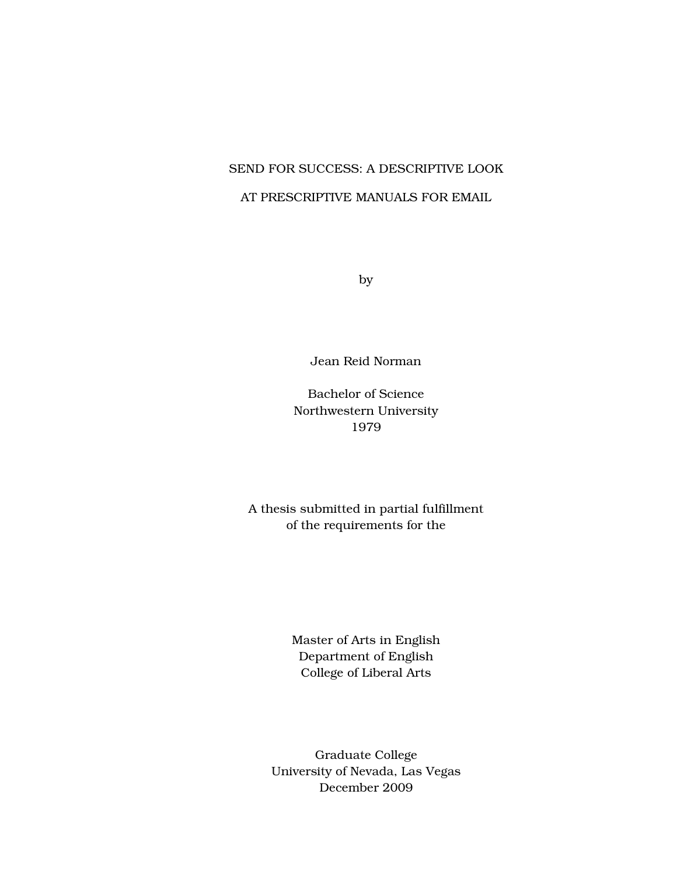## SEND FOR SUCCESS: A DESCRIPTIVE LOOK AT PRESCRIPTIVE MANUALS FOR EMAIL

by

Jean Reid Norman

Bachelor of Science Northwestern University 1979

A thesis submitted in partial fulfillment of the requirements for the

> Master of Arts in English Department of English College of Liberal Arts

Graduate College University of Nevada, Las Vegas December 2009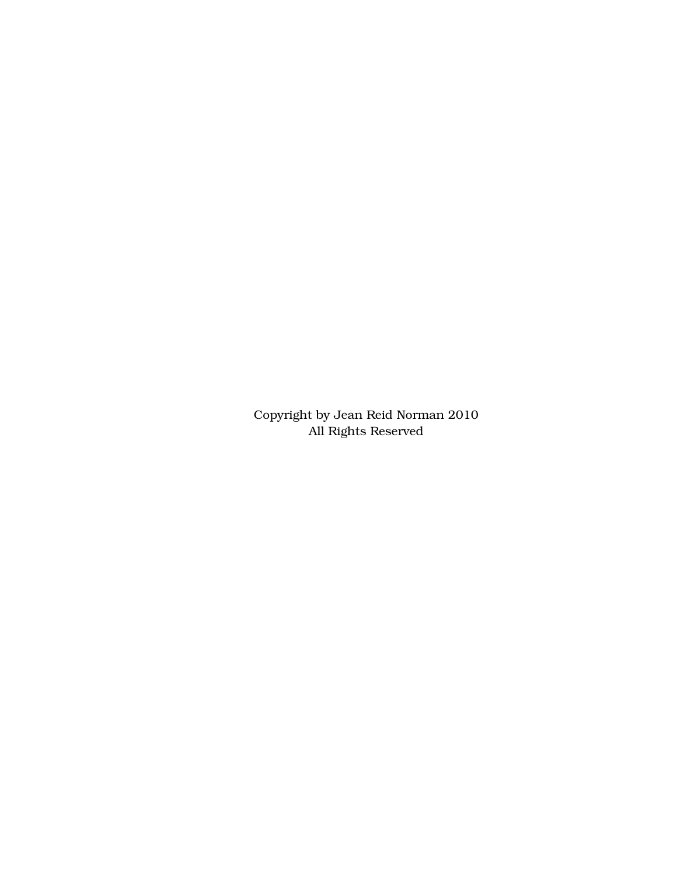Copyright by Jean Reid Norman 2010 All Rights Reserved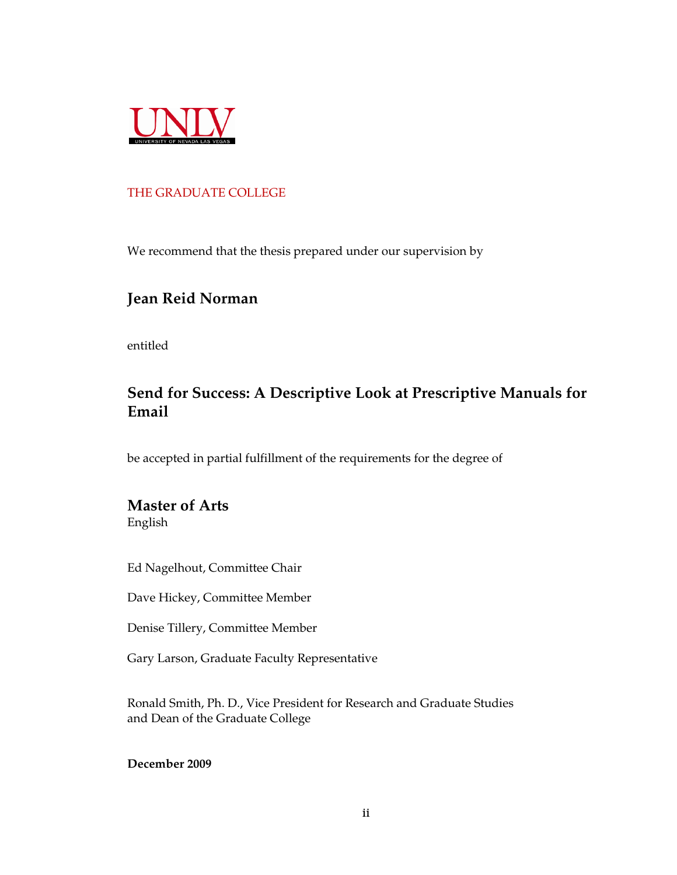

#### THE GRADUATE COLLEGE

We recommend that the thesis prepared under our supervision by

### **Jean Reid Norman**

entitled

## **Send for Success: A Descriptive Look at Prescriptive Manuals for Email**

be accepted in partial fulfillment of the requirements for the degree of

# **Master of Arts**

English

Ed Nagelhout, Committee Chair

Dave Hickey, Committee Member

Denise Tillery, Committee Member

Gary Larson, Graduate Faculty Representative

Ronald Smith, Ph. D., Vice President for Research and Graduate Studies and Dean of the Graduate College

**December 2009**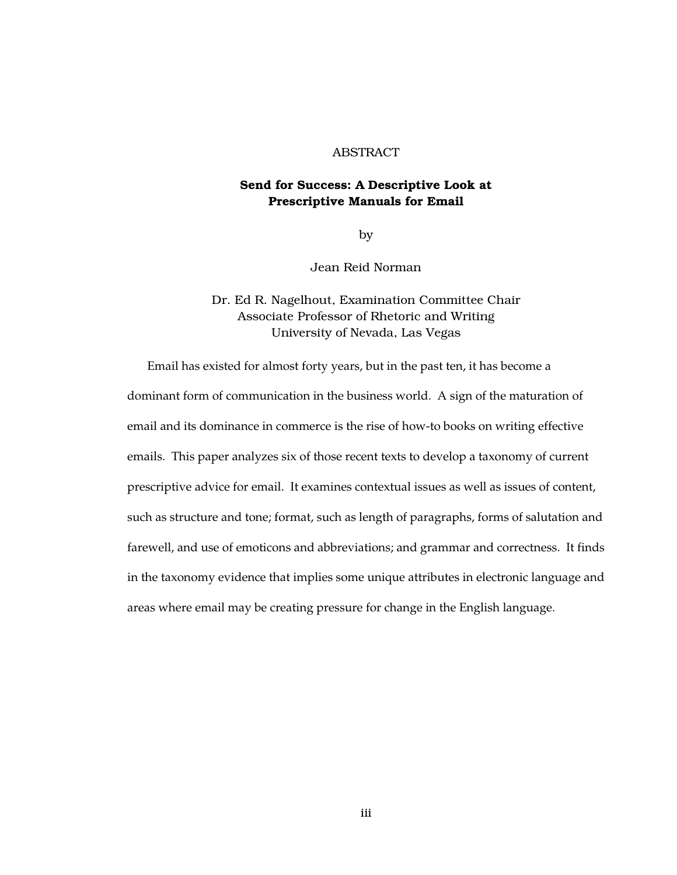#### ABSTRACT

#### Send for Success: A Descriptive Look at Prescriptive Manuals for Email

by

Jean Reid Norman

#### Dr. Ed R. Nagelhout, Examination Committee Chair Associate Professor of Rhetoric and Writing University of Nevada, Las Vegas

Email has existed for almost forty years, but in the past ten, it has become a dominant form of communication in the business world. A sign of the maturation of email and its dominance in commerce is the rise of how-to books on writing effective emails. This paper analyzes six of those recent texts to develop a taxonomy of current prescriptive advice for email. It examines contextual issues as well as issues of content, such as structure and tone; format, such as length of paragraphs, forms of salutation and farewell, and use of emoticons and abbreviations; and grammar and correctness. It finds in the taxonomy evidence that implies some unique attributes in electronic language and areas where email may be creating pressure for change in the English language.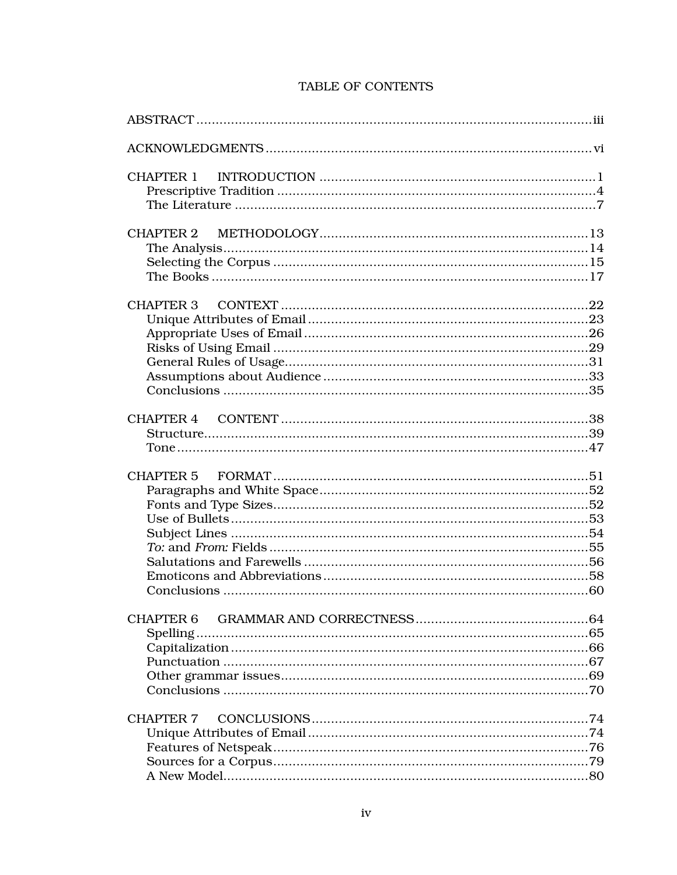| <b>CHAPTER 1</b> |  |
|------------------|--|
|                  |  |
|                  |  |
|                  |  |
|                  |  |
|                  |  |
|                  |  |
|                  |  |
|                  |  |
|                  |  |
|                  |  |
|                  |  |
|                  |  |
|                  |  |
|                  |  |
| <b>CHAPTER 4</b> |  |
|                  |  |
|                  |  |
|                  |  |
|                  |  |
|                  |  |
|                  |  |
|                  |  |
|                  |  |
|                  |  |
|                  |  |
|                  |  |
|                  |  |
| <b>CHAPTER 6</b> |  |
|                  |  |
|                  |  |
|                  |  |
|                  |  |
|                  |  |
| <b>CHAPTER 7</b> |  |
|                  |  |
|                  |  |
|                  |  |
|                  |  |
|                  |  |

#### TABLE OF CONTENTS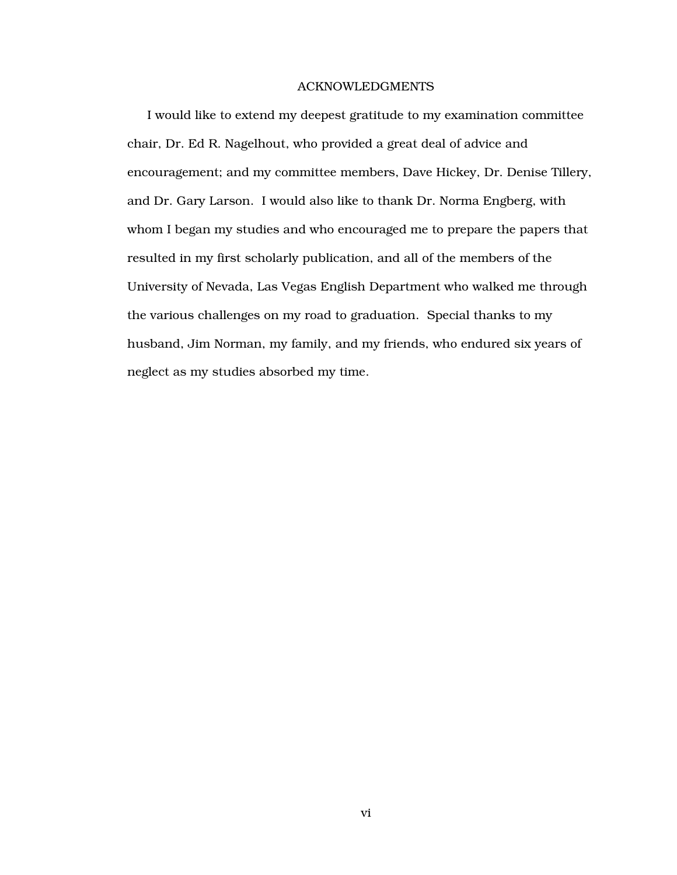#### ACKNOWLEDGMENTS

I would like to extend my deepest gratitude to my examination committee chair, Dr. Ed R. Nagelhout, who provided a great deal of advice and encouragement; and my committee members, Dave Hickey, Dr. Denise Tillery, and Dr. Gary Larson. I would also like to thank Dr. Norma Engberg, with whom I began my studies and who encouraged me to prepare the papers that resulted in my first scholarly publication, and all of the members of the University of Nevada, Las Vegas English Department who walked me through the various challenges on my road to graduation. Special thanks to my husband, Jim Norman, my family, and my friends, who endured six years of neglect as my studies absorbed my time.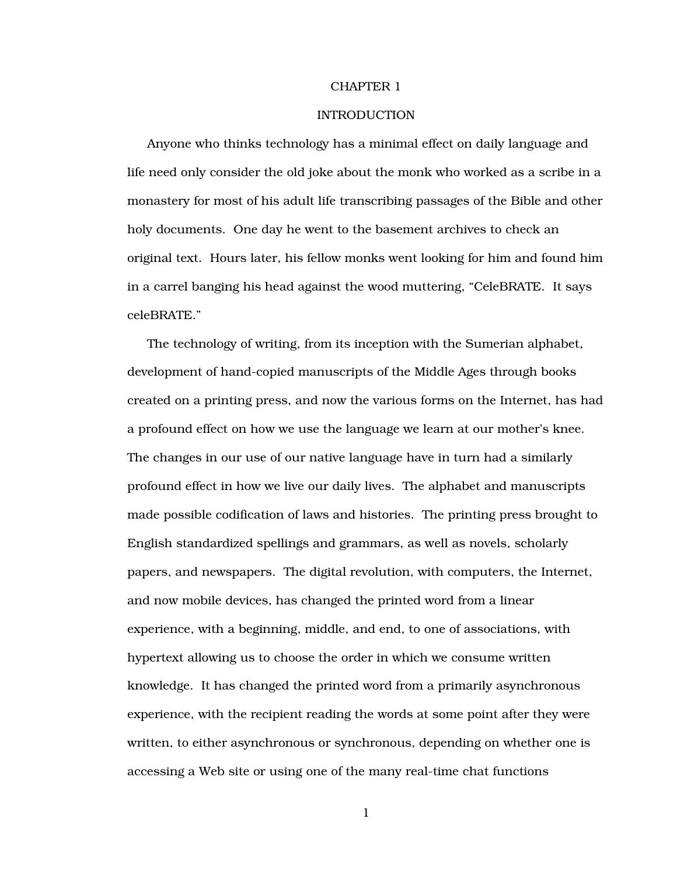#### CHAPTER 1

#### INTRODUCTION

Anyone who thinks technology has a minimal effect on daily language and life need only consider the old joke about the monk who worked as a scribe in a monastery for most of his adult life transcribing passages of the Bible and other holy documents. One day he went to the basement archives to check an original text. Hours later, his fellow monks went looking for him and found him in a carrel banging his head against the wood muttering, "CeleBRATE. It says celeBRATE."

The technology of writing, from its inception with the Sumerian alphabet, development of hand-copied manuscripts of the Middle Ages through books created on a printing press, and now the various forms on the Internet, has had a profound effect on how we use the language we learn at our mother's knee. The changes in our use of our native language have in turn had a similarly profound effect in how we live our daily lives. The alphabet and manuscripts made possible codification of laws and histories. The printing press brought to English standardized spellings and grammars, as well as novels, scholarly papers, and newspapers. The digital revolution, with computers, the Internet, and now mobile devices, has changed the printed word from a linear experience, with a beginning, middle, and end, to one of associations, with hypertext allowing us to choose the order in which we consume written knowledge. It has changed the printed word from a primarily asynchronous experience, with the recipient reading the words at some point after they were written, to either asynchronous or synchronous, depending on whether one is accessing a Web site or using one of the many real-time chat functions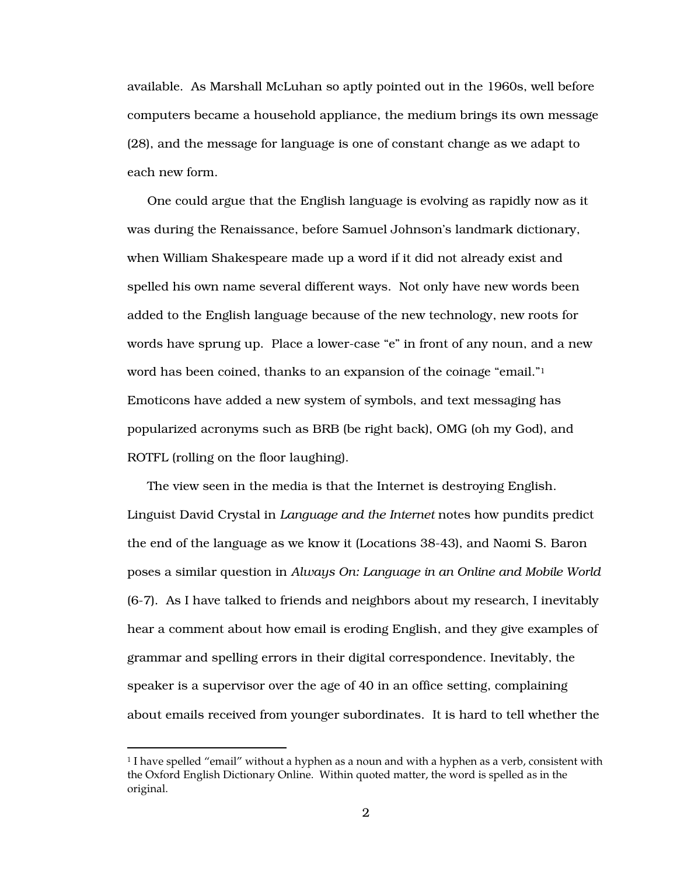available. As Marshall McLuhan so aptly pointed out in the 1960s, well before computers became a household appliance, the medium brings its own message (28), and the message for language is one of constant change as we adapt to each new form.

One could argue that the English language is evolving as rapidly now as it was during the Renaissance, before Samuel Johnson's landmark dictionary, when William Shakespeare made up a word if it did not already exist and spelled his own name several different ways. Not only have new words been added to the English language because of the new technology, new roots for words have sprung up. Place a lower-case "e" in front of any noun, and a new word has been coined, thanks to an expansion of the coinage "email."<sup>1</sup> Emoticons have added a new system of symbols, and text messaging has popularized acronyms such as BRB (be right back), OMG (oh my God), and ROTFL (rolling on the floor laughing).

The view seen in the media is that the Internet is destroying English. Linguist David Crystal in *Language and the Internet* notes how pundits predict the end of the language as we know it (Locations 38-43), and Naomi S. Baron poses a similar question in *Always On: Language in an Online and Mobile World* (6-7). As I have talked to friends and neighbors about my research, I inevitably hear a comment about how email is eroding English, and they give examples of grammar and spelling errors in their digital correspondence. Inevitably, the speaker is a supervisor over the age of 40 in an office setting, complaining about emails received from younger subordinates. It is hard to tell whether the

 $\overline{a}$ 

 $^1$  I have spelled "email" without a hyphen as a noun and with a hyphen as a verb, consistent with the Oxford English Dictionary Online. Within quoted matter, the word is spelled as in the original.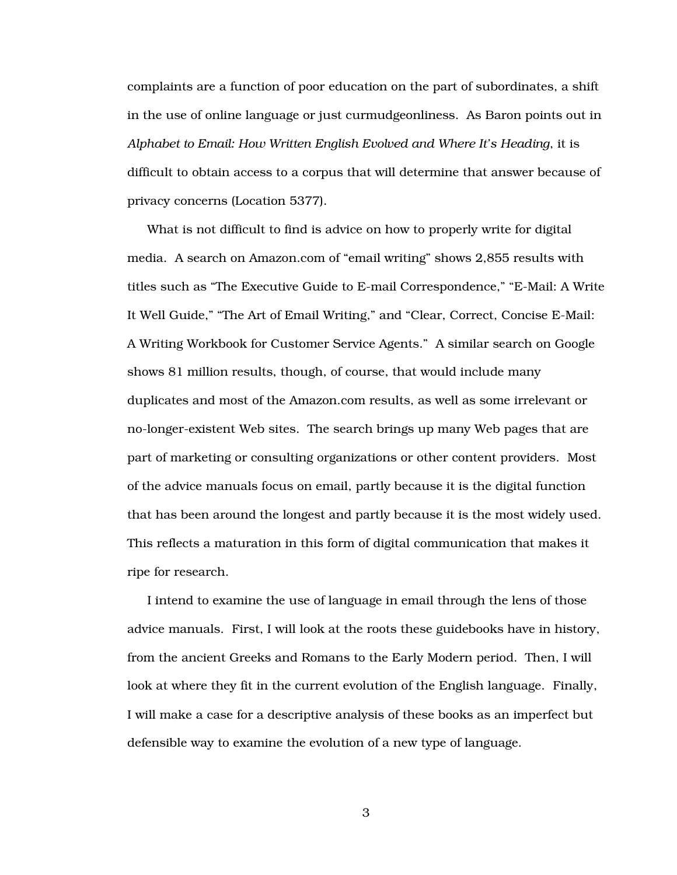complaints are a function of poor education on the part of subordinates, a shift in the use of online language or just curmudgeonliness. As Baron points out in *Alphabet to Email: How Written English Evolved and Where It's Heading*, it is difficult to obtain access to a corpus that will determine that answer because of privacy concerns (Location 5377).

What is not difficult to find is advice on how to properly write for digital media. A search on Amazon.com of "email writing" shows 2,855 results with titles such as "The Executive Guide to E-mail Correspondence," "E-Mail: A Write It Well Guide," "The Art of Email Writing," and "Clear, Correct, Concise E-Mail: A Writing Workbook for Customer Service Agents." A similar search on Google shows 81 million results, though, of course, that would include many duplicates and most of the Amazon.com results, as well as some irrelevant or no-longer-existent Web sites. The search brings up many Web pages that are part of marketing or consulting organizations or other content providers. Most of the advice manuals focus on email, partly because it is the digital function that has been around the longest and partly because it is the most widely used. This reflects a maturation in this form of digital communication that makes it ripe for research.

I intend to examine the use of language in email through the lens of those advice manuals. First, I will look at the roots these guidebooks have in history, from the ancient Greeks and Romans to the Early Modern period. Then, I will look at where they fit in the current evolution of the English language. Finally, I will make a case for a descriptive analysis of these books as an imperfect but defensible way to examine the evolution of a new type of language.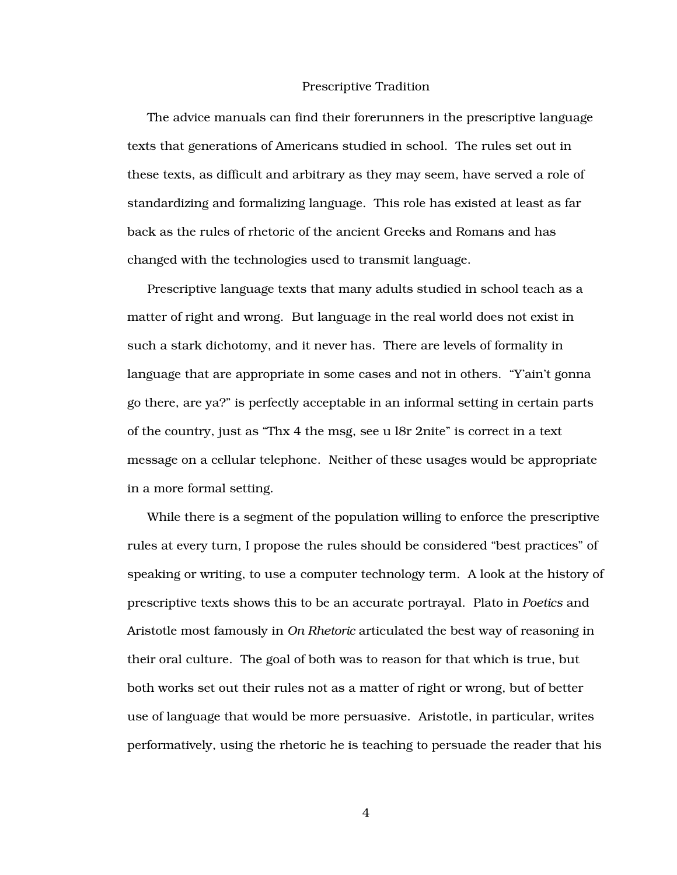#### Prescriptive Tradition

The advice manuals can find their forerunners in the prescriptive language texts that generations of Americans studied in school. The rules set out in these texts, as difficult and arbitrary as they may seem, have served a role of standardizing and formalizing language. This role has existed at least as far back as the rules of rhetoric of the ancient Greeks and Romans and has changed with the technologies used to transmit language.

Prescriptive language texts that many adults studied in school teach as a matter of right and wrong. But language in the real world does not exist in such a stark dichotomy, and it never has. There are levels of formality in language that are appropriate in some cases and not in others. "Y'ain't gonna go there, are ya?" is perfectly acceptable in an informal setting in certain parts of the country, just as "Thx 4 the msg, see u l8r 2nite" is correct in a text message on a cellular telephone. Neither of these usages would be appropriate in a more formal setting.

While there is a segment of the population willing to enforce the prescriptive rules at every turn, I propose the rules should be considered "best practices" of speaking or writing, to use a computer technology term. A look at the history of prescriptive texts shows this to be an accurate portrayal. Plato in *Poetics* and Aristotle most famously in *On Rhetoric* articulated the best way of reasoning in their oral culture. The goal of both was to reason for that which is true, but both works set out their rules not as a matter of right or wrong, but of better use of language that would be more persuasive. Aristotle, in particular, writes performatively, using the rhetoric he is teaching to persuade the reader that his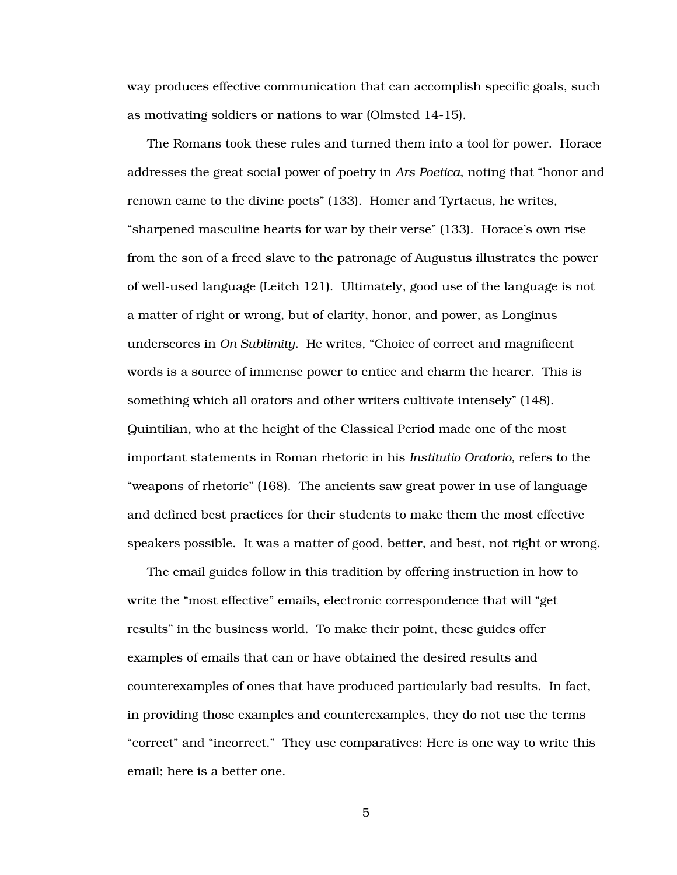way produces effective communication that can accomplish specific goals, such as motivating soldiers or nations to war (Olmsted 14-15).

The Romans took these rules and turned them into a tool for power. Horace addresses the great social power of poetry in *Ars Poetica*, noting that "honor and renown came to the divine poets" (133). Homer and Tyrtaeus, he writes, "sharpened masculine hearts for war by their verse" (133). Horace's own rise from the son of a freed slave to the patronage of Augustus illustrates the power of well-used language (Leitch 121). Ultimately, good use of the language is not a matter of right or wrong, but of clarity, honor, and power, as Longinus underscores in *On Sublimity.* He writes, "Choice of correct and magnificent words is a source of immense power to entice and charm the hearer. This is something which all orators and other writers cultivate intensely" (148). Quintilian, who at the height of the Classical Period made one of the most important statements in Roman rhetoric in his *Institutio Oratorio,* refers to the "weapons of rhetoric" (168). The ancients saw great power in use of language and defined best practices for their students to make them the most effective speakers possible. It was a matter of good, better, and best, not right or wrong.

The email guides follow in this tradition by offering instruction in how to write the "most effective" emails, electronic correspondence that will "get results" in the business world. To make their point, these guides offer examples of emails that can or have obtained the desired results and counterexamples of ones that have produced particularly bad results. In fact, in providing those examples and counterexamples, they do not use the terms "correct" and "incorrect." They use comparatives: Here is one way to write this email; here is a better one.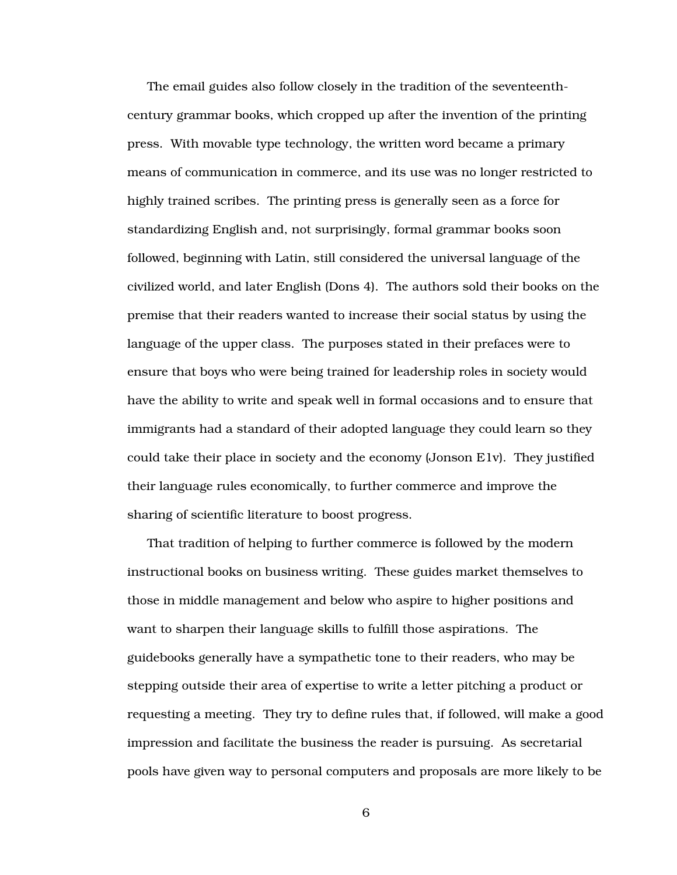The email guides also follow closely in the tradition of the seventeenthcentury grammar books, which cropped up after the invention of the printing press. With movable type technology, the written word became a primary means of communication in commerce, and its use was no longer restricted to highly trained scribes. The printing press is generally seen as a force for standardizing English and, not surprisingly, formal grammar books soon followed, beginning with Latin, still considered the universal language of the civilized world, and later English (Dons 4). The authors sold their books on the premise that their readers wanted to increase their social status by using the language of the upper class. The purposes stated in their prefaces were to ensure that boys who were being trained for leadership roles in society would have the ability to write and speak well in formal occasions and to ensure that immigrants had a standard of their adopted language they could learn so they could take their place in society and the economy (Jonson E1v). They justified their language rules economically, to further commerce and improve the sharing of scientific literature to boost progress.

That tradition of helping to further commerce is followed by the modern instructional books on business writing. These guides market themselves to those in middle management and below who aspire to higher positions and want to sharpen their language skills to fulfill those aspirations. The guidebooks generally have a sympathetic tone to their readers, who may be stepping outside their area of expertise to write a letter pitching a product or requesting a meeting. They try to define rules that, if followed, will make a good impression and facilitate the business the reader is pursuing. As secretarial pools have given way to personal computers and proposals are more likely to be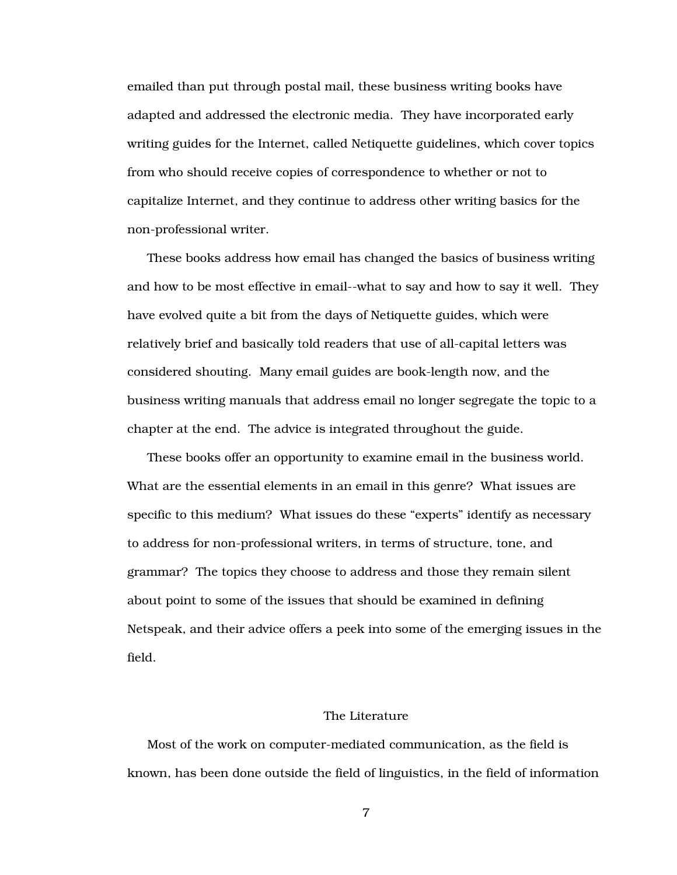emailed than put through postal mail, these business writing books have adapted and addressed the electronic media. They have incorporated early writing guides for the Internet, called Netiquette guidelines, which cover topics from who should receive copies of correspondence to whether or not to capitalize Internet, and they continue to address other writing basics for the non-professional writer.

These books address how email has changed the basics of business writing and how to be most effective in email--what to say and how to say it well. They have evolved quite a bit from the days of Netiquette guides, which were relatively brief and basically told readers that use of all-capital letters was considered shouting. Many email guides are book-length now, and the business writing manuals that address email no longer segregate the topic to a chapter at the end. The advice is integrated throughout the guide.

These books offer an opportunity to examine email in the business world. What are the essential elements in an email in this genre? What issues are specific to this medium? What issues do these "experts" identify as necessary to address for non-professional writers, in terms of structure, tone, and grammar? The topics they choose to address and those they remain silent about point to some of the issues that should be examined in defining Netspeak, and their advice offers a peek into some of the emerging issues in the field.

#### The Literature

Most of the work on computer-mediated communication, as the field is known, has been done outside the field of linguistics, in the field of information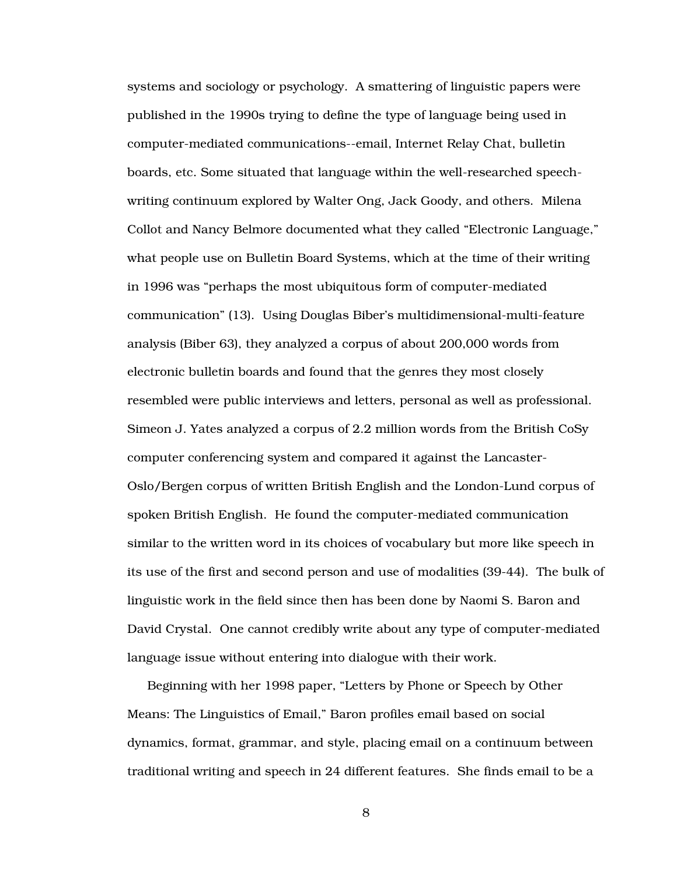systems and sociology or psychology. A smattering of linguistic papers were published in the 1990s trying to define the type of language being used in computer-mediated communications--email, Internet Relay Chat, bulletin boards, etc. Some situated that language within the well-researched speechwriting continuum explored by Walter Ong, Jack Goody, and others. Milena Collot and Nancy Belmore documented what they called "Electronic Language," what people use on Bulletin Board Systems, which at the time of their writing in 1996 was "perhaps the most ubiquitous form of computer-mediated communication" (13). Using Douglas Biber's multidimensional-multi-feature analysis (Biber 63), they analyzed a corpus of about 200,000 words from electronic bulletin boards and found that the genres they most closely resembled were public interviews and letters, personal as well as professional. Simeon J. Yates analyzed a corpus of 2.2 million words from the British CoSy computer conferencing system and compared it against the Lancaster-Oslo/Bergen corpus of written British English and the London-Lund corpus of spoken British English. He found the computer-mediated communication similar to the written word in its choices of vocabulary but more like speech in its use of the first and second person and use of modalities (39-44). The bulk of linguistic work in the field since then has been done by Naomi S. Baron and David Crystal. One cannot credibly write about any type of computer-mediated language issue without entering into dialogue with their work.

Beginning with her 1998 paper, "Letters by Phone or Speech by Other Means: The Linguistics of Email," Baron profiles email based on social dynamics, format, grammar, and style, placing email on a continuum between traditional writing and speech in 24 different features. She finds email to be a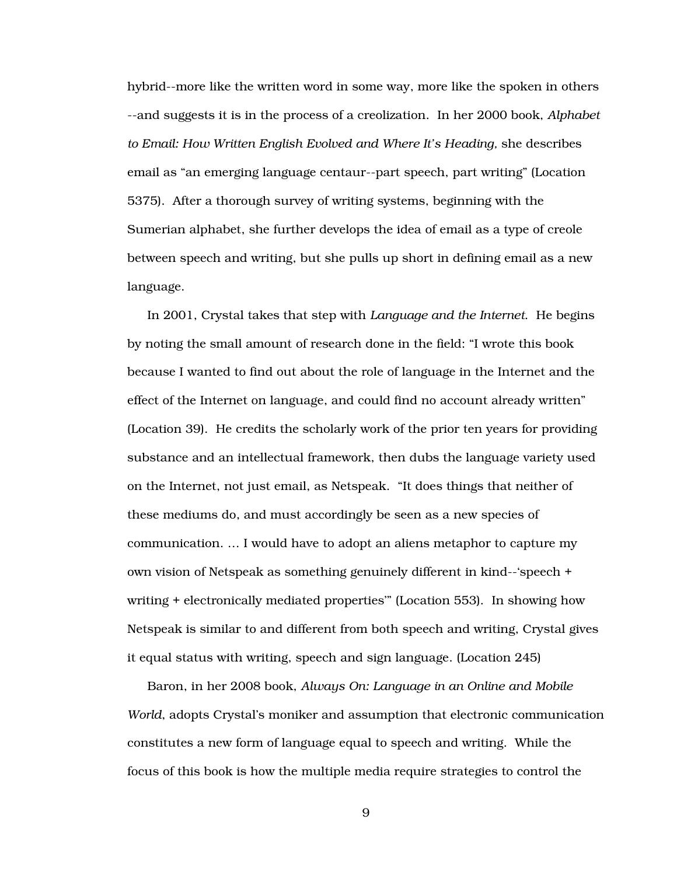hybrid--more like the written word in some way, more like the spoken in others --and suggests it is in the process of a creolization. In her 2000 book, *Alphabet to Email: How Written English Evolved and Where It's Heading,* she describes email as "an emerging language centaur--part speech, part writing" (Location 5375). After a thorough survey of writing systems, beginning with the Sumerian alphabet, she further develops the idea of email as a type of creole between speech and writing, but she pulls up short in defining email as a new language.

In 2001, Crystal takes that step with *Language and the Internet*. He begins by noting the small amount of research done in the field: "I wrote this book because I wanted to find out about the role of language in the Internet and the effect of the Internet on language, and could find no account already written" (Location 39). He credits the scholarly work of the prior ten years for providing substance and an intellectual framework, then dubs the language variety used on the Internet, not just email, as Netspeak. "It does things that neither of these mediums do, and must accordingly be seen as a new species of communication. … I would have to adopt an aliens metaphor to capture my own vision of Netspeak as something genuinely different in kind--'speech + writing + electronically mediated properties'" (Location 553). In showing how Netspeak is similar to and different from both speech and writing, Crystal gives it equal status with writing, speech and sign language. (Location 245)

Baron, in her 2008 book, *Always On: Language in an Online and Mobile World*, adopts Crystal's moniker and assumption that electronic communication constitutes a new form of language equal to speech and writing. While the focus of this book is how the multiple media require strategies to control the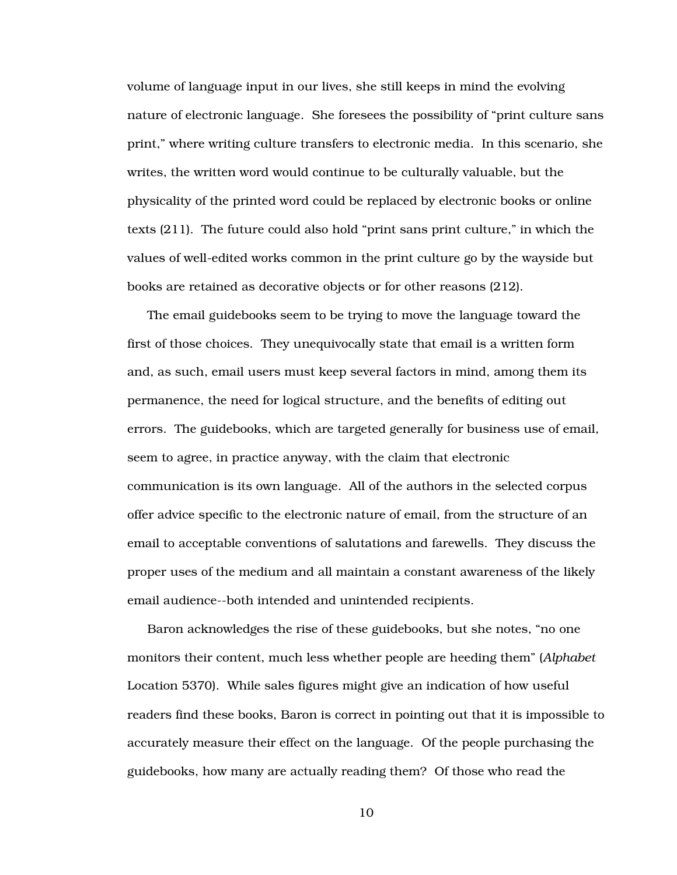volume of language input in our lives, she still keeps in mind the evolving nature of electronic language. She foresees the possibility of "print culture sans print," where writing culture transfers to electronic media. In this scenario, she writes, the written word would continue to be culturally valuable, but the physicality of the printed word could be replaced by electronic books or online texts (211). The future could also hold "print sans print culture," in which the values of well-edited works common in the print culture go by the wayside but books are retained as decorative objects or for other reasons (212).

The email guidebooks seem to be trying to move the language toward the first of those choices. They unequivocally state that email is a written form and, as such, email users must keep several factors in mind, among them its permanence, the need for logical structure, and the benefits of editing out errors. The guidebooks, which are targeted generally for business use of email, seem to agree, in practice anyway, with the claim that electronic communication is its own language. All of the authors in the selected corpus offer advice specific to the electronic nature of email, from the structure of an email to acceptable conventions of salutations and farewells. They discuss the proper uses of the medium and all maintain a constant awareness of the likely email audience--both intended and unintended recipients.

Baron acknowledges the rise of these guidebooks, but she notes, "no one monitors their content, much less whether people are heeding them" (*Alphabet*  Location 5370). While sales figures might give an indication of how useful readers find these books, Baron is correct in pointing out that it is impossible to accurately measure their effect on the language. Of the people purchasing the guidebooks, how many are actually reading them? Of those who read the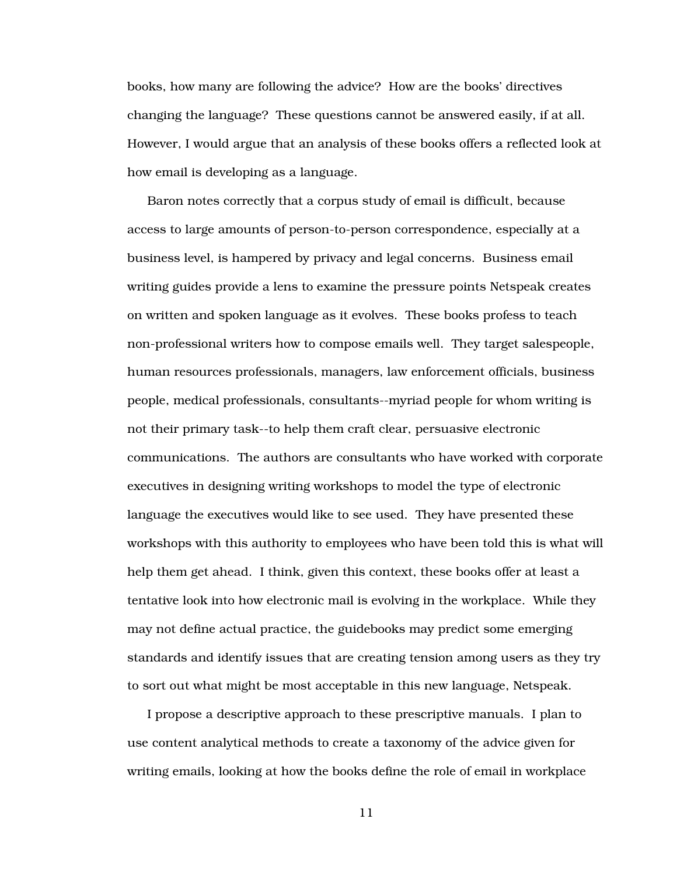books, how many are following the advice? How are the books' directives changing the language? These questions cannot be answered easily, if at all. However, I would argue that an analysis of these books offers a reflected look at how email is developing as a language.

Baron notes correctly that a corpus study of email is difficult, because access to large amounts of person-to-person correspondence, especially at a business level, is hampered by privacy and legal concerns. Business email writing guides provide a lens to examine the pressure points Netspeak creates on written and spoken language as it evolves. These books profess to teach non-professional writers how to compose emails well. They target salespeople, human resources professionals, managers, law enforcement officials, business people, medical professionals, consultants--myriad people for whom writing is not their primary task--to help them craft clear, persuasive electronic communications. The authors are consultants who have worked with corporate executives in designing writing workshops to model the type of electronic language the executives would like to see used. They have presented these workshops with this authority to employees who have been told this is what will help them get ahead. I think, given this context, these books offer at least a tentative look into how electronic mail is evolving in the workplace. While they may not define actual practice, the guidebooks may predict some emerging standards and identify issues that are creating tension among users as they try to sort out what might be most acceptable in this new language, Netspeak.

I propose a descriptive approach to these prescriptive manuals. I plan to use content analytical methods to create a taxonomy of the advice given for writing emails, looking at how the books define the role of email in workplace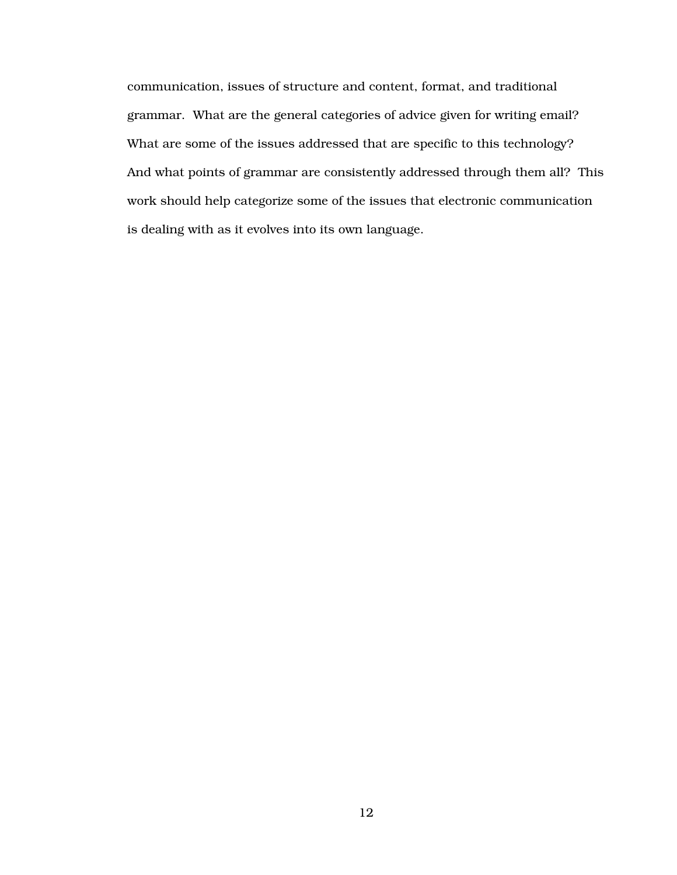communication, issues of structure and content, format, and traditional grammar. What are the general categories of advice given for writing email? What are some of the issues addressed that are specific to this technology? And what points of grammar are consistently addressed through them all? This work should help categorize some of the issues that electronic communication is dealing with as it evolves into its own language.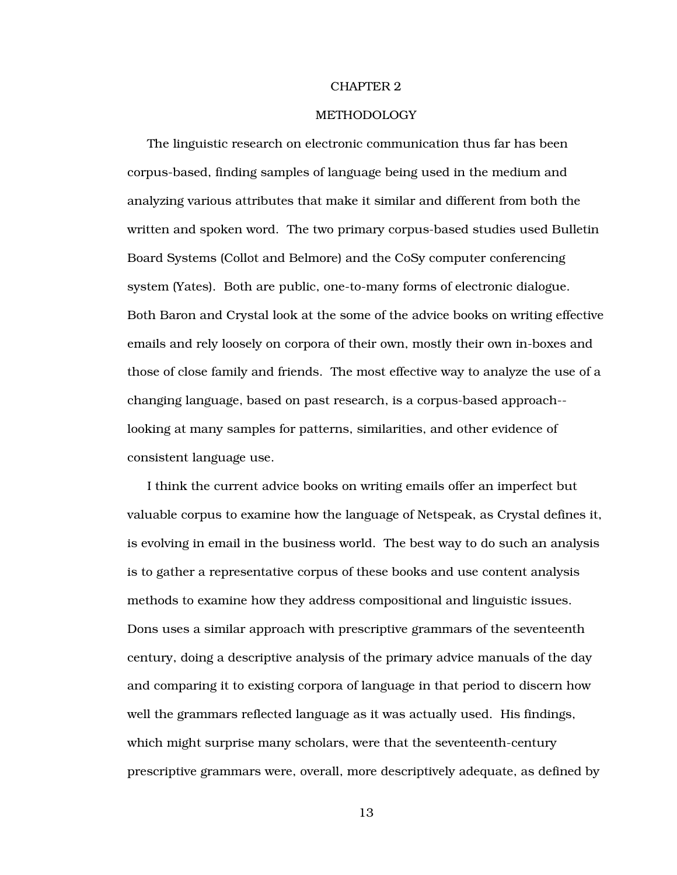#### CHAPTER 2

#### METHODOLOGY

The linguistic research on electronic communication thus far has been corpus-based, finding samples of language being used in the medium and analyzing various attributes that make it similar and different from both the written and spoken word. The two primary corpus-based studies used Bulletin Board Systems (Collot and Belmore) and the CoSy computer conferencing system (Yates). Both are public, one-to-many forms of electronic dialogue. Both Baron and Crystal look at the some of the advice books on writing effective emails and rely loosely on corpora of their own, mostly their own in-boxes and those of close family and friends. The most effective way to analyze the use of a changing language, based on past research, is a corpus-based approach- looking at many samples for patterns, similarities, and other evidence of consistent language use.

I think the current advice books on writing emails offer an imperfect but valuable corpus to examine how the language of Netspeak, as Crystal defines it, is evolving in email in the business world. The best way to do such an analysis is to gather a representative corpus of these books and use content analysis methods to examine how they address compositional and linguistic issues. Dons uses a similar approach with prescriptive grammars of the seventeenth century, doing a descriptive analysis of the primary advice manuals of the day and comparing it to existing corpora of language in that period to discern how well the grammars reflected language as it was actually used. His findings, which might surprise many scholars, were that the seventeenth-century prescriptive grammars were, overall, more descriptively adequate, as defined by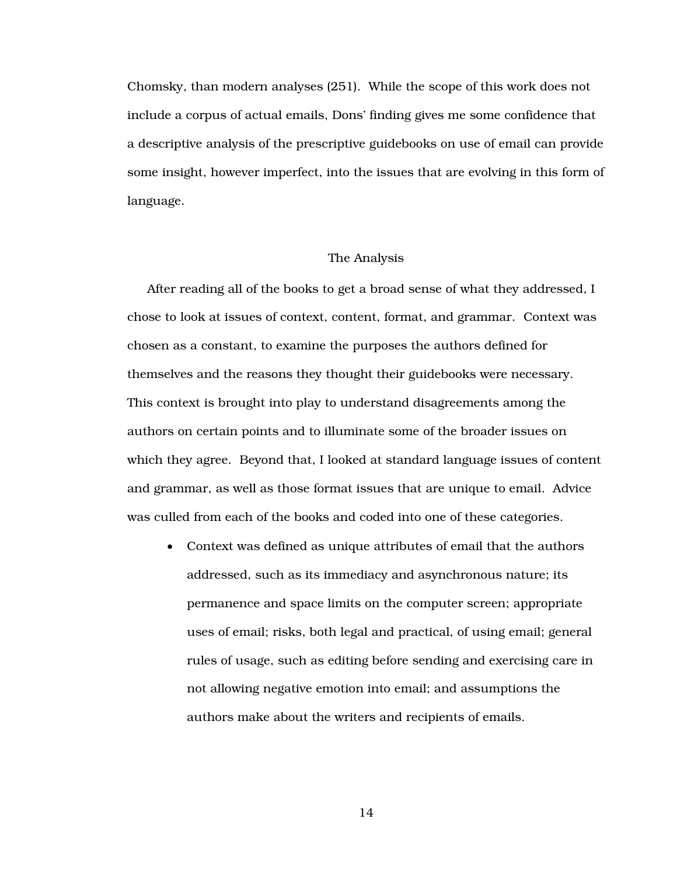Chomsky, than modern analyses (251). While the scope of this work does not include a corpus of actual emails, Dons' finding gives me some confidence that a descriptive analysis of the prescriptive guidebooks on use of email can provide some insight, however imperfect, into the issues that are evolving in this form of language.

#### The Analysis

After reading all of the books to get a broad sense of what they addressed, I chose to look at issues of context, content, format, and grammar. Context was chosen as a constant, to examine the purposes the authors defined for themselves and the reasons they thought their guidebooks were necessary. This context is brought into play to understand disagreements among the authors on certain points and to illuminate some of the broader issues on which they agree. Beyond that, I looked at standard language issues of content and grammar, as well as those format issues that are unique to email. Advice was culled from each of the books and coded into one of these categories.

• Context was defined as unique attributes of email that the authors addressed, such as its immediacy and asynchronous nature; its permanence and space limits on the computer screen; appropriate uses of email; risks, both legal and practical, of using email; general rules of usage, such as editing before sending and exercising care in not allowing negative emotion into email; and assumptions the authors make about the writers and recipients of emails.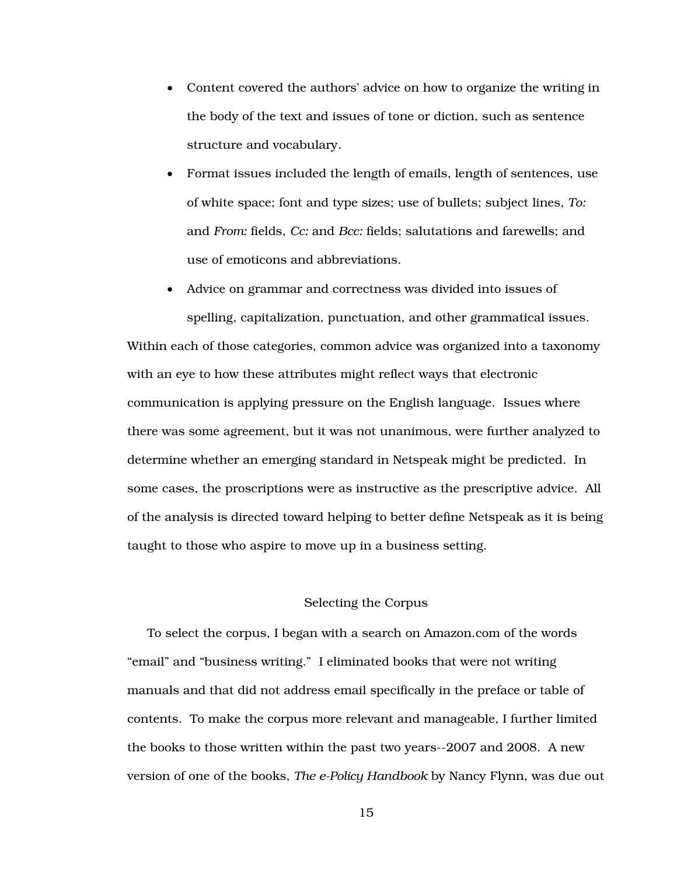- Content covered the authors' advice on how to organize the writing in the body of the text and issues of tone or diction, such as sentence structure and vocabulary.
- Format issues included the length of emails, length of sentences, use of white space; font and type sizes; use of bullets; subject lines, *To:* and *From:* fields, *Cc:* and *Bcc:* fields; salutations and farewells; and use of emoticons and abbreviations.

• Advice on grammar and correctness was divided into issues of spelling, capitalization, punctuation, and other grammatical issues. Within each of those categories, common advice was organized into a taxonomy with an eye to how these attributes might reflect ways that electronic communication is applying pressure on the English language. Issues where there was some agreement, but it was not unanimous, were further analyzed to determine whether an emerging standard in Netspeak might be predicted. In some cases, the proscriptions were as instructive as the prescriptive advice. All of the analysis is directed toward helping to better define Netspeak as it is being taught to those who aspire to move up in a business setting.

#### Selecting the Corpus

To select the corpus, I began with a search on Amazon.com of the words "email" and "business writing." I eliminated books that were not writing manuals and that did not address email specifically in the preface or table of contents. To make the corpus more relevant and manageable, I further limited the books to those written within the past two years--2007 and 2008. A new version of one of the books, *The e-Policy Handbook* by Nancy Flynn, was due out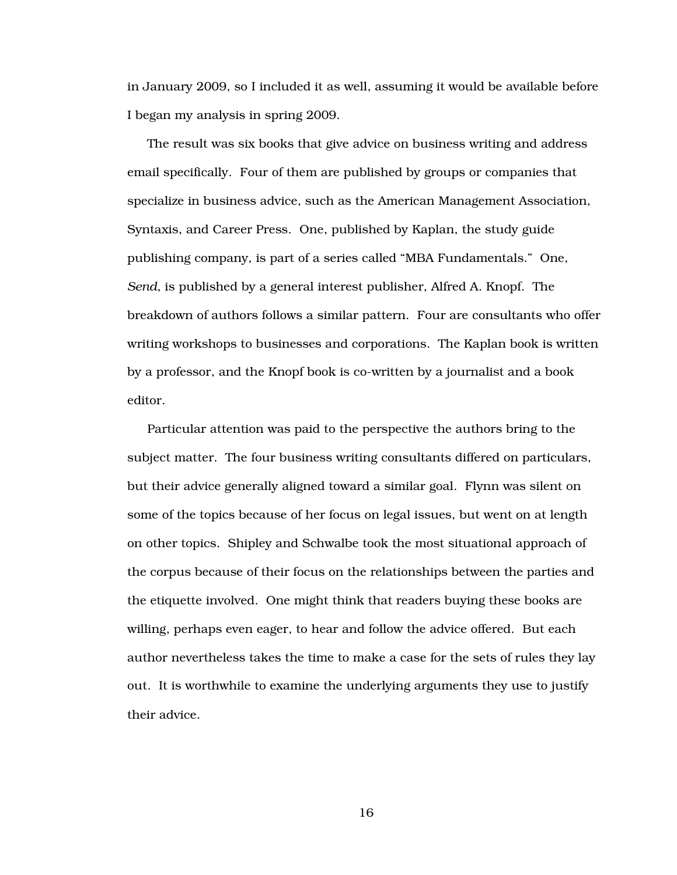in January 2009, so I included it as well, assuming it would be available before I began my analysis in spring 2009.

The result was six books that give advice on business writing and address email specifically. Four of them are published by groups or companies that specialize in business advice, such as the American Management Association, Syntaxis, and Career Press. One, published by Kaplan, the study guide publishing company, is part of a series called "MBA Fundamentals." One, *Send*, is published by a general interest publisher, Alfred A. Knopf. The breakdown of authors follows a similar pattern. Four are consultants who offer writing workshops to businesses and corporations. The Kaplan book is written by a professor, and the Knopf book is co-written by a journalist and a book editor.

Particular attention was paid to the perspective the authors bring to the subject matter. The four business writing consultants differed on particulars, but their advice generally aligned toward a similar goal. Flynn was silent on some of the topics because of her focus on legal issues, but went on at length on other topics. Shipley and Schwalbe took the most situational approach of the corpus because of their focus on the relationships between the parties and the etiquette involved. One might think that readers buying these books are willing, perhaps even eager, to hear and follow the advice offered. But each author nevertheless takes the time to make a case for the sets of rules they lay out. It is worthwhile to examine the underlying arguments they use to justify their advice.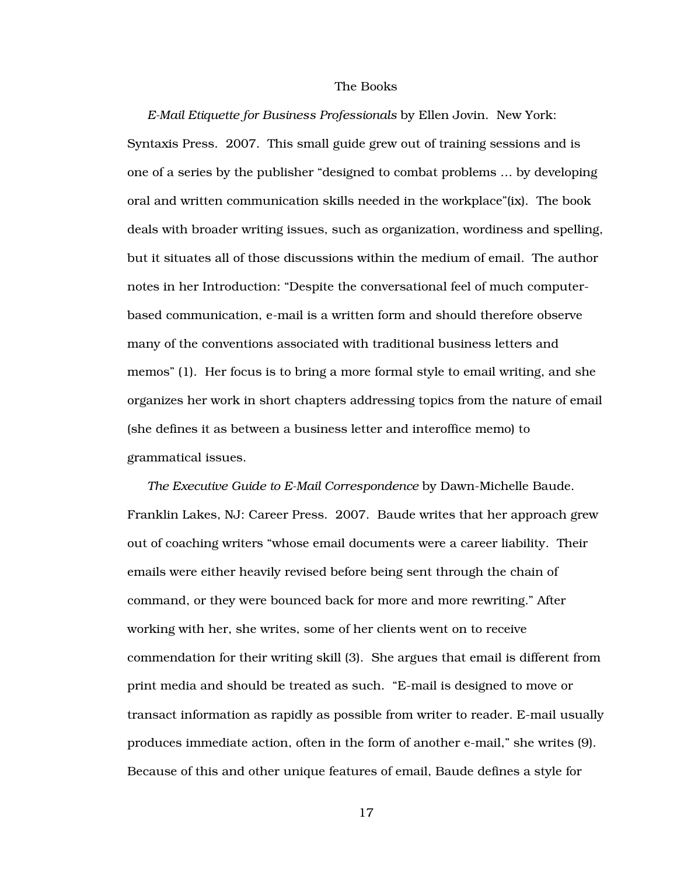#### The Books

*E-Mail Etiquette for Business Professionals* by Ellen Jovin. New York: Syntaxis Press. 2007. This small guide grew out of training sessions and is one of a series by the publisher "designed to combat problems … by developing oral and written communication skills needed in the workplace"(ix). The book deals with broader writing issues, such as organization, wordiness and spelling, but it situates all of those discussions within the medium of email. The author notes in her Introduction: "Despite the conversational feel of much computerbased communication, e-mail is a written form and should therefore observe many of the conventions associated with traditional business letters and memos" (1). Her focus is to bring a more formal style to email writing, and she organizes her work in short chapters addressing topics from the nature of email (she defines it as between a business letter and interoffice memo) to grammatical issues.

*The Executive Guide to E-Mail Correspondence* by Dawn-Michelle Baude. Franklin Lakes, NJ: Career Press. 2007. Baude writes that her approach grew out of coaching writers "whose email documents were a career liability. Their emails were either heavily revised before being sent through the chain of command, or they were bounced back for more and more rewriting." After working with her, she writes, some of her clients went on to receive commendation for their writing skill (3). She argues that email is different from print media and should be treated as such. "E-mail is designed to move or transact information as rapidly as possible from writer to reader. E-mail usually produces immediate action, often in the form of another e-mail," she writes (9). Because of this and other unique features of email, Baude defines a style for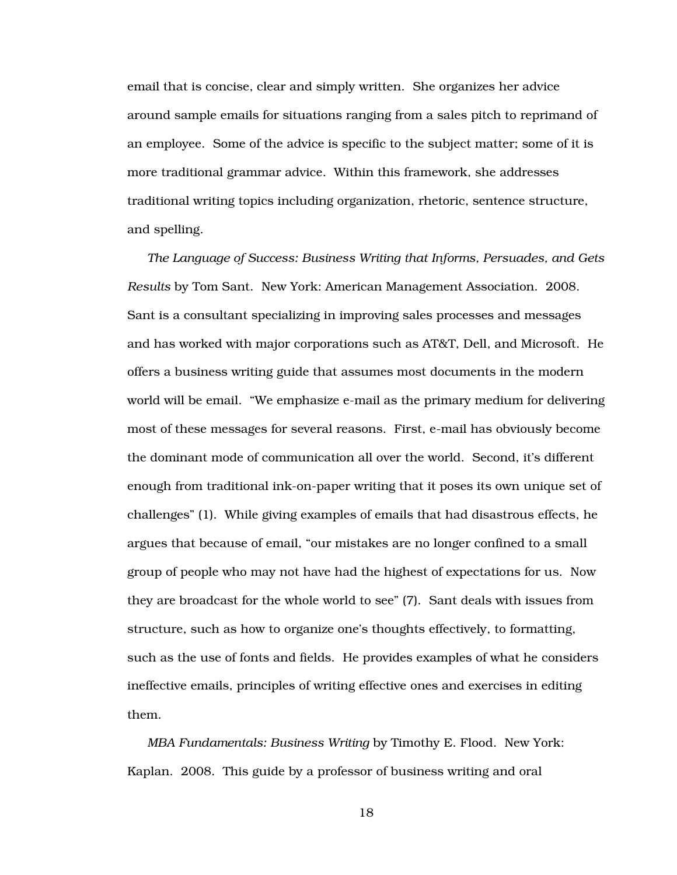email that is concise, clear and simply written. She organizes her advice around sample emails for situations ranging from a sales pitch to reprimand of an employee. Some of the advice is specific to the subject matter; some of it is more traditional grammar advice. Within this framework, she addresses traditional writing topics including organization, rhetoric, sentence structure, and spelling.

*The Language of Success: Business Writing that Informs, Persuades, and Gets Results* by Tom Sant. New York: American Management Association. 2008. Sant is a consultant specializing in improving sales processes and messages and has worked with major corporations such as AT&T, Dell, and Microsoft. He offers a business writing guide that assumes most documents in the modern world will be email. "We emphasize e-mail as the primary medium for delivering most of these messages for several reasons. First, e-mail has obviously become the dominant mode of communication all over the world. Second, it's different enough from traditional ink-on-paper writing that it poses its own unique set of challenges" (1). While giving examples of emails that had disastrous effects, he argues that because of email, "our mistakes are no longer confined to a small group of people who may not have had the highest of expectations for us. Now they are broadcast for the whole world to see" (7). Sant deals with issues from structure, such as how to organize one's thoughts effectively, to formatting, such as the use of fonts and fields. He provides examples of what he considers ineffective emails, principles of writing effective ones and exercises in editing them.

*MBA Fundamentals: Business Writing* by Timothy E. Flood. New York: Kaplan. 2008. This guide by a professor of business writing and oral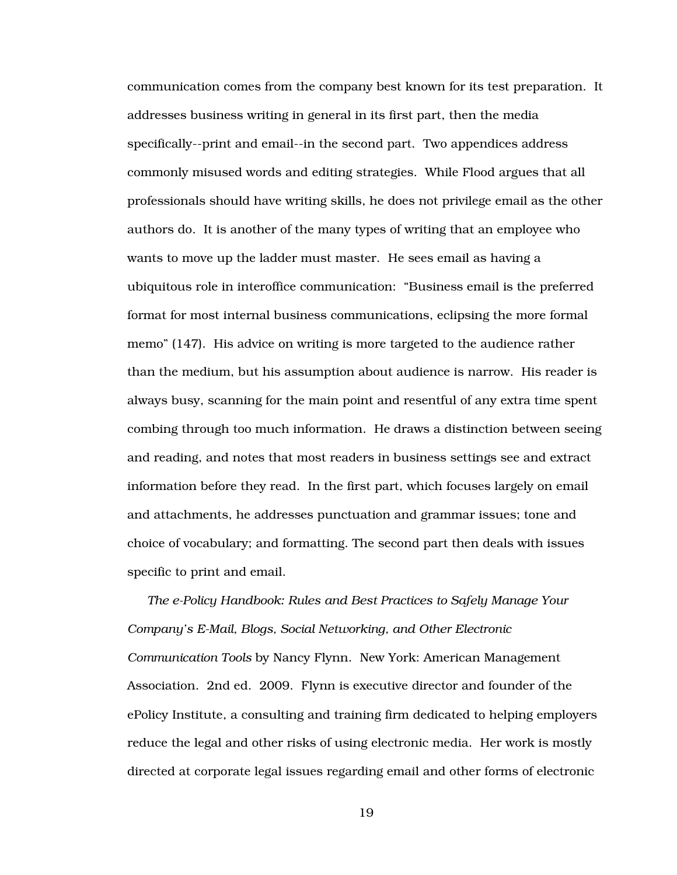communication comes from the company best known for its test preparation. It addresses business writing in general in its first part, then the media specifically--print and email--in the second part. Two appendices address commonly misused words and editing strategies. While Flood argues that all professionals should have writing skills, he does not privilege email as the other authors do. It is another of the many types of writing that an employee who wants to move up the ladder must master. He sees email as having a ubiquitous role in interoffice communication: "Business email is the preferred format for most internal business communications, eclipsing the more formal memo" (147). His advice on writing is more targeted to the audience rather than the medium, but his assumption about audience is narrow. His reader is always busy, scanning for the main point and resentful of any extra time spent combing through too much information. He draws a distinction between seeing and reading, and notes that most readers in business settings see and extract information before they read. In the first part, which focuses largely on email and attachments, he addresses punctuation and grammar issues; tone and choice of vocabulary; and formatting. The second part then deals with issues specific to print and email.

*The e-Policy Handbook: Rules and Best Practices to Safely Manage Your Company's E-Mail, Blogs, Social Networking, and Other Electronic Communication Tools* by Nancy Flynn. New York: American Management Association. 2nd ed. 2009. Flynn is executive director and founder of the ePolicy Institute, a consulting and training firm dedicated to helping employers reduce the legal and other risks of using electronic media. Her work is mostly directed at corporate legal issues regarding email and other forms of electronic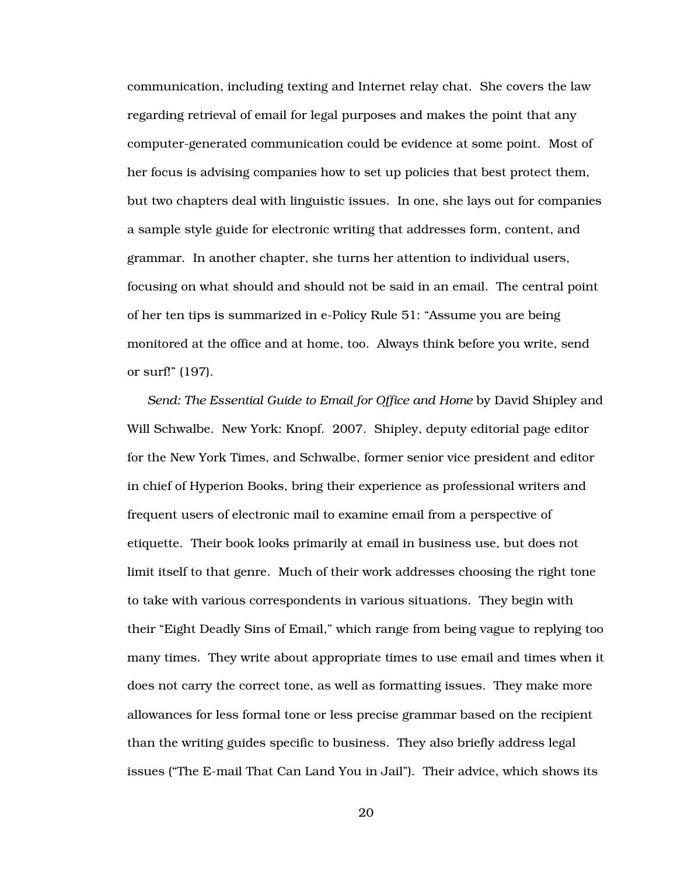communication, including texting and Internet relay chat. She covers the law regarding retrieval of email for legal purposes and makes the point that any computer-generated communication could be evidence at some point. Most of her focus is advising companies how to set up policies that best protect them, but two chapters deal with linguistic issues. In one, she lays out for companies a sample style guide for electronic writing that addresses form, content, and grammar. In another chapter, she turns her attention to individual users, focusing on what should and should not be said in an email. The central point of her ten tips is summarized in e-Policy Rule 51: "Assume you are being monitored at the office and at home, too. Always think before you write, send or surf!" (197).

*Send: The Essential Guide to Email for Office and Home* by David Shipley and Will Schwalbe. New York: Knopf. 2007. Shipley, deputy editorial page editor for the New York Times, and Schwalbe, former senior vice president and editor in chief of Hyperion Books, bring their experience as professional writers and frequent users of electronic mail to examine email from a perspective of etiquette. Their book looks primarily at email in business use, but does not limit itself to that genre. Much of their work addresses choosing the right tone to take with various correspondents in various situations. They begin with their "Eight Deadly Sins of Email," which range from being vague to replying too many times. They write about appropriate times to use email and times when it does not carry the correct tone, as well as formatting issues. They make more allowances for less formal tone or less precise grammar based on the recipient than the writing guides specific to business. They also briefly address legal issues ("The E-mail That Can Land You in Jail"). Their advice, which shows its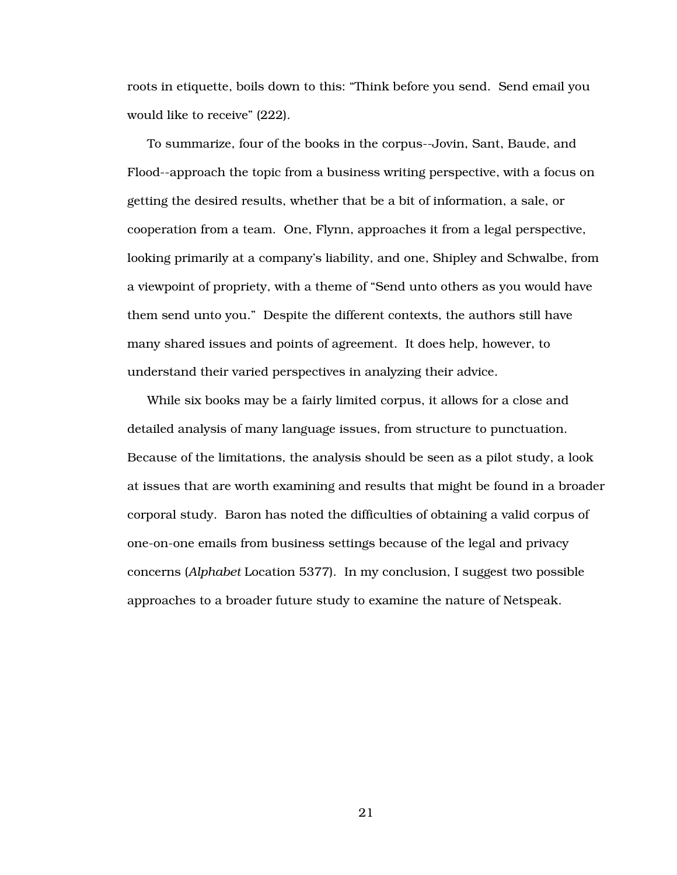roots in etiquette, boils down to this: "Think before you send. Send email you would like to receive" (222).

To summarize, four of the books in the corpus--Jovin, Sant, Baude, and Flood--approach the topic from a business writing perspective, with a focus on getting the desired results, whether that be a bit of information, a sale, or cooperation from a team. One, Flynn, approaches it from a legal perspective, looking primarily at a company's liability, and one, Shipley and Schwalbe, from a viewpoint of propriety, with a theme of "Send unto others as you would have them send unto you." Despite the different contexts, the authors still have many shared issues and points of agreement. It does help, however, to understand their varied perspectives in analyzing their advice.

While six books may be a fairly limited corpus, it allows for a close and detailed analysis of many language issues, from structure to punctuation. Because of the limitations, the analysis should be seen as a pilot study, a look at issues that are worth examining and results that might be found in a broader corporal study. Baron has noted the difficulties of obtaining a valid corpus of one-on-one emails from business settings because of the legal and privacy concerns (*Alphabet* Location 5377). In my conclusion, I suggest two possible approaches to a broader future study to examine the nature of Netspeak.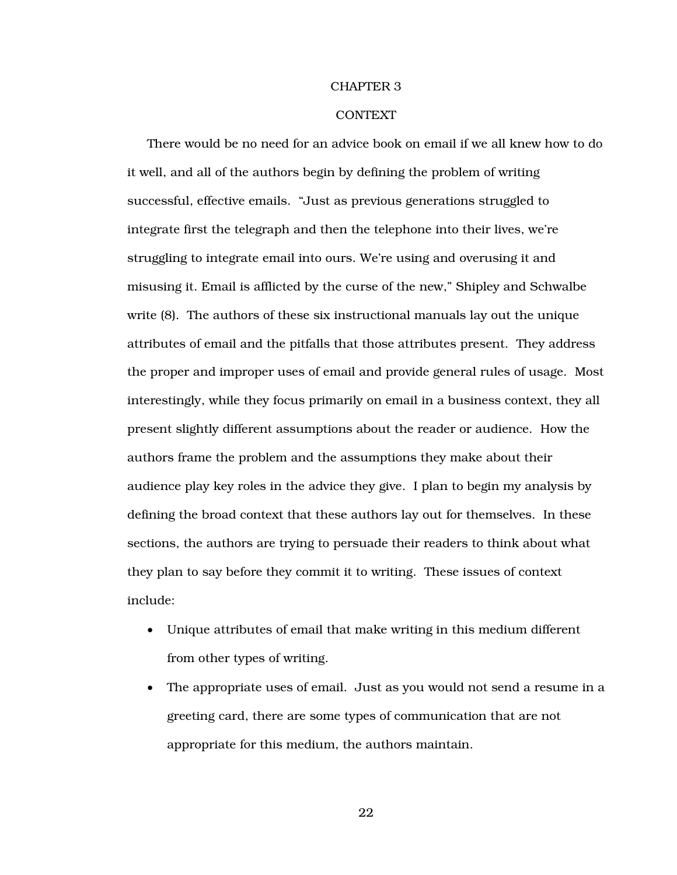#### CHAPTER 3

#### **CONTEXT**

There would be no need for an advice book on email if we all knew how to do it well, and all of the authors begin by defining the problem of writing successful, effective emails. "Just as previous generations struggled to integrate first the telegraph and then the telephone into their lives, we're struggling to integrate email into ours. We're using and overusing it and misusing it. Email is afflicted by the curse of the new," Shipley and Schwalbe write (8). The authors of these six instructional manuals lay out the unique attributes of email and the pitfalls that those attributes present. They address the proper and improper uses of email and provide general rules of usage. Most interestingly, while they focus primarily on email in a business context, they all present slightly different assumptions about the reader or audience. How the authors frame the problem and the assumptions they make about their audience play key roles in the advice they give. I plan to begin my analysis by defining the broad context that these authors lay out for themselves. In these sections, the authors are trying to persuade their readers to think about what they plan to say before they commit it to writing. These issues of context include:

- Unique attributes of email that make writing in this medium different from other types of writing.
- The appropriate uses of email. Just as you would not send a resume in a greeting card, there are some types of communication that are not appropriate for this medium, the authors maintain.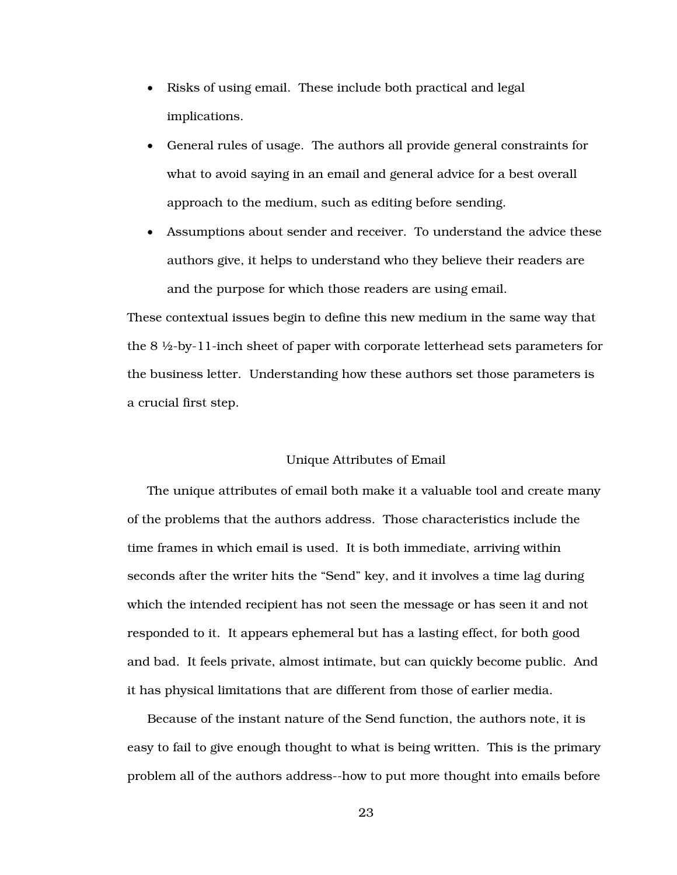- Risks of using email. These include both practical and legal implications.
- General rules of usage. The authors all provide general constraints for what to avoid saying in an email and general advice for a best overall approach to the medium, such as editing before sending.
- Assumptions about sender and receiver. To understand the advice these authors give, it helps to understand who they believe their readers are and the purpose for which those readers are using email.

These contextual issues begin to define this new medium in the same way that the 8 ½-by-11-inch sheet of paper with corporate letterhead sets parameters for the business letter. Understanding how these authors set those parameters is a crucial first step.

#### Unique Attributes of Email

The unique attributes of email both make it a valuable tool and create many of the problems that the authors address. Those characteristics include the time frames in which email is used. It is both immediate, arriving within seconds after the writer hits the "Send" key, and it involves a time lag during which the intended recipient has not seen the message or has seen it and not responded to it. It appears ephemeral but has a lasting effect, for both good and bad. It feels private, almost intimate, but can quickly become public. And it has physical limitations that are different from those of earlier media.

Because of the instant nature of the Send function, the authors note, it is easy to fail to give enough thought to what is being written. This is the primary problem all of the authors address--how to put more thought into emails before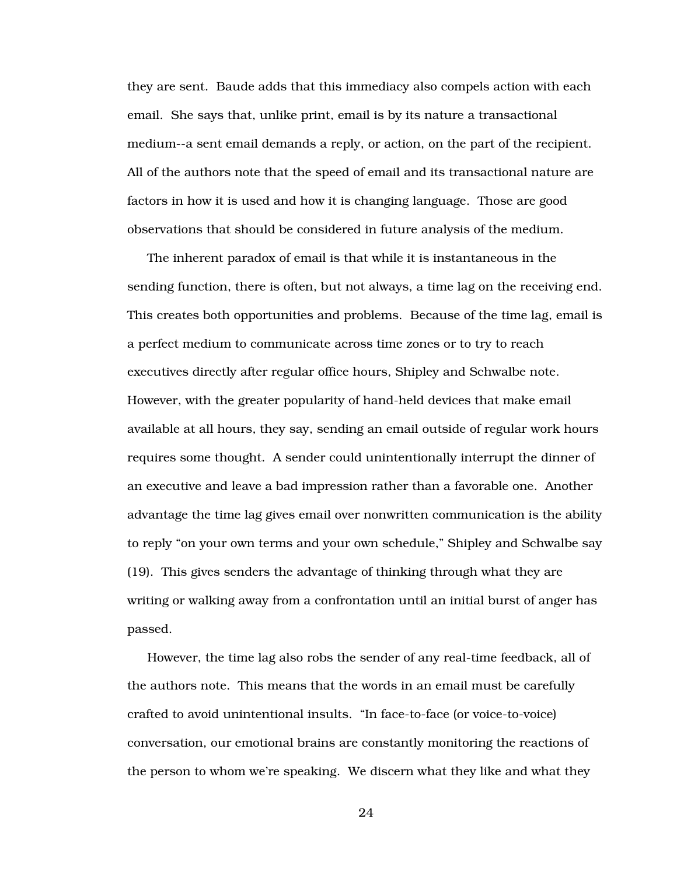they are sent. Baude adds that this immediacy also compels action with each email. She says that, unlike print, email is by its nature a transactional medium--a sent email demands a reply, or action, on the part of the recipient. All of the authors note that the speed of email and its transactional nature are factors in how it is used and how it is changing language. Those are good observations that should be considered in future analysis of the medium.

The inherent paradox of email is that while it is instantaneous in the sending function, there is often, but not always, a time lag on the receiving end. This creates both opportunities and problems. Because of the time lag, email is a perfect medium to communicate across time zones or to try to reach executives directly after regular office hours, Shipley and Schwalbe note. However, with the greater popularity of hand-held devices that make email available at all hours, they say, sending an email outside of regular work hours requires some thought. A sender could unintentionally interrupt the dinner of an executive and leave a bad impression rather than a favorable one. Another advantage the time lag gives email over nonwritten communication is the ability to reply "on your own terms and your own schedule," Shipley and Schwalbe say (19). This gives senders the advantage of thinking through what they are writing or walking away from a confrontation until an initial burst of anger has passed.

However, the time lag also robs the sender of any real-time feedback, all of the authors note. This means that the words in an email must be carefully crafted to avoid unintentional insults. "In face-to-face (or voice-to-voice) conversation, our emotional brains are constantly monitoring the reactions of the person to whom we're speaking. We discern what they like and what they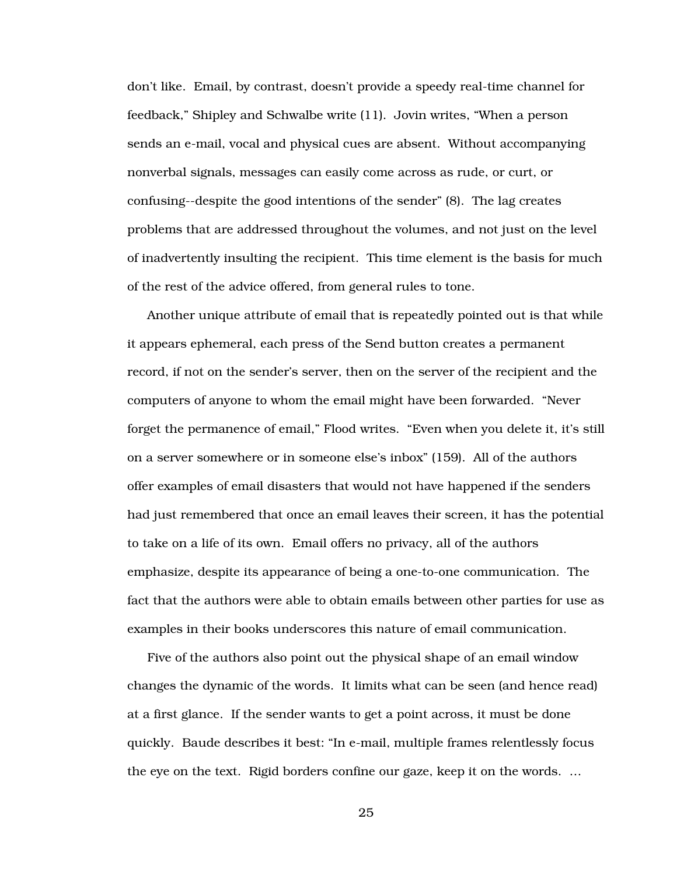don't like. Email, by contrast, doesn't provide a speedy real-time channel for feedback," Shipley and Schwalbe write (11). Jovin writes, "When a person sends an e-mail, vocal and physical cues are absent. Without accompanying nonverbal signals, messages can easily come across as rude, or curt, or confusing--despite the good intentions of the sender" (8). The lag creates problems that are addressed throughout the volumes, and not just on the level of inadvertently insulting the recipient. This time element is the basis for much of the rest of the advice offered, from general rules to tone.

Another unique attribute of email that is repeatedly pointed out is that while it appears ephemeral, each press of the Send button creates a permanent record, if not on the sender's server, then on the server of the recipient and the computers of anyone to whom the email might have been forwarded. "Never forget the permanence of email," Flood writes. "Even when you delete it, it's still on a server somewhere or in someone else's inbox" (159). All of the authors offer examples of email disasters that would not have happened if the senders had just remembered that once an email leaves their screen, it has the potential to take on a life of its own. Email offers no privacy, all of the authors emphasize, despite its appearance of being a one-to-one communication. The fact that the authors were able to obtain emails between other parties for use as examples in their books underscores this nature of email communication.

Five of the authors also point out the physical shape of an email window changes the dynamic of the words. It limits what can be seen (and hence read) at a first glance. If the sender wants to get a point across, it must be done quickly. Baude describes it best: "In e-mail, multiple frames relentlessly focus the eye on the text. Rigid borders confine our gaze, keep it on the words. …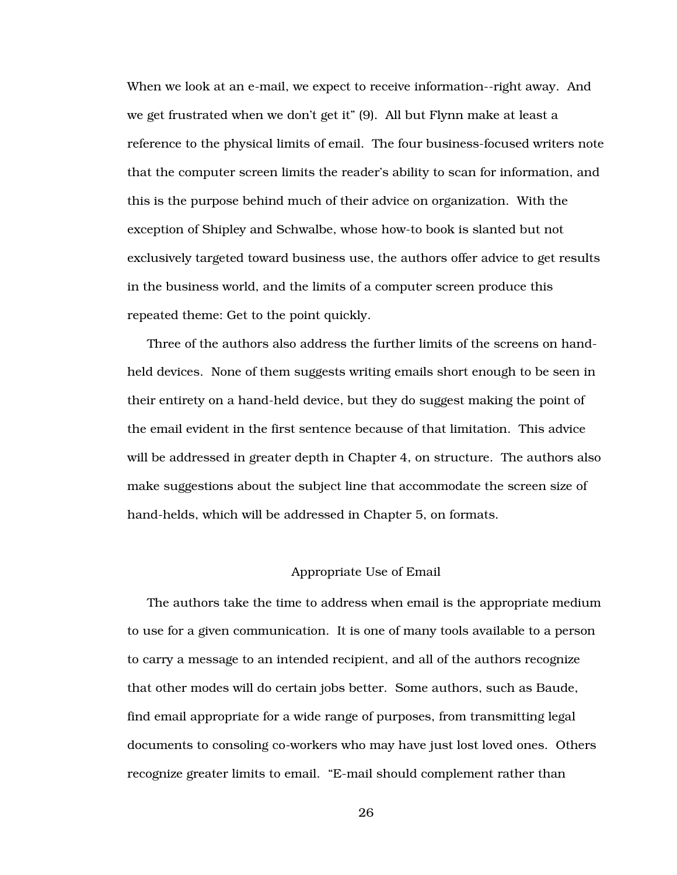When we look at an e-mail, we expect to receive information--right away. And we get frustrated when we don't get it" (9). All but Flynn make at least a reference to the physical limits of email. The four business-focused writers note that the computer screen limits the reader's ability to scan for information, and this is the purpose behind much of their advice on organization. With the exception of Shipley and Schwalbe, whose how-to book is slanted but not exclusively targeted toward business use, the authors offer advice to get results in the business world, and the limits of a computer screen produce this repeated theme: Get to the point quickly.

Three of the authors also address the further limits of the screens on handheld devices. None of them suggests writing emails short enough to be seen in their entirety on a hand-held device, but they do suggest making the point of the email evident in the first sentence because of that limitation. This advice will be addressed in greater depth in Chapter 4, on structure. The authors also make suggestions about the subject line that accommodate the screen size of hand-helds, which will be addressed in Chapter 5, on formats.

#### Appropriate Use of Email

The authors take the time to address when email is the appropriate medium to use for a given communication. It is one of many tools available to a person to carry a message to an intended recipient, and all of the authors recognize that other modes will do certain jobs better. Some authors, such as Baude, find email appropriate for a wide range of purposes, from transmitting legal documents to consoling co-workers who may have just lost loved ones. Others recognize greater limits to email. "E-mail should complement rather than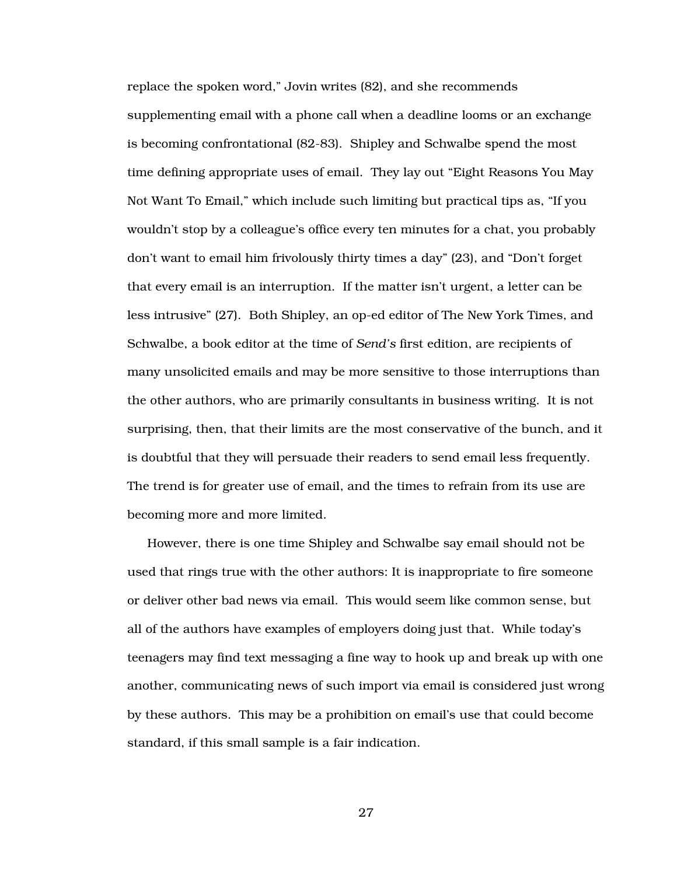replace the spoken word," Jovin writes (82), and she recommends supplementing email with a phone call when a deadline looms or an exchange is becoming confrontational (82-83). Shipley and Schwalbe spend the most time defining appropriate uses of email. They lay out "Eight Reasons You May Not Want To Email," which include such limiting but practical tips as, "If you wouldn't stop by a colleague's office every ten minutes for a chat, you probably don't want to email him frivolously thirty times a day" (23), and "Don't forget that every email is an interruption. If the matter isn't urgent, a letter can be less intrusive" (27). Both Shipley, an op-ed editor of The New York Times, and Schwalbe, a book editor at the time of *Send's* first edition, are recipients of many unsolicited emails and may be more sensitive to those interruptions than the other authors, who are primarily consultants in business writing. It is not surprising, then, that their limits are the most conservative of the bunch, and it is doubtful that they will persuade their readers to send email less frequently. The trend is for greater use of email, and the times to refrain from its use are becoming more and more limited.

However, there is one time Shipley and Schwalbe say email should not be used that rings true with the other authors: It is inappropriate to fire someone or deliver other bad news via email. This would seem like common sense, but all of the authors have examples of employers doing just that. While today's teenagers may find text messaging a fine way to hook up and break up with one another, communicating news of such import via email is considered just wrong by these authors. This may be a prohibition on email's use that could become standard, if this small sample is a fair indication.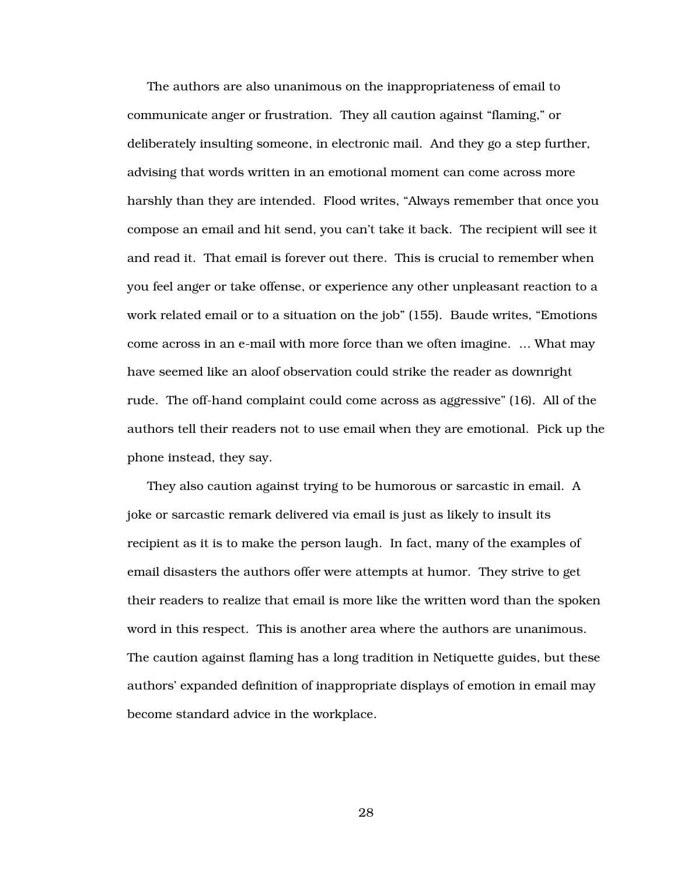The authors are also unanimous on the inappropriateness of email to communicate anger or frustration. They all caution against "flaming," or deliberately insulting someone, in electronic mail. And they go a step further, advising that words written in an emotional moment can come across more harshly than they are intended. Flood writes, "Always remember that once you compose an email and hit send, you can't take it back. The recipient will see it and read it. That email is forever out there. This is crucial to remember when you feel anger or take offense, or experience any other unpleasant reaction to a work related email or to a situation on the job" (155). Baude writes, "Emotions come across in an e-mail with more force than we often imagine. … What may have seemed like an aloof observation could strike the reader as downright rude. The off-hand complaint could come across as aggressive" (16). All of the authors tell their readers not to use email when they are emotional. Pick up the phone instead, they say.

They also caution against trying to be humorous or sarcastic in email. A joke or sarcastic remark delivered via email is just as likely to insult its recipient as it is to make the person laugh. In fact, many of the examples of email disasters the authors offer were attempts at humor. They strive to get their readers to realize that email is more like the written word than the spoken word in this respect. This is another area where the authors are unanimous. The caution against flaming has a long tradition in Netiquette guides, but these authors' expanded definition of inappropriate displays of emotion in email may become standard advice in the workplace.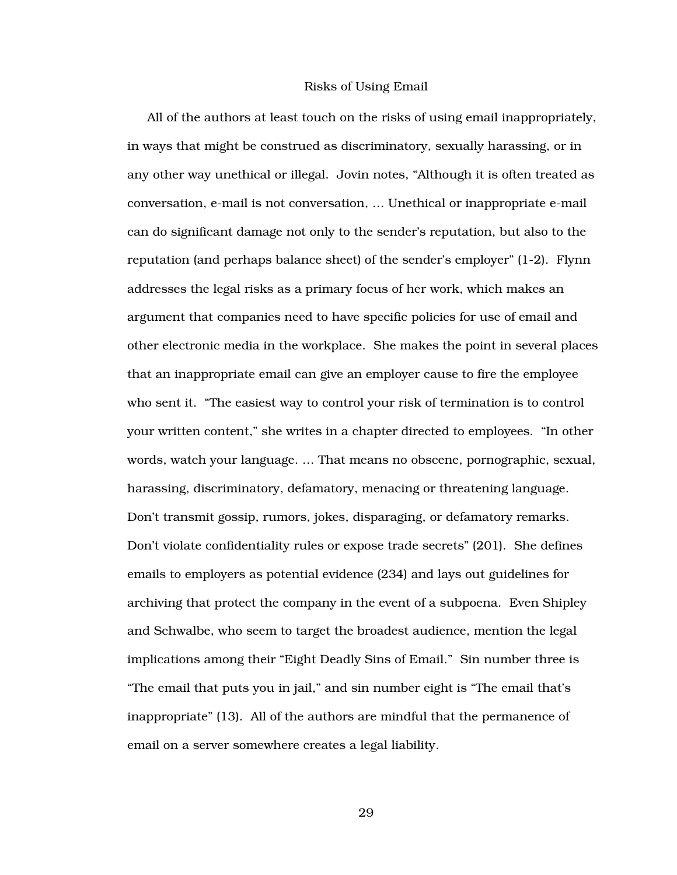#### Risks of Using Email

All of the authors at least touch on the risks of using email inappropriately, in ways that might be construed as discriminatory, sexually harassing, or in any other way unethical or illegal. Jovin notes, "Although it is often treated as conversation, e-mail is not conversation, … Unethical or inappropriate e-mail can do significant damage not only to the sender's reputation, but also to the reputation (and perhaps balance sheet) of the sender's employer" (1-2). Flynn addresses the legal risks as a primary focus of her work, which makes an argument that companies need to have specific policies for use of email and other electronic media in the workplace. She makes the point in several places that an inappropriate email can give an employer cause to fire the employee who sent it. "The easiest way to control your risk of termination is to control your written content," she writes in a chapter directed to employees. "In other words, watch your language. … That means no obscene, pornographic, sexual, harassing, discriminatory, defamatory, menacing or threatening language. Don't transmit gossip, rumors, jokes, disparaging, or defamatory remarks. Don't violate confidentiality rules or expose trade secrets" (201). She defines emails to employers as potential evidence (234) and lays out guidelines for archiving that protect the company in the event of a subpoena. Even Shipley and Schwalbe, who seem to target the broadest audience, mention the legal implications among their "Eight Deadly Sins of Email." Sin number three is "The email that puts you in jail," and sin number eight is "The email that's inappropriate" (13). All of the authors are mindful that the permanence of email on a server somewhere creates a legal liability.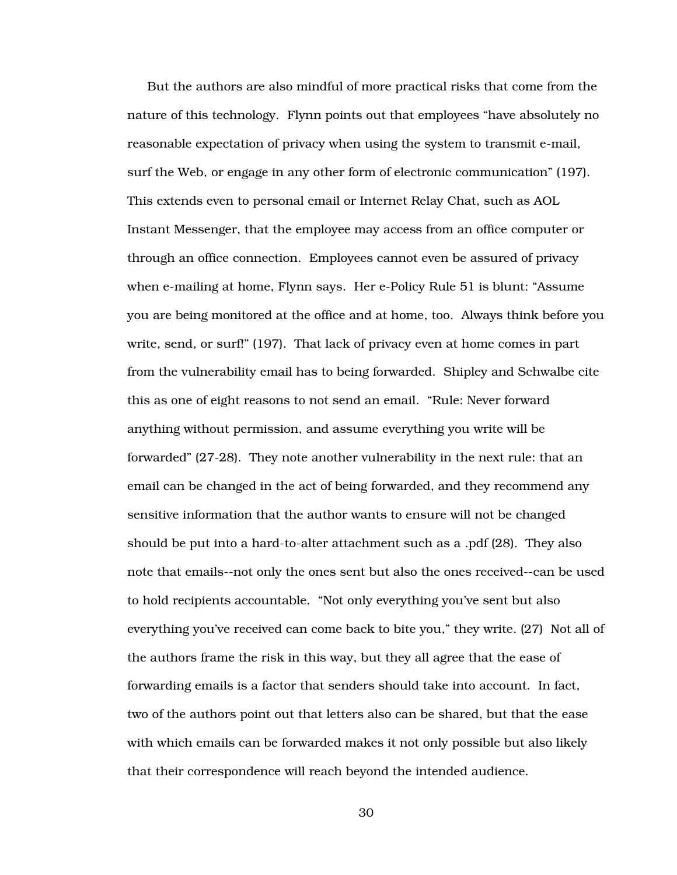But the authors are also mindful of more practical risks that come from the nature of this technology. Flynn points out that employees "have absolutely no reasonable expectation of privacy when using the system to transmit e-mail, surf the Web, or engage in any other form of electronic communication" (197). This extends even to personal email or Internet Relay Chat, such as AOL Instant Messenger, that the employee may access from an office computer or through an office connection. Employees cannot even be assured of privacy when e-mailing at home, Flynn says. Her e-Policy Rule 51 is blunt: "Assume you are being monitored at the office and at home, too. Always think before you write, send, or surf!" (197). That lack of privacy even at home comes in part from the vulnerability email has to being forwarded. Shipley and Schwalbe cite this as one of eight reasons to not send an email. "Rule: Never forward anything without permission, and assume everything you write will be forwarded" (27-28). They note another vulnerability in the next rule: that an email can be changed in the act of being forwarded, and they recommend any sensitive information that the author wants to ensure will not be changed should be put into a hard-to-alter attachment such as a .pdf (28). They also note that emails--not only the ones sent but also the ones received--can be used to hold recipients accountable. "Not only everything you've sent but also everything you've received can come back to bite you," they write. (27) Not all of the authors frame the risk in this way, but they all agree that the ease of forwarding emails is a factor that senders should take into account. In fact, two of the authors point out that letters also can be shared, but that the ease with which emails can be forwarded makes it not only possible but also likely that their correspondence will reach beyond the intended audience.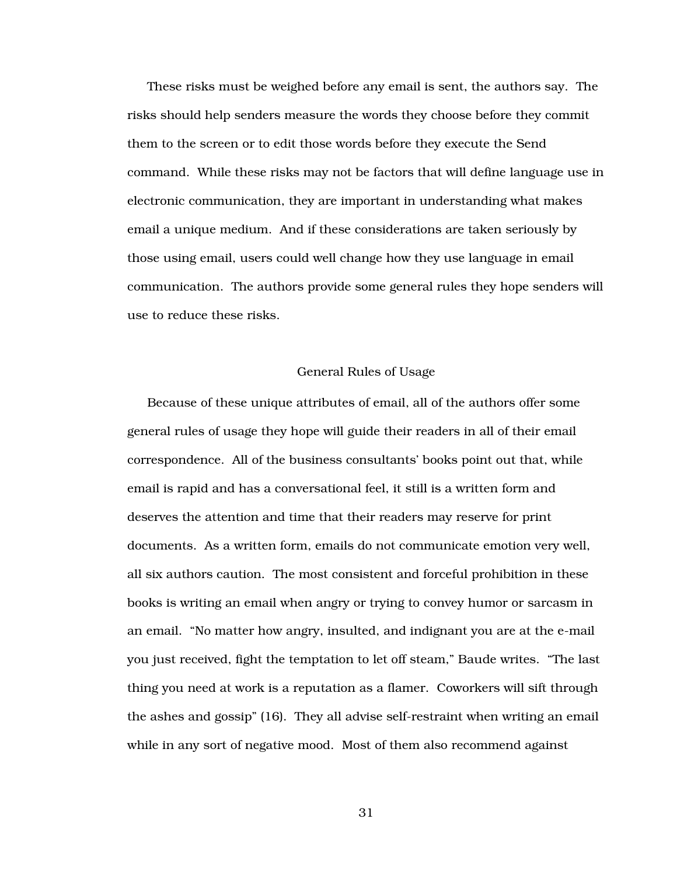These risks must be weighed before any email is sent, the authors say. The risks should help senders measure the words they choose before they commit them to the screen or to edit those words before they execute the Send command. While these risks may not be factors that will define language use in electronic communication, they are important in understanding what makes email a unique medium. And if these considerations are taken seriously by those using email, users could well change how they use language in email communication. The authors provide some general rules they hope senders will use to reduce these risks.

### General Rules of Usage

Because of these unique attributes of email, all of the authors offer some general rules of usage they hope will guide their readers in all of their email correspondence. All of the business consultants' books point out that, while email is rapid and has a conversational feel, it still is a written form and deserves the attention and time that their readers may reserve for print documents. As a written form, emails do not communicate emotion very well, all six authors caution. The most consistent and forceful prohibition in these books is writing an email when angry or trying to convey humor or sarcasm in an email. "No matter how angry, insulted, and indignant you are at the e-mail you just received, fight the temptation to let off steam," Baude writes. "The last thing you need at work is a reputation as a flamer. Coworkers will sift through the ashes and gossip" (16). They all advise self-restraint when writing an email while in any sort of negative mood. Most of them also recommend against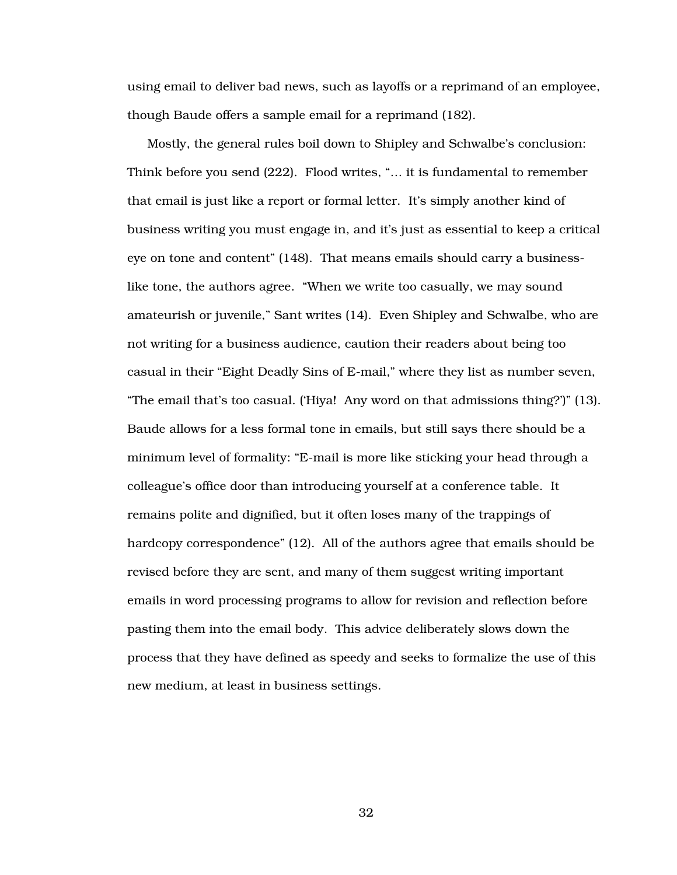using email to deliver bad news, such as layoffs or a reprimand of an employee, though Baude offers a sample email for a reprimand (182).

Mostly, the general rules boil down to Shipley and Schwalbe's conclusion: Think before you send (222). Flood writes, "… it is fundamental to remember that email is just like a report or formal letter. It's simply another kind of business writing you must engage in, and it's just as essential to keep a critical eye on tone and content" (148). That means emails should carry a businesslike tone, the authors agree. "When we write too casually, we may sound amateurish or juvenile," Sant writes (14). Even Shipley and Schwalbe, who are not writing for a business audience, caution their readers about being too casual in their "Eight Deadly Sins of E-mail," where they list as number seven, "The email that's too casual. ('Hiya! Any word on that admissions thing?')" (13). Baude allows for a less formal tone in emails, but still says there should be a minimum level of formality: "E-mail is more like sticking your head through a colleague's office door than introducing yourself at a conference table. It remains polite and dignified, but it often loses many of the trappings of hardcopy correspondence" (12). All of the authors agree that emails should be revised before they are sent, and many of them suggest writing important emails in word processing programs to allow for revision and reflection before pasting them into the email body. This advice deliberately slows down the process that they have defined as speedy and seeks to formalize the use of this new medium, at least in business settings.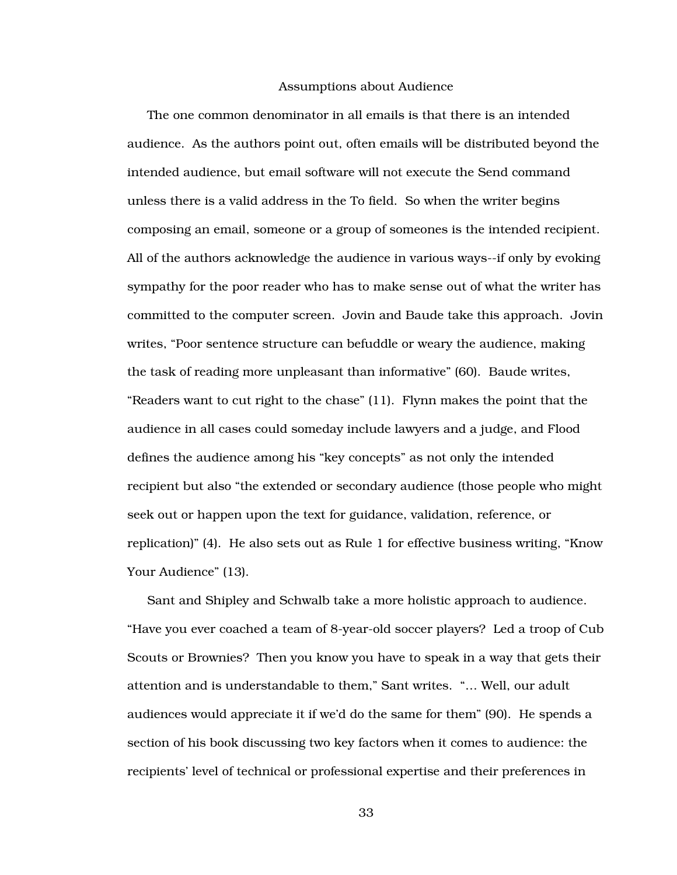### Assumptions about Audience

The one common denominator in all emails is that there is an intended audience. As the authors point out, often emails will be distributed beyond the intended audience, but email software will not execute the Send command unless there is a valid address in the To field. So when the writer begins composing an email, someone or a group of someones is the intended recipient. All of the authors acknowledge the audience in various ways--if only by evoking sympathy for the poor reader who has to make sense out of what the writer has committed to the computer screen. Jovin and Baude take this approach. Jovin writes, "Poor sentence structure can befuddle or weary the audience, making the task of reading more unpleasant than informative" (60). Baude writes, "Readers want to cut right to the chase" (11). Flynn makes the point that the audience in all cases could someday include lawyers and a judge, and Flood defines the audience among his "key concepts" as not only the intended recipient but also "the extended or secondary audience (those people who might seek out or happen upon the text for guidance, validation, reference, or replication)" (4). He also sets out as Rule 1 for effective business writing, "Know Your Audience" (13).

Sant and Shipley and Schwalb take a more holistic approach to audience. "Have you ever coached a team of 8-year-old soccer players? Led a troop of Cub Scouts or Brownies? Then you know you have to speak in a way that gets their attention and is understandable to them," Sant writes. "… Well, our adult audiences would appreciate it if we'd do the same for them" (90). He spends a section of his book discussing two key factors when it comes to audience: the recipients' level of technical or professional expertise and their preferences in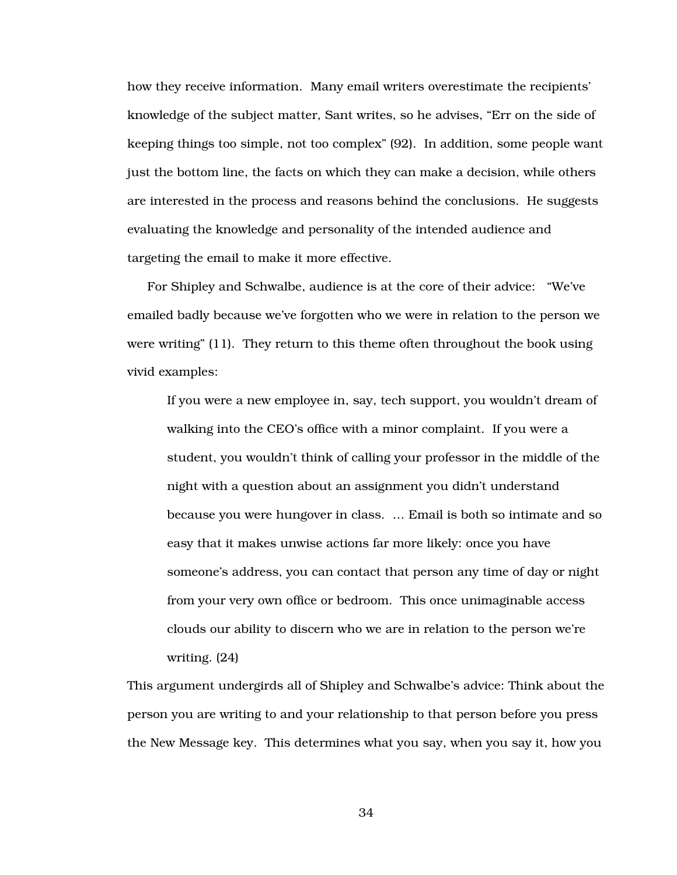how they receive information. Many email writers overestimate the recipients' knowledge of the subject matter, Sant writes, so he advises, "Err on the side of keeping things too simple, not too complex" (92). In addition, some people want just the bottom line, the facts on which they can make a decision, while others are interested in the process and reasons behind the conclusions. He suggests evaluating the knowledge and personality of the intended audience and targeting the email to make it more effective.

For Shipley and Schwalbe, audience is at the core of their advice: "We've emailed badly because we've forgotten who we were in relation to the person we were writing" (11). They return to this theme often throughout the book using vivid examples:

If you were a new employee in, say, tech support, you wouldn't dream of walking into the CEO's office with a minor complaint. If you were a student, you wouldn't think of calling your professor in the middle of the night with a question about an assignment you didn't understand because you were hungover in class. … Email is both so intimate and so easy that it makes unwise actions far more likely: once you have someone's address, you can contact that person any time of day or night from your very own office or bedroom. This once unimaginable access clouds our ability to discern who we are in relation to the person we're writing. (24)

This argument undergirds all of Shipley and Schwalbe's advice: Think about the person you are writing to and your relationship to that person before you press the New Message key. This determines what you say, when you say it, how you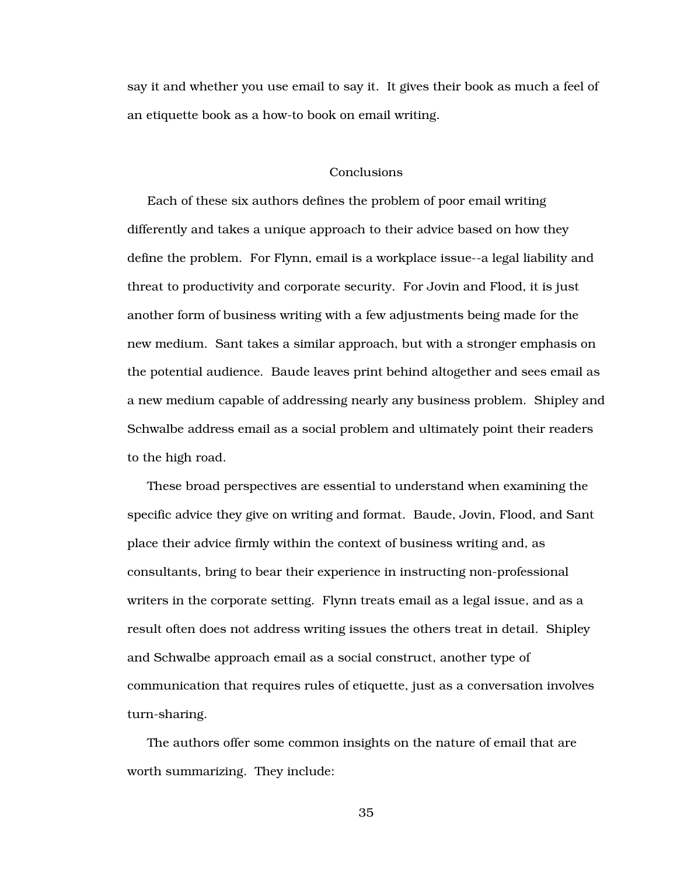say it and whether you use email to say it. It gives their book as much a feel of an etiquette book as a how-to book on email writing.

#### Conclusions

Each of these six authors defines the problem of poor email writing differently and takes a unique approach to their advice based on how they define the problem. For Flynn, email is a workplace issue--a legal liability and threat to productivity and corporate security. For Jovin and Flood, it is just another form of business writing with a few adjustments being made for the new medium. Sant takes a similar approach, but with a stronger emphasis on the potential audience. Baude leaves print behind altogether and sees email as a new medium capable of addressing nearly any business problem. Shipley and Schwalbe address email as a social problem and ultimately point their readers to the high road.

These broad perspectives are essential to understand when examining the specific advice they give on writing and format. Baude, Jovin, Flood, and Sant place their advice firmly within the context of business writing and, as consultants, bring to bear their experience in instructing non-professional writers in the corporate setting. Flynn treats email as a legal issue, and as a result often does not address writing issues the others treat in detail. Shipley and Schwalbe approach email as a social construct, another type of communication that requires rules of etiquette, just as a conversation involves turn-sharing.

The authors offer some common insights on the nature of email that are worth summarizing. They include: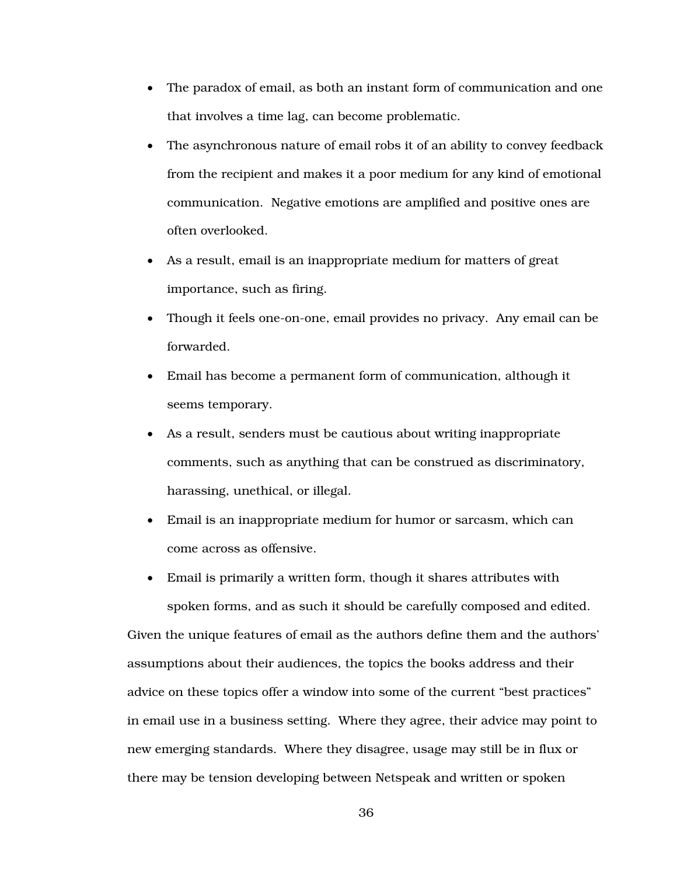- The paradox of email, as both an instant form of communication and one that involves a time lag, can become problematic.
- The asynchronous nature of email robs it of an ability to convey feedback from the recipient and makes it a poor medium for any kind of emotional communication. Negative emotions are amplified and positive ones are often overlooked.
- As a result, email is an inappropriate medium for matters of great importance, such as firing.
- Though it feels one-on-one, email provides no privacy. Any email can be forwarded.
- Email has become a permanent form of communication, although it seems temporary.
- As a result, senders must be cautious about writing inappropriate comments, such as anything that can be construed as discriminatory, harassing, unethical, or illegal.
- Email is an inappropriate medium for humor or sarcasm, which can come across as offensive.
- Email is primarily a written form, though it shares attributes with spoken forms, and as such it should be carefully composed and edited. Given the unique features of email as the authors define them and the authors' assumptions about their audiences, the topics the books address and their advice on these topics offer a window into some of the current "best practices" in email use in a business setting. Where they agree, their advice may point to new emerging standards. Where they disagree, usage may still be in flux or there may be tension developing between Netspeak and written or spoken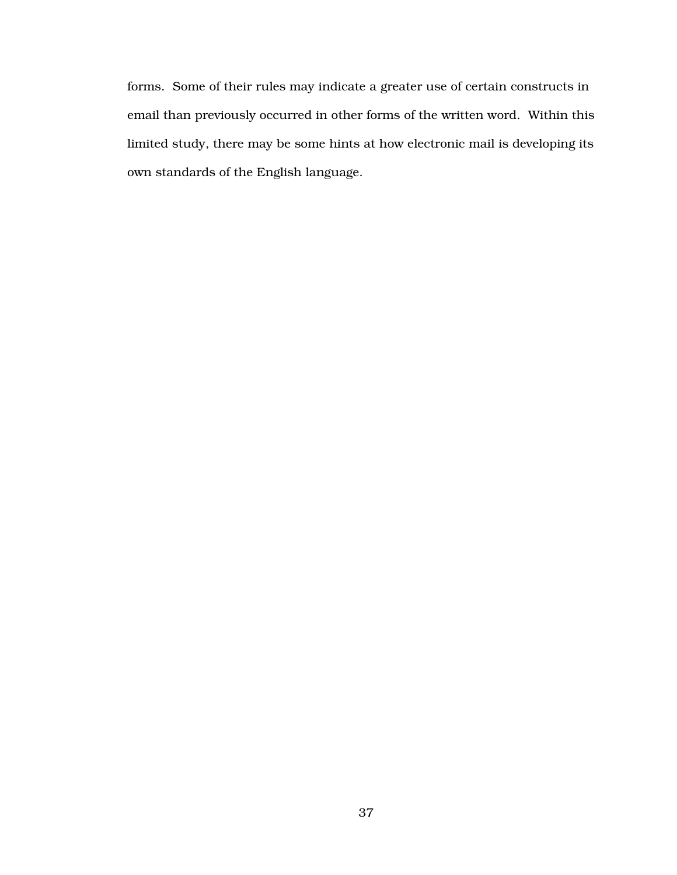forms. Some of their rules may indicate a greater use of certain constructs in email than previously occurred in other forms of the written word. Within this limited study, there may be some hints at how electronic mail is developing its own standards of the English language.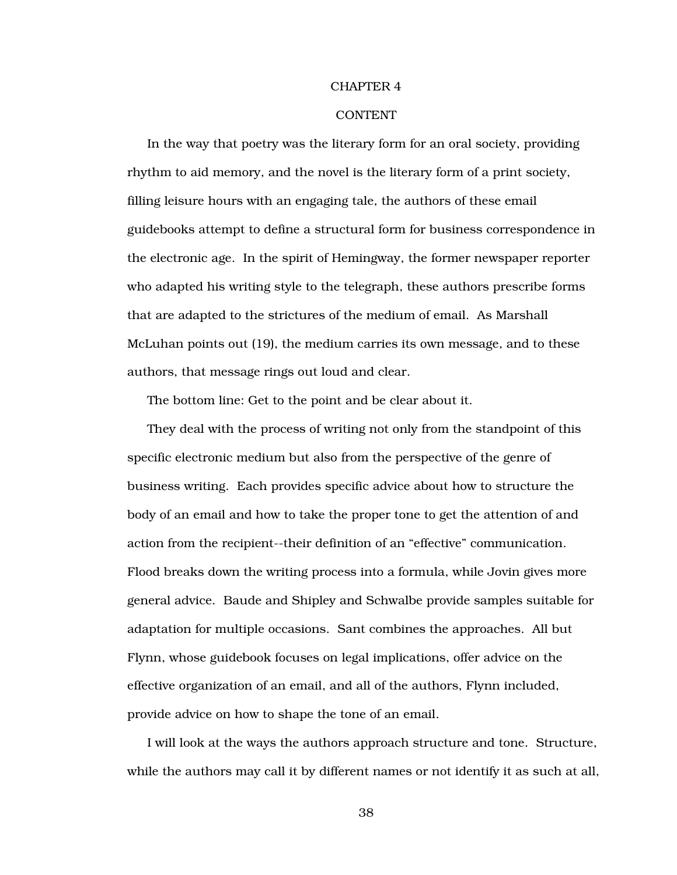#### CHAPTER 4

## **CONTENT**

In the way that poetry was the literary form for an oral society, providing rhythm to aid memory, and the novel is the literary form of a print society, filling leisure hours with an engaging tale, the authors of these email guidebooks attempt to define a structural form for business correspondence in the electronic age. In the spirit of Hemingway, the former newspaper reporter who adapted his writing style to the telegraph, these authors prescribe forms that are adapted to the strictures of the medium of email. As Marshall McLuhan points out (19), the medium carries its own message, and to these authors, that message rings out loud and clear.

The bottom line: Get to the point and be clear about it.

They deal with the process of writing not only from the standpoint of this specific electronic medium but also from the perspective of the genre of business writing. Each provides specific advice about how to structure the body of an email and how to take the proper tone to get the attention of and action from the recipient--their definition of an "effective" communication. Flood breaks down the writing process into a formula, while Jovin gives more general advice. Baude and Shipley and Schwalbe provide samples suitable for adaptation for multiple occasions. Sant combines the approaches. All but Flynn, whose guidebook focuses on legal implications, offer advice on the effective organization of an email, and all of the authors, Flynn included, provide advice on how to shape the tone of an email.

I will look at the ways the authors approach structure and tone. Structure, while the authors may call it by different names or not identify it as such at all,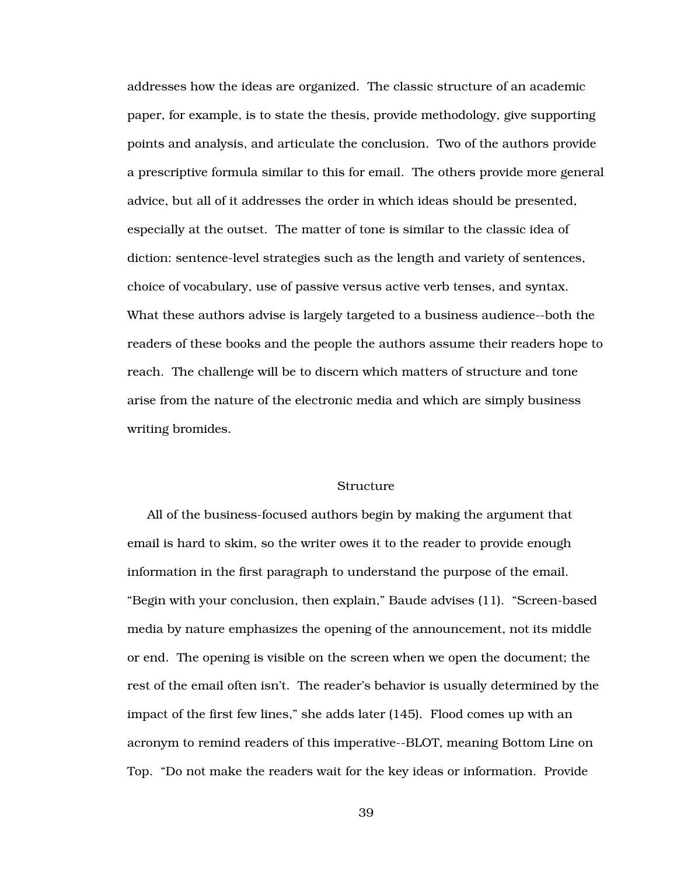addresses how the ideas are organized. The classic structure of an academic paper, for example, is to state the thesis, provide methodology, give supporting points and analysis, and articulate the conclusion. Two of the authors provide a prescriptive formula similar to this for email. The others provide more general advice, but all of it addresses the order in which ideas should be presented, especially at the outset. The matter of tone is similar to the classic idea of diction: sentence-level strategies such as the length and variety of sentences, choice of vocabulary, use of passive versus active verb tenses, and syntax. What these authors advise is largely targeted to a business audience--both the readers of these books and the people the authors assume their readers hope to reach. The challenge will be to discern which matters of structure and tone arise from the nature of the electronic media and which are simply business writing bromides.

## Structure

All of the business-focused authors begin by making the argument that email is hard to skim, so the writer owes it to the reader to provide enough information in the first paragraph to understand the purpose of the email. "Begin with your conclusion, then explain," Baude advises (11). "Screen-based media by nature emphasizes the opening of the announcement, not its middle or end. The opening is visible on the screen when we open the document; the rest of the email often isn't. The reader's behavior is usually determined by the impact of the first few lines," she adds later (145). Flood comes up with an acronym to remind readers of this imperative--BLOT, meaning Bottom Line on Top. "Do not make the readers wait for the key ideas or information. Provide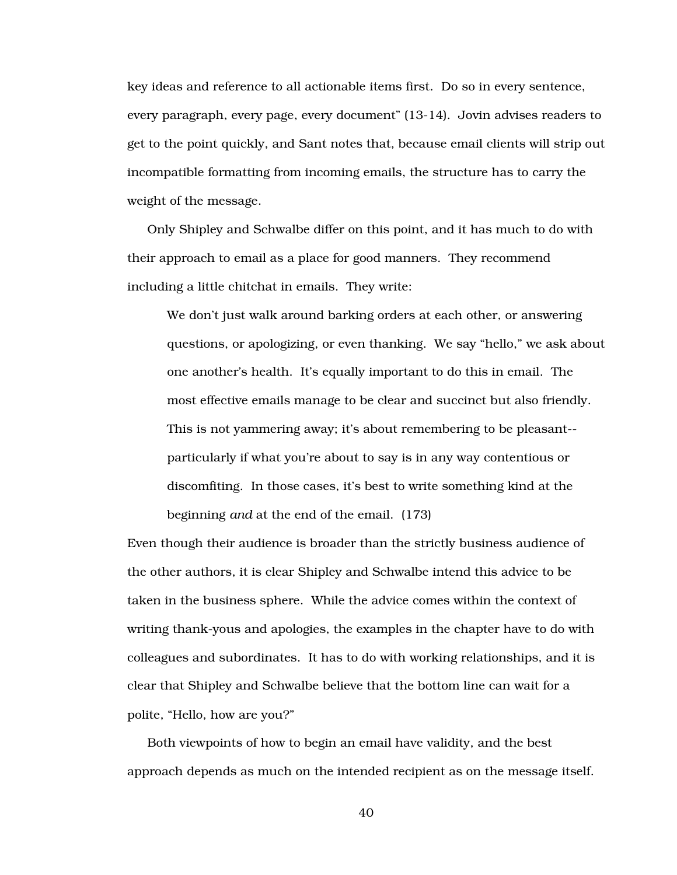key ideas and reference to all actionable items first. Do so in every sentence, every paragraph, every page, every document" (13-14). Jovin advises readers to get to the point quickly, and Sant notes that, because email clients will strip out incompatible formatting from incoming emails, the structure has to carry the weight of the message.

Only Shipley and Schwalbe differ on this point, and it has much to do with their approach to email as a place for good manners. They recommend including a little chitchat in emails. They write:

We don't just walk around barking orders at each other, or answering questions, or apologizing, or even thanking. We say "hello," we ask about one another's health. It's equally important to do this in email. The most effective emails manage to be clear and succinct but also friendly. This is not yammering away; it's about remembering to be pleasant- particularly if what you're about to say is in any way contentious or discomfiting. In those cases, it's best to write something kind at the beginning *and* at the end of the email. (173)

Even though their audience is broader than the strictly business audience of the other authors, it is clear Shipley and Schwalbe intend this advice to be taken in the business sphere. While the advice comes within the context of writing thank-yous and apologies, the examples in the chapter have to do with colleagues and subordinates. It has to do with working relationships, and it is clear that Shipley and Schwalbe believe that the bottom line can wait for a polite, "Hello, how are you?"

Both viewpoints of how to begin an email have validity, and the best approach depends as much on the intended recipient as on the message itself.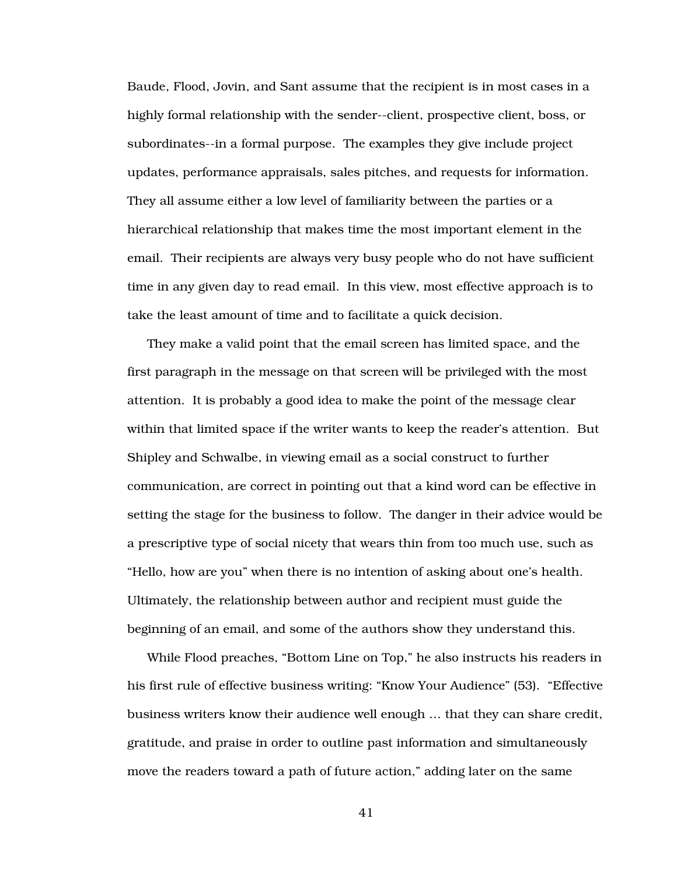Baude, Flood, Jovin, and Sant assume that the recipient is in most cases in a highly formal relationship with the sender--client, prospective client, boss, or subordinates--in a formal purpose. The examples they give include project updates, performance appraisals, sales pitches, and requests for information. They all assume either a low level of familiarity between the parties or a hierarchical relationship that makes time the most important element in the email. Their recipients are always very busy people who do not have sufficient time in any given day to read email. In this view, most effective approach is to take the least amount of time and to facilitate a quick decision.

They make a valid point that the email screen has limited space, and the first paragraph in the message on that screen will be privileged with the most attention. It is probably a good idea to make the point of the message clear within that limited space if the writer wants to keep the reader's attention. But Shipley and Schwalbe, in viewing email as a social construct to further communication, are correct in pointing out that a kind word can be effective in setting the stage for the business to follow. The danger in their advice would be a prescriptive type of social nicety that wears thin from too much use, such as "Hello, how are you" when there is no intention of asking about one's health. Ultimately, the relationship between author and recipient must guide the beginning of an email, and some of the authors show they understand this.

While Flood preaches, "Bottom Line on Top," he also instructs his readers in his first rule of effective business writing: "Know Your Audience" (53). "Effective business writers know their audience well enough … that they can share credit, gratitude, and praise in order to outline past information and simultaneously move the readers toward a path of future action," adding later on the same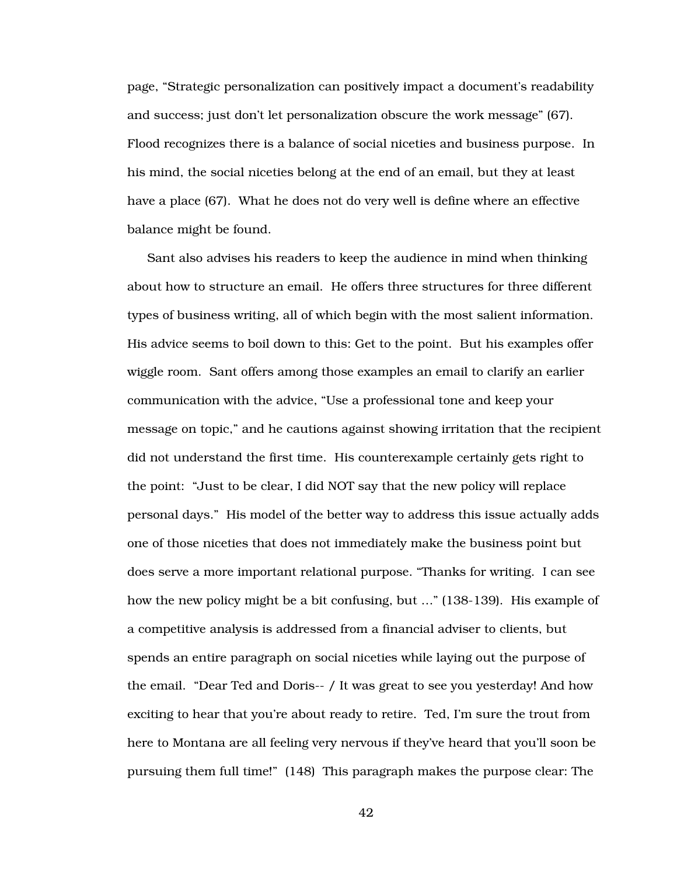page, "Strategic personalization can positively impact a document's readability and success; just don't let personalization obscure the work message" (67). Flood recognizes there is a balance of social niceties and business purpose. In his mind, the social niceties belong at the end of an email, but they at least have a place (67). What he does not do very well is define where an effective balance might be found.

Sant also advises his readers to keep the audience in mind when thinking about how to structure an email. He offers three structures for three different types of business writing, all of which begin with the most salient information. His advice seems to boil down to this: Get to the point. But his examples offer wiggle room. Sant offers among those examples an email to clarify an earlier communication with the advice, "Use a professional tone and keep your message on topic," and he cautions against showing irritation that the recipient did not understand the first time. His counterexample certainly gets right to the point: "Just to be clear, I did NOT say that the new policy will replace personal days." His model of the better way to address this issue actually adds one of those niceties that does not immediately make the business point but does serve a more important relational purpose. "Thanks for writing. I can see how the new policy might be a bit confusing, but …" (138-139). His example of a competitive analysis is addressed from a financial adviser to clients, but spends an entire paragraph on social niceties while laying out the purpose of the email. "Dear Ted and Doris-- / It was great to see you yesterday! And how exciting to hear that you're about ready to retire. Ted, I'm sure the trout from here to Montana are all feeling very nervous if they've heard that you'll soon be pursuing them full time!" (148) This paragraph makes the purpose clear: The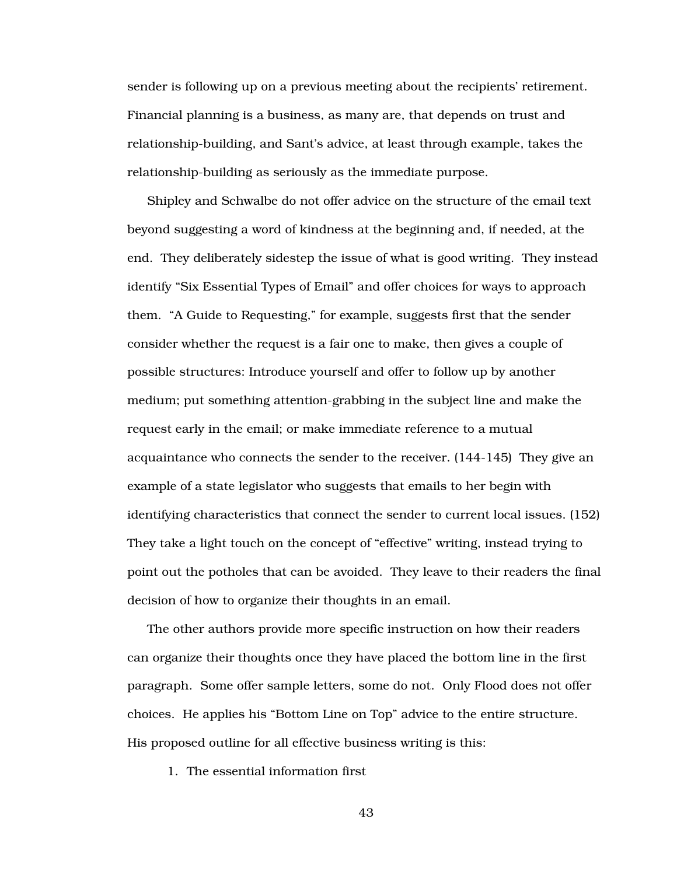sender is following up on a previous meeting about the recipients' retirement. Financial planning is a business, as many are, that depends on trust and relationship-building, and Sant's advice, at least through example, takes the relationship-building as seriously as the immediate purpose.

Shipley and Schwalbe do not offer advice on the structure of the email text beyond suggesting a word of kindness at the beginning and, if needed, at the end. They deliberately sidestep the issue of what is good writing. They instead identify "Six Essential Types of Email" and offer choices for ways to approach them. "A Guide to Requesting," for example, suggests first that the sender consider whether the request is a fair one to make, then gives a couple of possible structures: Introduce yourself and offer to follow up by another medium; put something attention-grabbing in the subject line and make the request early in the email; or make immediate reference to a mutual acquaintance who connects the sender to the receiver. (144-145) They give an example of a state legislator who suggests that emails to her begin with identifying characteristics that connect the sender to current local issues. (152) They take a light touch on the concept of "effective" writing, instead trying to point out the potholes that can be avoided. They leave to their readers the final decision of how to organize their thoughts in an email.

The other authors provide more specific instruction on how their readers can organize their thoughts once they have placed the bottom line in the first paragraph. Some offer sample letters, some do not. Only Flood does not offer choices. He applies his "Bottom Line on Top" advice to the entire structure. His proposed outline for all effective business writing is this:

1. The essential information first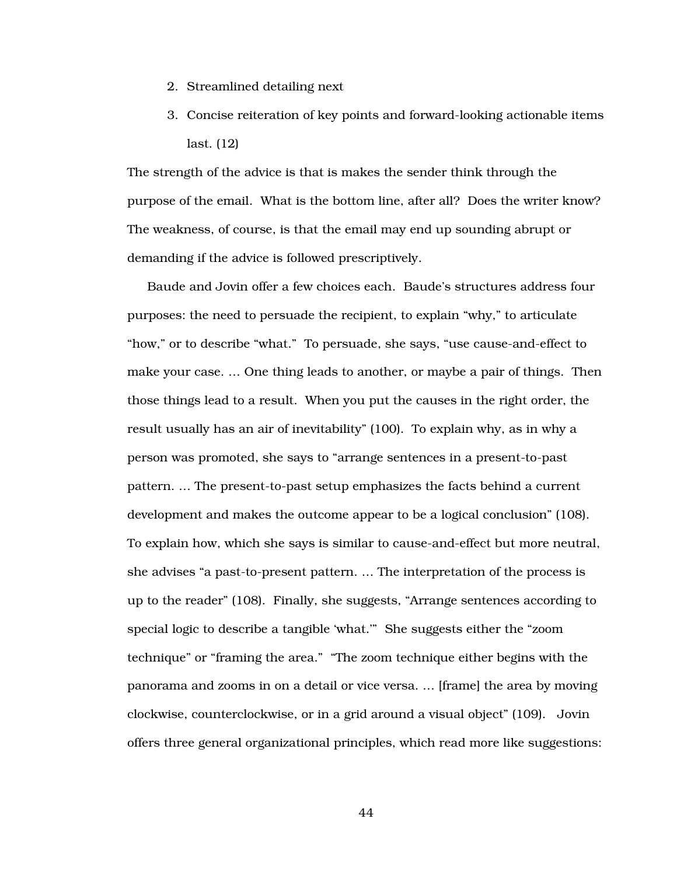- 2. Streamlined detailing next
- 3. Concise reiteration of key points and forward-looking actionable items last. (12)

The strength of the advice is that is makes the sender think through the purpose of the email. What is the bottom line, after all? Does the writer know? The weakness, of course, is that the email may end up sounding abrupt or demanding if the advice is followed prescriptively.

Baude and Jovin offer a few choices each. Baude's structures address four purposes: the need to persuade the recipient, to explain "why," to articulate "how," or to describe "what." To persuade, she says, "use cause-and-effect to make your case. … One thing leads to another, or maybe a pair of things. Then those things lead to a result. When you put the causes in the right order, the result usually has an air of inevitability" (100). To explain why, as in why a person was promoted, she says to "arrange sentences in a present-to-past pattern. … The present-to-past setup emphasizes the facts behind a current development and makes the outcome appear to be a logical conclusion" (108). To explain how, which she says is similar to cause-and-effect but more neutral, she advises "a past-to-present pattern. … The interpretation of the process is up to the reader" (108). Finally, she suggests, "Arrange sentences according to special logic to describe a tangible 'what.'" She suggests either the "zoom technique" or "framing the area." "The zoom technique either begins with the panorama and zooms in on a detail or vice versa. … [frame] the area by moving clockwise, counterclockwise, or in a grid around a visual object" (109). Jovin offers three general organizational principles, which read more like suggestions: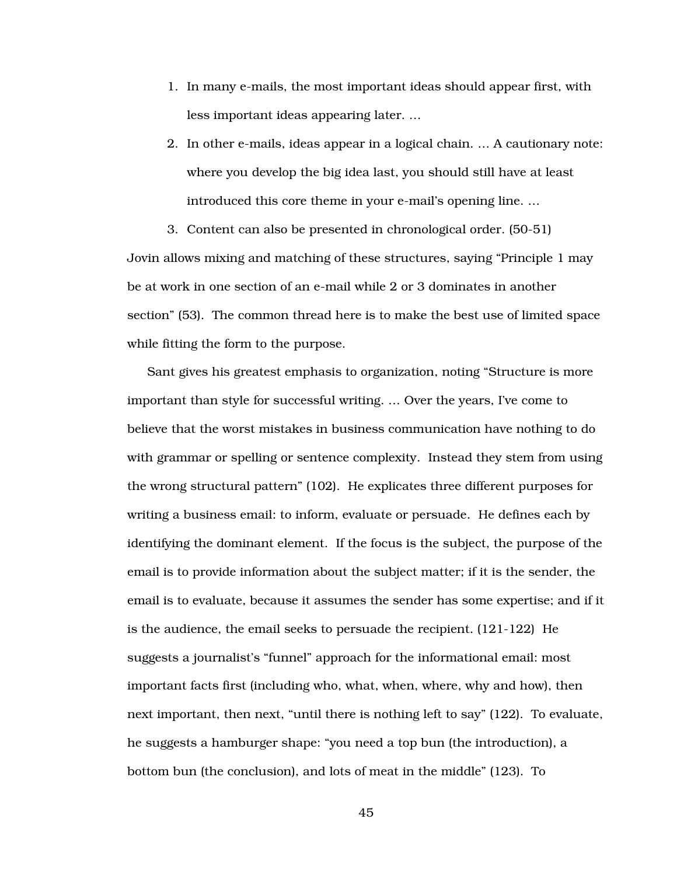- 1. In many e-mails, the most important ideas should appear first, with less important ideas appearing later. …
- 2. In other e-mails, ideas appear in a logical chain. … A cautionary note: where you develop the big idea last, you should still have at least introduced this core theme in your e-mail's opening line. …

3. Content can also be presented in chronological order. (50-51) Jovin allows mixing and matching of these structures, saying "Principle 1 may be at work in one section of an e-mail while 2 or 3 dominates in another section" (53). The common thread here is to make the best use of limited space while fitting the form to the purpose.

Sant gives his greatest emphasis to organization, noting "Structure is more important than style for successful writing. … Over the years, I've come to believe that the worst mistakes in business communication have nothing to do with grammar or spelling or sentence complexity. Instead they stem from using the wrong structural pattern" (102). He explicates three different purposes for writing a business email: to inform, evaluate or persuade. He defines each by identifying the dominant element. If the focus is the subject, the purpose of the email is to provide information about the subject matter; if it is the sender, the email is to evaluate, because it assumes the sender has some expertise; and if it is the audience, the email seeks to persuade the recipient. (121-122) He suggests a journalist's "funnel" approach for the informational email: most important facts first (including who, what, when, where, why and how), then next important, then next, "until there is nothing left to say" (122). To evaluate, he suggests a hamburger shape: "you need a top bun (the introduction), a bottom bun (the conclusion), and lots of meat in the middle" (123). To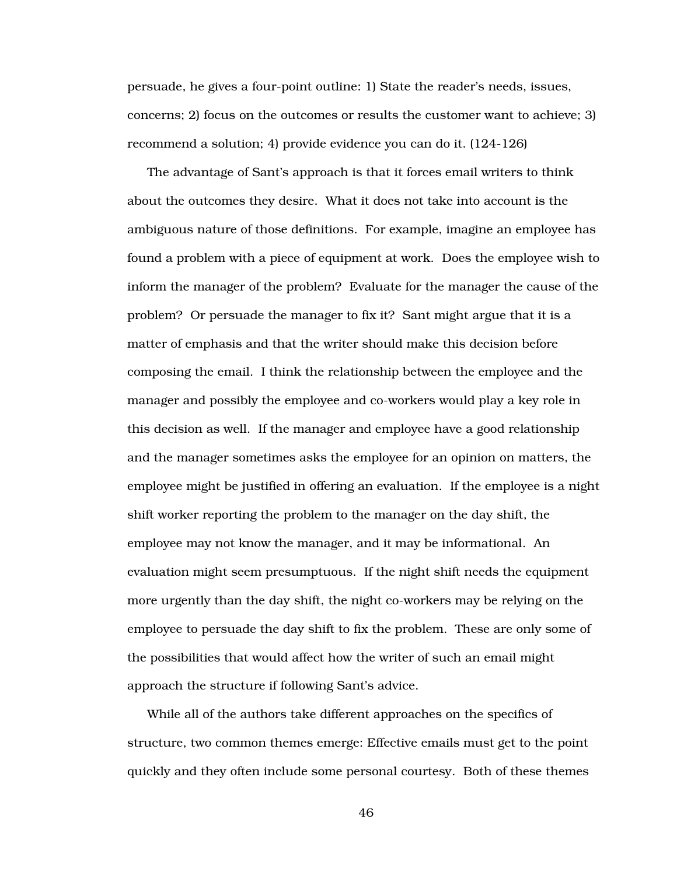persuade, he gives a four-point outline: 1) State the reader's needs, issues, concerns; 2) focus on the outcomes or results the customer want to achieve; 3) recommend a solution; 4) provide evidence you can do it. (124-126)

The advantage of Sant's approach is that it forces email writers to think about the outcomes they desire. What it does not take into account is the ambiguous nature of those definitions. For example, imagine an employee has found a problem with a piece of equipment at work. Does the employee wish to inform the manager of the problem? Evaluate for the manager the cause of the problem? Or persuade the manager to fix it? Sant might argue that it is a matter of emphasis and that the writer should make this decision before composing the email. I think the relationship between the employee and the manager and possibly the employee and co-workers would play a key role in this decision as well. If the manager and employee have a good relationship and the manager sometimes asks the employee for an opinion on matters, the employee might be justified in offering an evaluation. If the employee is a night shift worker reporting the problem to the manager on the day shift, the employee may not know the manager, and it may be informational. An evaluation might seem presumptuous. If the night shift needs the equipment more urgently than the day shift, the night co-workers may be relying on the employee to persuade the day shift to fix the problem. These are only some of the possibilities that would affect how the writer of such an email might approach the structure if following Sant's advice.

While all of the authors take different approaches on the specifics of structure, two common themes emerge: Effective emails must get to the point quickly and they often include some personal courtesy. Both of these themes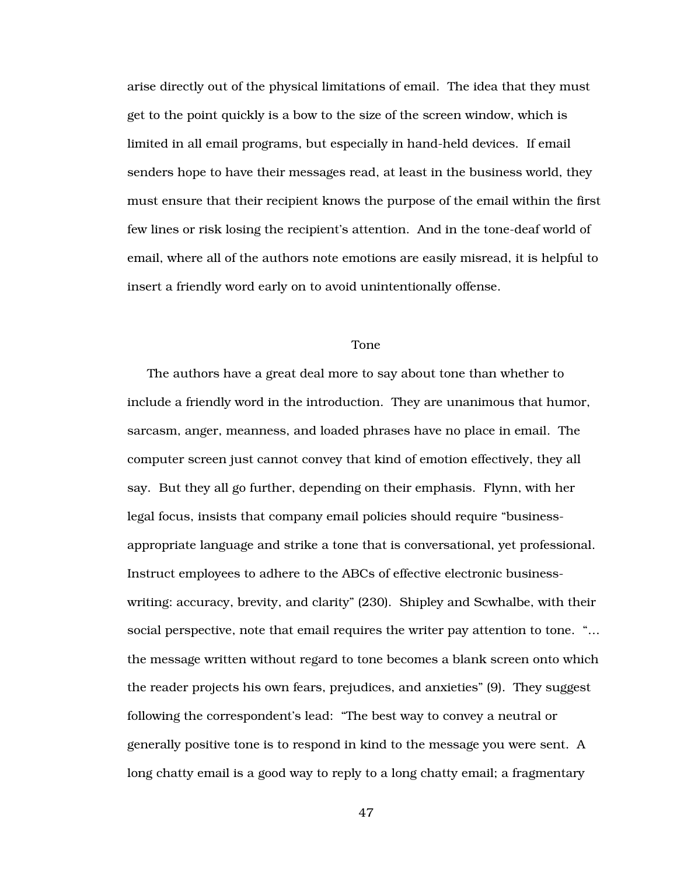arise directly out of the physical limitations of email. The idea that they must get to the point quickly is a bow to the size of the screen window, which is limited in all email programs, but especially in hand-held devices. If email senders hope to have their messages read, at least in the business world, they must ensure that their recipient knows the purpose of the email within the first few lines or risk losing the recipient's attention. And in the tone-deaf world of email, where all of the authors note emotions are easily misread, it is helpful to insert a friendly word early on to avoid unintentionally offense.

### Tone

The authors have a great deal more to say about tone than whether to include a friendly word in the introduction. They are unanimous that humor, sarcasm, anger, meanness, and loaded phrases have no place in email. The computer screen just cannot convey that kind of emotion effectively, they all say. But they all go further, depending on their emphasis. Flynn, with her legal focus, insists that company email policies should require "businessappropriate language and strike a tone that is conversational, yet professional. Instruct employees to adhere to the ABCs of effective electronic businesswriting: accuracy, brevity, and clarity" (230). Shipley and Scwhalbe, with their social perspective, note that email requires the writer pay attention to tone. "… the message written without regard to tone becomes a blank screen onto which the reader projects his own fears, prejudices, and anxieties" (9). They suggest following the correspondent's lead: "The best way to convey a neutral or generally positive tone is to respond in kind to the message you were sent. A long chatty email is a good way to reply to a long chatty email; a fragmentary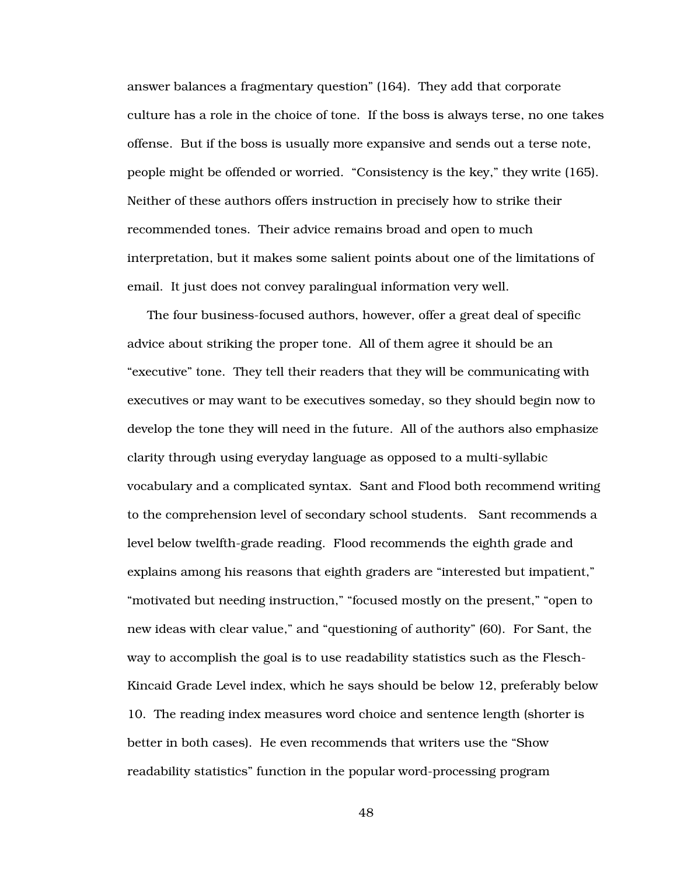answer balances a fragmentary question" (164). They add that corporate culture has a role in the choice of tone. If the boss is always terse, no one takes offense. But if the boss is usually more expansive and sends out a terse note, people might be offended or worried. "Consistency is the key," they write (165). Neither of these authors offers instruction in precisely how to strike their recommended tones. Their advice remains broad and open to much interpretation, but it makes some salient points about one of the limitations of email. It just does not convey paralingual information very well.

The four business-focused authors, however, offer a great deal of specific advice about striking the proper tone. All of them agree it should be an "executive" tone. They tell their readers that they will be communicating with executives or may want to be executives someday, so they should begin now to develop the tone they will need in the future. All of the authors also emphasize clarity through using everyday language as opposed to a multi-syllabic vocabulary and a complicated syntax. Sant and Flood both recommend writing to the comprehension level of secondary school students. Sant recommends a level below twelfth-grade reading. Flood recommends the eighth grade and explains among his reasons that eighth graders are "interested but impatient," "motivated but needing instruction," "focused mostly on the present," "open to new ideas with clear value," and "questioning of authority" (60). For Sant, the way to accomplish the goal is to use readability statistics such as the Flesch-Kincaid Grade Level index, which he says should be below 12, preferably below 10. The reading index measures word choice and sentence length (shorter is better in both cases). He even recommends that writers use the "Show readability statistics" function in the popular word-processing program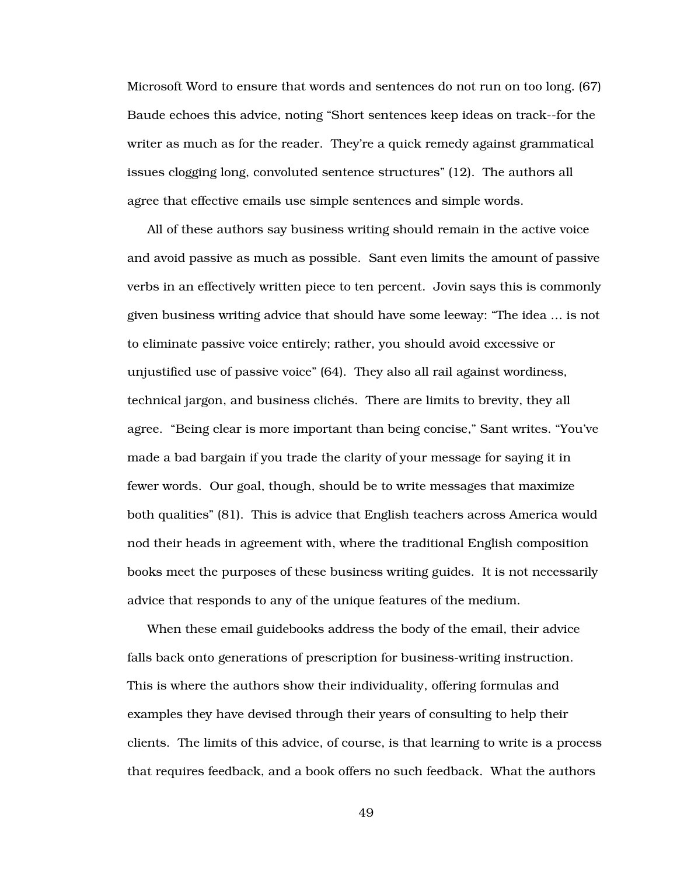Microsoft Word to ensure that words and sentences do not run on too long. (67) Baude echoes this advice, noting "Short sentences keep ideas on track--for the writer as much as for the reader. They're a quick remedy against grammatical issues clogging long, convoluted sentence structures" (12). The authors all agree that effective emails use simple sentences and simple words.

All of these authors say business writing should remain in the active voice and avoid passive as much as possible. Sant even limits the amount of passive verbs in an effectively written piece to ten percent. Jovin says this is commonly given business writing advice that should have some leeway: "The idea … is not to eliminate passive voice entirely; rather, you should avoid excessive or unjustified use of passive voice" (64). They also all rail against wordiness, technical jargon, and business clichés. There are limits to brevity, they all agree. "Being clear is more important than being concise," Sant writes. "You've made a bad bargain if you trade the clarity of your message for saying it in fewer words. Our goal, though, should be to write messages that maximize both qualities" (81). This is advice that English teachers across America would nod their heads in agreement with, where the traditional English composition books meet the purposes of these business writing guides. It is not necessarily advice that responds to any of the unique features of the medium.

When these email guidebooks address the body of the email, their advice falls back onto generations of prescription for business-writing instruction. This is where the authors show their individuality, offering formulas and examples they have devised through their years of consulting to help their clients. The limits of this advice, of course, is that learning to write is a process that requires feedback, and a book offers no such feedback. What the authors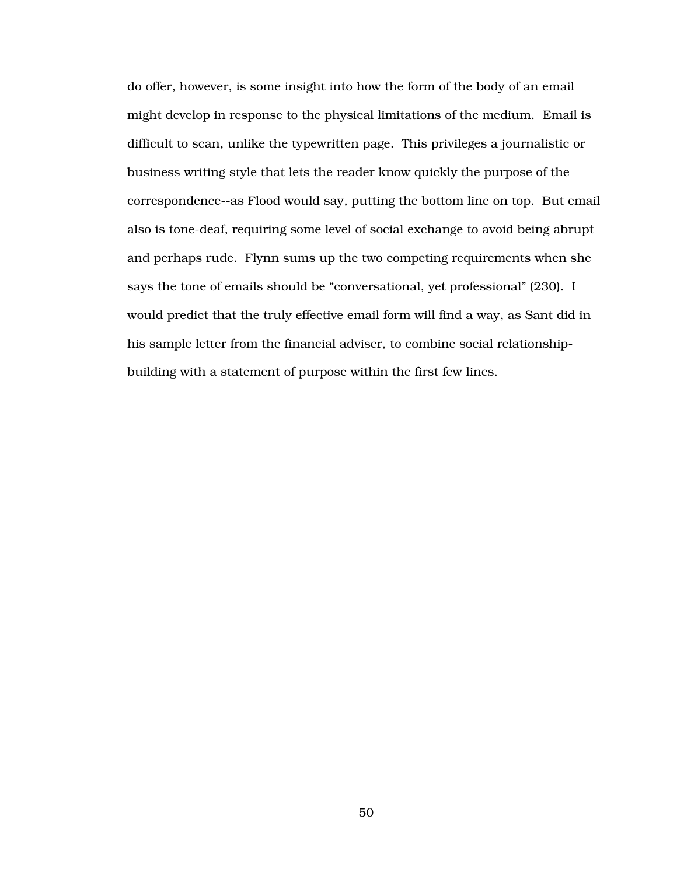do offer, however, is some insight into how the form of the body of an email might develop in response to the physical limitations of the medium. Email is difficult to scan, unlike the typewritten page. This privileges a journalistic or business writing style that lets the reader know quickly the purpose of the correspondence--as Flood would say, putting the bottom line on top. But email also is tone-deaf, requiring some level of social exchange to avoid being abrupt and perhaps rude. Flynn sums up the two competing requirements when she says the tone of emails should be "conversational, yet professional" (230). I would predict that the truly effective email form will find a way, as Sant did in his sample letter from the financial adviser, to combine social relationshipbuilding with a statement of purpose within the first few lines.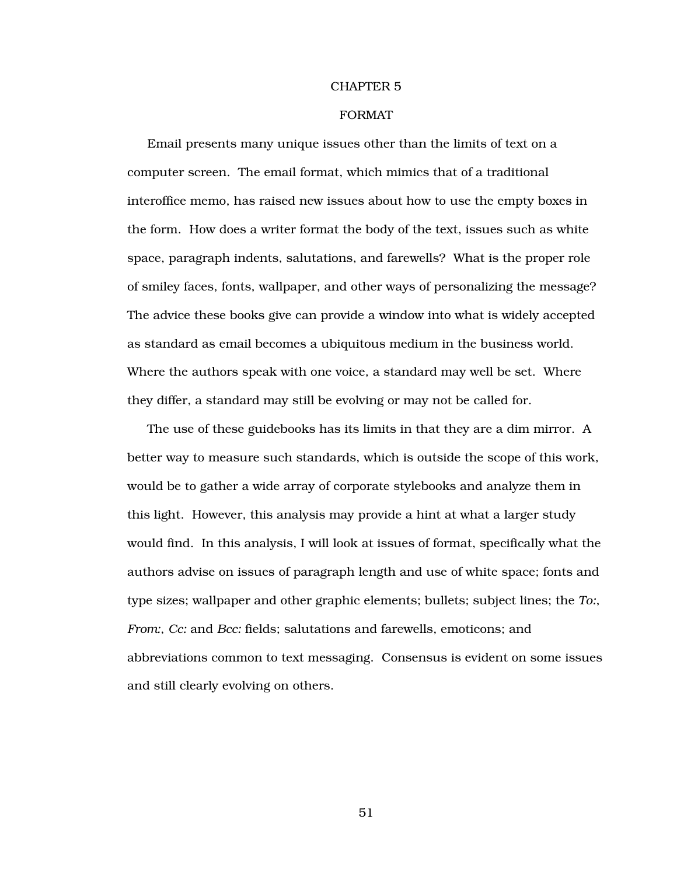### CHAPTER 5

## FORMAT

Email presents many unique issues other than the limits of text on a computer screen. The email format, which mimics that of a traditional interoffice memo, has raised new issues about how to use the empty boxes in the form. How does a writer format the body of the text, issues such as white space, paragraph indents, salutations, and farewells? What is the proper role of smiley faces, fonts, wallpaper, and other ways of personalizing the message? The advice these books give can provide a window into what is widely accepted as standard as email becomes a ubiquitous medium in the business world. Where the authors speak with one voice, a standard may well be set. Where they differ, a standard may still be evolving or may not be called for.

The use of these guidebooks has its limits in that they are a dim mirror. A better way to measure such standards, which is outside the scope of this work, would be to gather a wide array of corporate stylebooks and analyze them in this light. However, this analysis may provide a hint at what a larger study would find. In this analysis, I will look at issues of format, specifically what the authors advise on issues of paragraph length and use of white space; fonts and type sizes; wallpaper and other graphic elements; bullets; subject lines; the *To:*, *From:*, *Cc:* and *Bcc:* fields; salutations and farewells, emoticons; and abbreviations common to text messaging. Consensus is evident on some issues and still clearly evolving on others.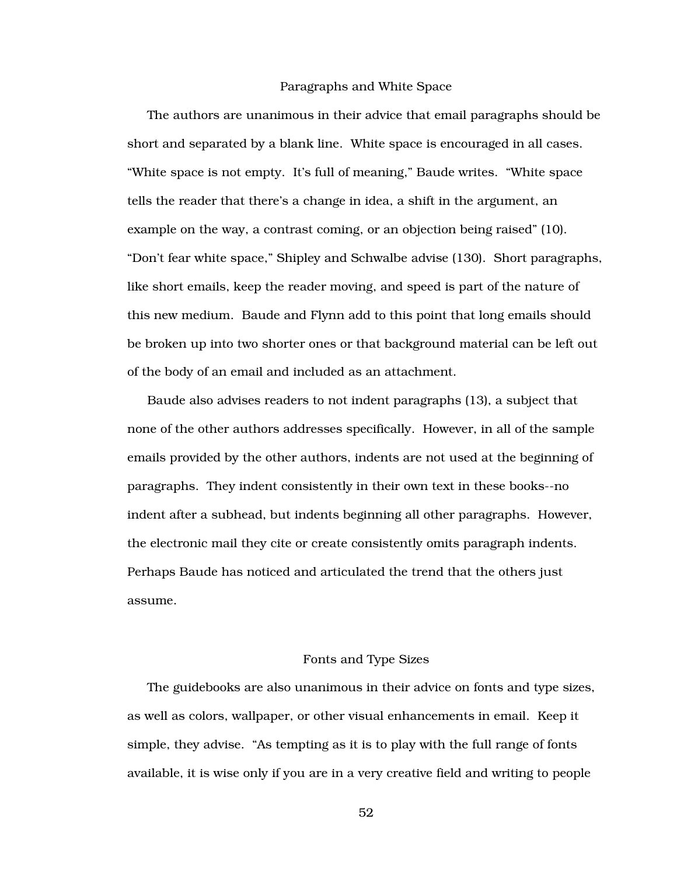### Paragraphs and White Space

The authors are unanimous in their advice that email paragraphs should be short and separated by a blank line. White space is encouraged in all cases. "White space is not empty. It's full of meaning," Baude writes. "White space tells the reader that there's a change in idea, a shift in the argument, an example on the way, a contrast coming, or an objection being raised" (10). "Don't fear white space," Shipley and Schwalbe advise (130). Short paragraphs, like short emails, keep the reader moving, and speed is part of the nature of this new medium. Baude and Flynn add to this point that long emails should be broken up into two shorter ones or that background material can be left out of the body of an email and included as an attachment.

Baude also advises readers to not indent paragraphs (13), a subject that none of the other authors addresses specifically. However, in all of the sample emails provided by the other authors, indents are not used at the beginning of paragraphs. They indent consistently in their own text in these books--no indent after a subhead, but indents beginning all other paragraphs. However, the electronic mail they cite or create consistently omits paragraph indents. Perhaps Baude has noticed and articulated the trend that the others just assume.

#### Fonts and Type Sizes

The guidebooks are also unanimous in their advice on fonts and type sizes, as well as colors, wallpaper, or other visual enhancements in email. Keep it simple, they advise. "As tempting as it is to play with the full range of fonts available, it is wise only if you are in a very creative field and writing to people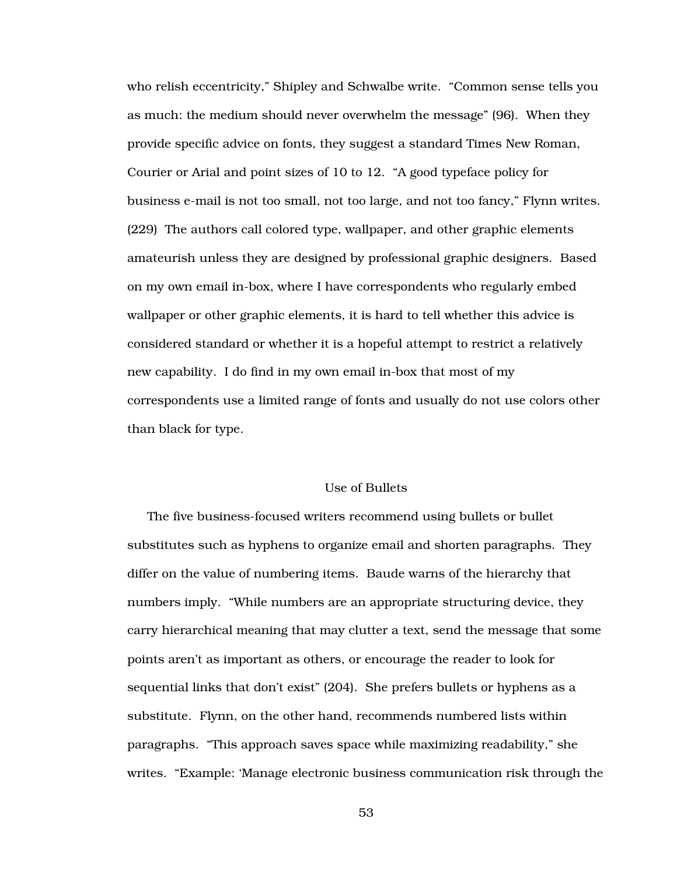who relish eccentricity," Shipley and Schwalbe write. "Common sense tells you as much: the medium should never overwhelm the message" (96). When they provide specific advice on fonts, they suggest a standard Times New Roman, Courier or Arial and point sizes of 10 to 12. "A good typeface policy for business e-mail is not too small, not too large, and not too fancy," Flynn writes. (229) The authors call colored type, wallpaper, and other graphic elements amateurish unless they are designed by professional graphic designers. Based on my own email in-box, where I have correspondents who regularly embed wallpaper or other graphic elements, it is hard to tell whether this advice is considered standard or whether it is a hopeful attempt to restrict a relatively new capability. I do find in my own email in-box that most of my correspondents use a limited range of fonts and usually do not use colors other than black for type.

## Use of Bullets

The five business-focused writers recommend using bullets or bullet substitutes such as hyphens to organize email and shorten paragraphs. They differ on the value of numbering items. Baude warns of the hierarchy that numbers imply. "While numbers are an appropriate structuring device, they carry hierarchical meaning that may clutter a text, send the message that some points aren't as important as others, or encourage the reader to look for sequential links that don't exist" (204). She prefers bullets or hyphens as a substitute. Flynn, on the other hand, recommends numbered lists within paragraphs. "This approach saves space while maximizing readability," she writes. "Example: 'Manage electronic business communication risk through the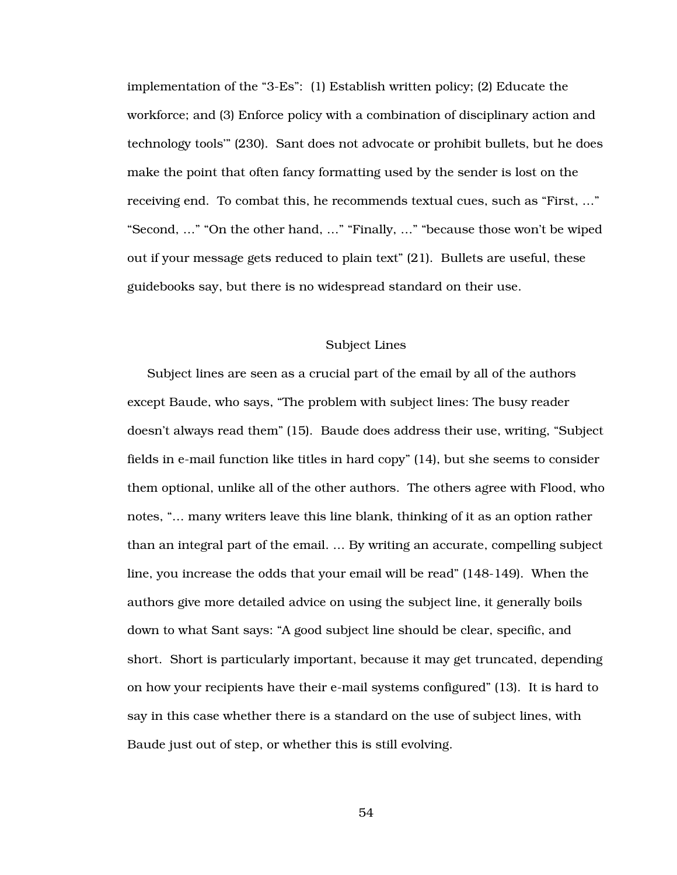implementation of the "3-Es": (1) Establish written policy; (2) Educate the workforce; and (3) Enforce policy with a combination of disciplinary action and technology tools'" (230). Sant does not advocate or prohibit bullets, but he does make the point that often fancy formatting used by the sender is lost on the receiving end. To combat this, he recommends textual cues, such as "First, …" "Second, …" "On the other hand, …" "Finally, …" "because those won't be wiped out if your message gets reduced to plain text" (21). Bullets are useful, these guidebooks say, but there is no widespread standard on their use.

### Subject Lines

Subject lines are seen as a crucial part of the email by all of the authors except Baude, who says, "The problem with subject lines: The busy reader doesn't always read them" (15). Baude does address their use, writing, "Subject fields in e-mail function like titles in hard copy" (14), but she seems to consider them optional, unlike all of the other authors. The others agree with Flood, who notes, "… many writers leave this line blank, thinking of it as an option rather than an integral part of the email. … By writing an accurate, compelling subject line, you increase the odds that your email will be read" (148-149). When the authors give more detailed advice on using the subject line, it generally boils down to what Sant says: "A good subject line should be clear, specific, and short. Short is particularly important, because it may get truncated, depending on how your recipients have their e-mail systems configured" (13). It is hard to say in this case whether there is a standard on the use of subject lines, with Baude just out of step, or whether this is still evolving.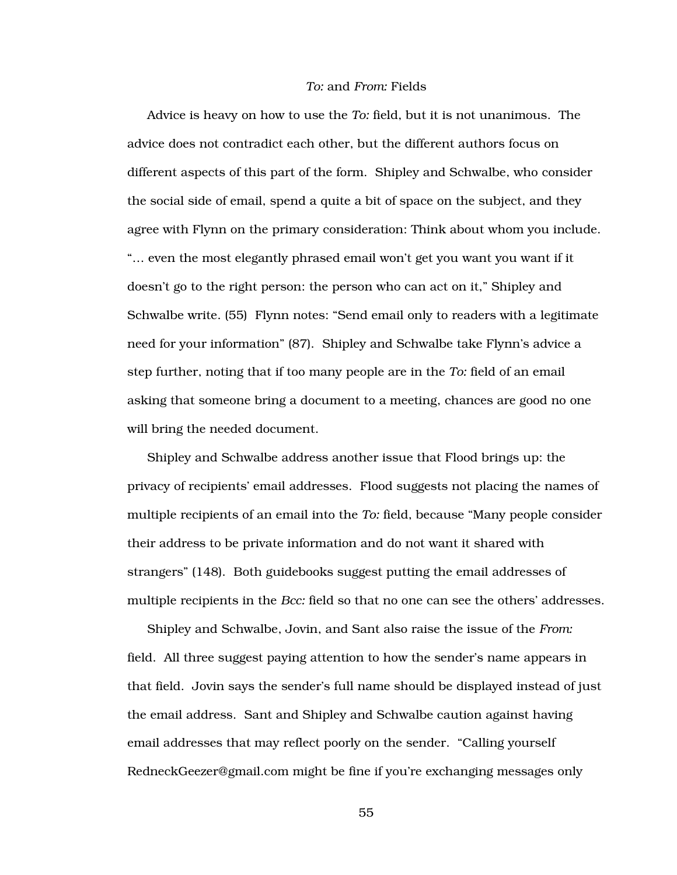#### *To:* and *From:* Fields

Advice is heavy on how to use the *To:* field, but it is not unanimous. The advice does not contradict each other, but the different authors focus on different aspects of this part of the form. Shipley and Schwalbe, who consider the social side of email, spend a quite a bit of space on the subject, and they agree with Flynn on the primary consideration: Think about whom you include. "… even the most elegantly phrased email won't get you want you want if it doesn't go to the right person: the person who can act on it," Shipley and Schwalbe write. (55) Flynn notes: "Send email only to readers with a legitimate need for your information" (87). Shipley and Schwalbe take Flynn's advice a step further, noting that if too many people are in the *To:* field of an email asking that someone bring a document to a meeting, chances are good no one will bring the needed document.

Shipley and Schwalbe address another issue that Flood brings up: the privacy of recipients' email addresses. Flood suggests not placing the names of multiple recipients of an email into the *To:* field, because "Many people consider their address to be private information and do not want it shared with strangers" (148). Both guidebooks suggest putting the email addresses of multiple recipients in the *Bcc:* field so that no one can see the others' addresses.

Shipley and Schwalbe, Jovin, and Sant also raise the issue of the *From:* field. All three suggest paying attention to how the sender's name appears in that field. Jovin says the sender's full name should be displayed instead of just the email address. Sant and Shipley and Schwalbe caution against having email addresses that may reflect poorly on the sender. "Calling yourself RedneckGeezer@gmail.com might be fine if you're exchanging messages only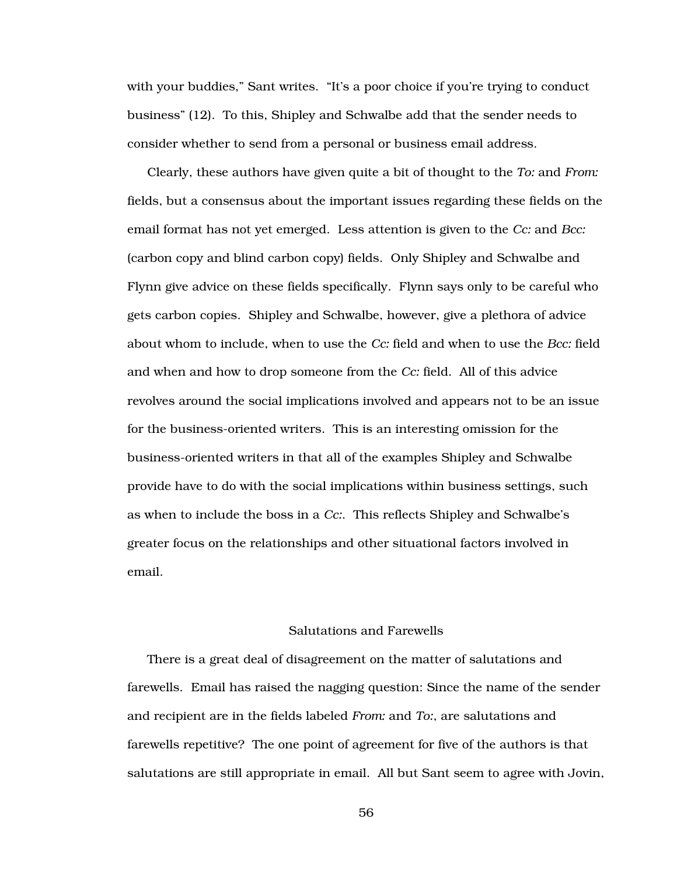with your buddies," Sant writes. "It's a poor choice if you're trying to conduct business" (12). To this, Shipley and Schwalbe add that the sender needs to consider whether to send from a personal or business email address.

Clearly, these authors have given quite a bit of thought to the *To:* and *From:* fields, but a consensus about the important issues regarding these fields on the email format has not yet emerged. Less attention is given to the *Cc:* and *Bcc:* (carbon copy and blind carbon copy) fields. Only Shipley and Schwalbe and Flynn give advice on these fields specifically. Flynn says only to be careful who gets carbon copies. Shipley and Schwalbe, however, give a plethora of advice about whom to include, when to use the *Cc:* field and when to use the *Bcc:* field and when and how to drop someone from the *Cc:* field. All of this advice revolves around the social implications involved and appears not to be an issue for the business-oriented writers. This is an interesting omission for the business-oriented writers in that all of the examples Shipley and Schwalbe provide have to do with the social implications within business settings, such as when to include the boss in a *Cc:*. This reflects Shipley and Schwalbe's greater focus on the relationships and other situational factors involved in email.

### Salutations and Farewells

There is a great deal of disagreement on the matter of salutations and farewells. Email has raised the nagging question: Since the name of the sender and recipient are in the fields labeled *From:* and *To:*, are salutations and farewells repetitive? The one point of agreement for five of the authors is that salutations are still appropriate in email. All but Sant seem to agree with Jovin,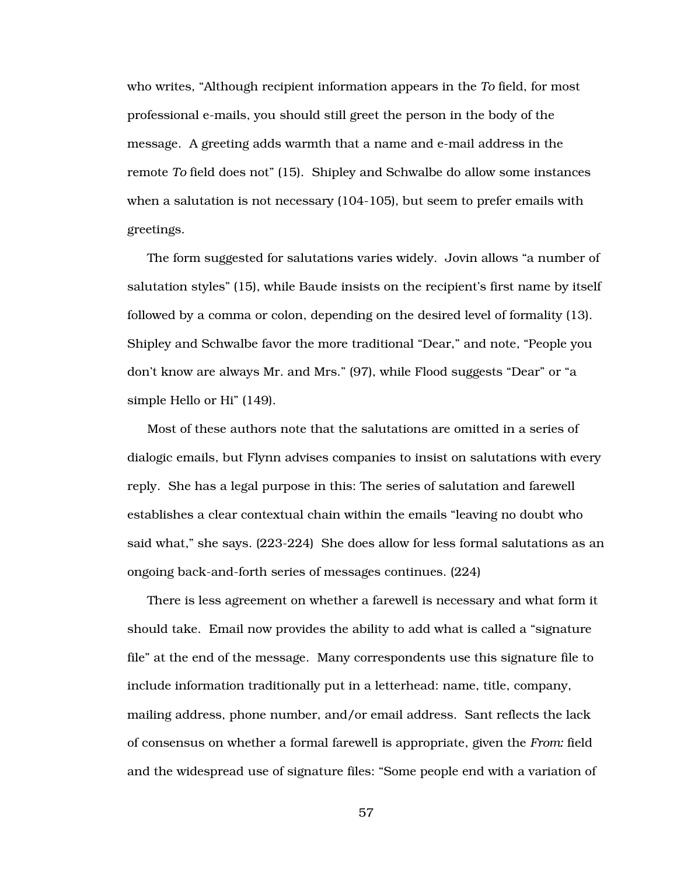who writes, "Although recipient information appears in the *To* field, for most professional e-mails, you should still greet the person in the body of the message. A greeting adds warmth that a name and e-mail address in the remote *To* field does not" (15). Shipley and Schwalbe do allow some instances when a salutation is not necessary (104-105), but seem to prefer emails with greetings.

The form suggested for salutations varies widely. Jovin allows "a number of salutation styles" (15), while Baude insists on the recipient's first name by itself followed by a comma or colon, depending on the desired level of formality (13). Shipley and Schwalbe favor the more traditional "Dear," and note, "People you don't know are always Mr. and Mrs." (97), while Flood suggests "Dear" or "a simple Hello or Hi" (149).

Most of these authors note that the salutations are omitted in a series of dialogic emails, but Flynn advises companies to insist on salutations with every reply. She has a legal purpose in this: The series of salutation and farewell establishes a clear contextual chain within the emails "leaving no doubt who said what," she says. (223-224) She does allow for less formal salutations as an ongoing back-and-forth series of messages continues. (224)

There is less agreement on whether a farewell is necessary and what form it should take. Email now provides the ability to add what is called a "signature file" at the end of the message. Many correspondents use this signature file to include information traditionally put in a letterhead: name, title, company, mailing address, phone number, and/or email address. Sant reflects the lack of consensus on whether a formal farewell is appropriate, given the *From:* field and the widespread use of signature files: "Some people end with a variation of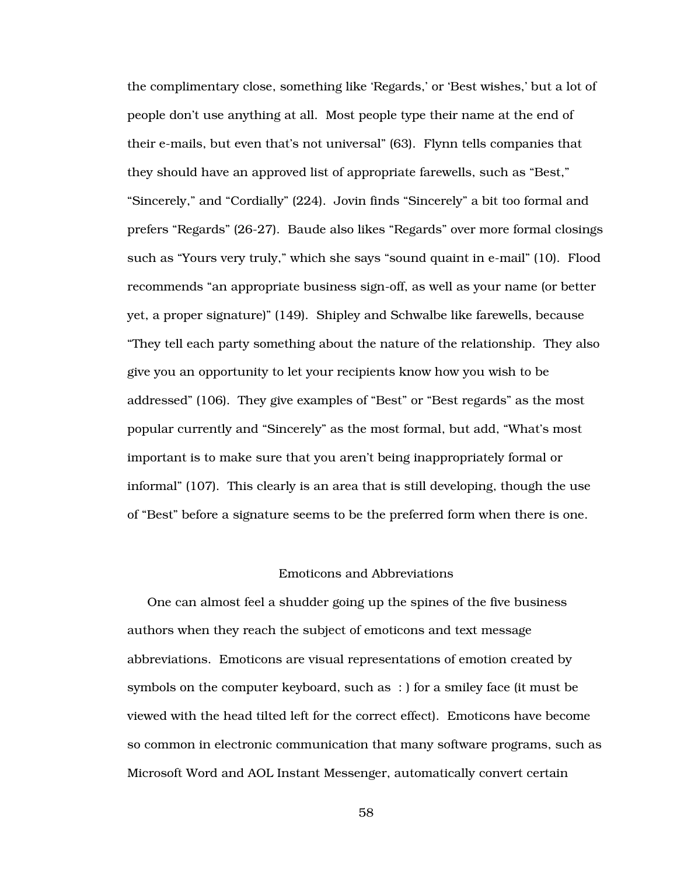the complimentary close, something like 'Regards,' or 'Best wishes,' but a lot of people don't use anything at all. Most people type their name at the end of their e-mails, but even that's not universal" (63). Flynn tells companies that they should have an approved list of appropriate farewells, such as "Best," "Sincerely," and "Cordially" (224). Jovin finds "Sincerely" a bit too formal and prefers "Regards" (26-27). Baude also likes "Regards" over more formal closings such as "Yours very truly," which she says "sound quaint in e-mail" (10). Flood recommends "an appropriate business sign-off, as well as your name (or better yet, a proper signature)" (149). Shipley and Schwalbe like farewells, because "They tell each party something about the nature of the relationship. They also give you an opportunity to let your recipients know how you wish to be addressed" (106). They give examples of "Best" or "Best regards" as the most popular currently and "Sincerely" as the most formal, but add, "What's most important is to make sure that you aren't being inappropriately formal or informal" (107). This clearly is an area that is still developing, though the use of "Best" before a signature seems to be the preferred form when there is one.

# Emoticons and Abbreviations

One can almost feel a shudder going up the spines of the five business authors when they reach the subject of emoticons and text message abbreviations. Emoticons are visual representations of emotion created by symbols on the computer keyboard, such as : ) for a smiley face (it must be viewed with the head tilted left for the correct effect). Emoticons have become so common in electronic communication that many software programs, such as Microsoft Word and AOL Instant Messenger, automatically convert certain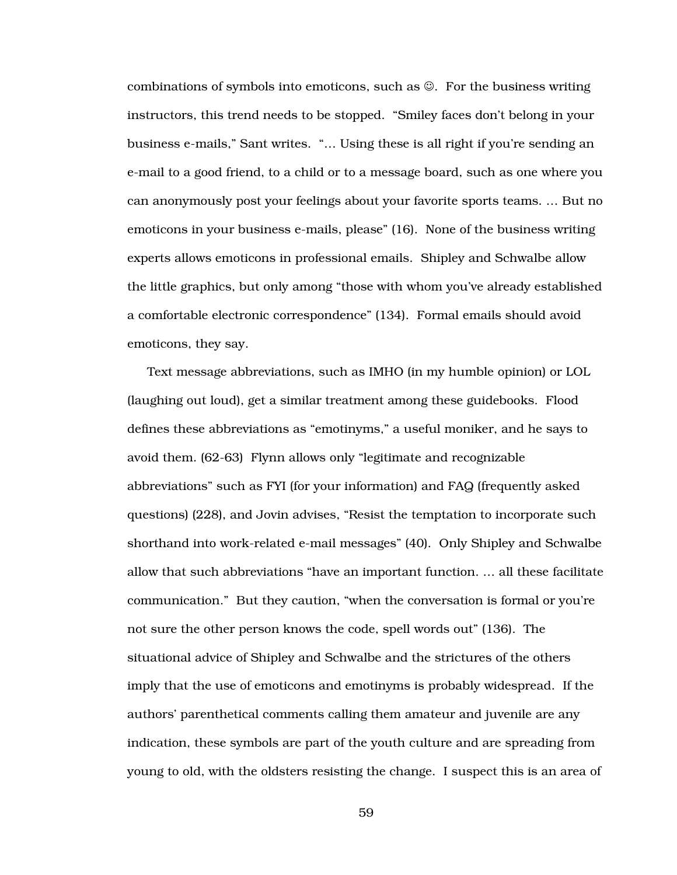combinations of symbols into emoticons, such as ☺. For the business writing instructors, this trend needs to be stopped. "Smiley faces don't belong in your business e-mails," Sant writes. "… Using these is all right if you're sending an e-mail to a good friend, to a child or to a message board, such as one where you can anonymously post your feelings about your favorite sports teams. … But no emoticons in your business e-mails, please" (16). None of the business writing experts allows emoticons in professional emails. Shipley and Schwalbe allow the little graphics, but only among "those with whom you've already established a comfortable electronic correspondence" (134). Formal emails should avoid emoticons, they say.

Text message abbreviations, such as IMHO (in my humble opinion) or LOL (laughing out loud), get a similar treatment among these guidebooks. Flood defines these abbreviations as "emotinyms," a useful moniker, and he says to avoid them. (62-63) Flynn allows only "legitimate and recognizable abbreviations" such as FYI (for your information) and FAQ (frequently asked questions) (228), and Jovin advises, "Resist the temptation to incorporate such shorthand into work-related e-mail messages" (40). Only Shipley and Schwalbe allow that such abbreviations "have an important function. … all these facilitate communication." But they caution, "when the conversation is formal or you're not sure the other person knows the code, spell words out" (136). The situational advice of Shipley and Schwalbe and the strictures of the others imply that the use of emoticons and emotinyms is probably widespread. If the authors' parenthetical comments calling them amateur and juvenile are any indication, these symbols are part of the youth culture and are spreading from young to old, with the oldsters resisting the change. I suspect this is an area of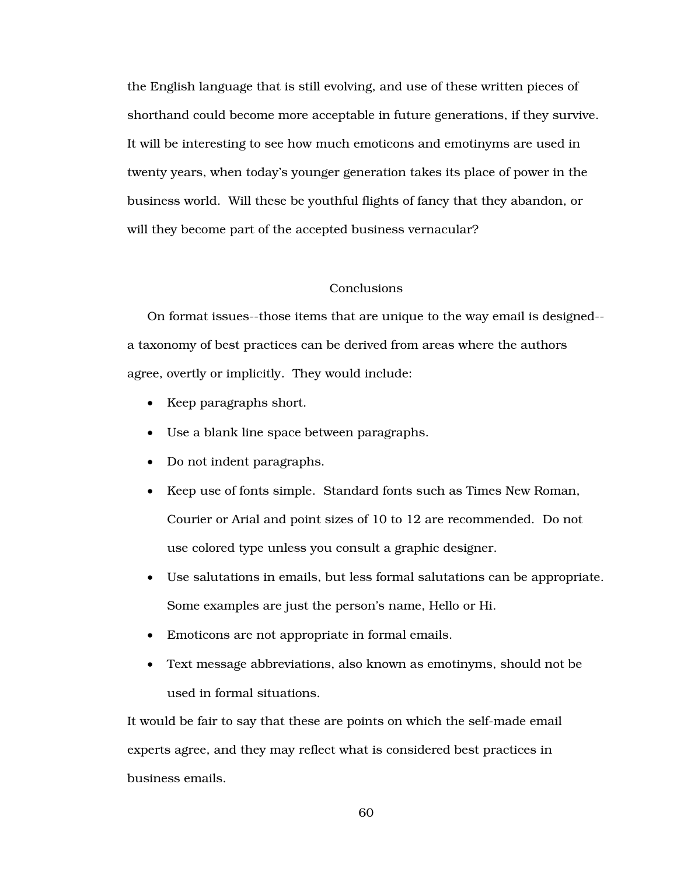the English language that is still evolving, and use of these written pieces of shorthand could become more acceptable in future generations, if they survive. It will be interesting to see how much emoticons and emotinyms are used in twenty years, when today's younger generation takes its place of power in the business world. Will these be youthful flights of fancy that they abandon, or will they become part of the accepted business vernacular?

# **Conclusions**

On format issues--those items that are unique to the way email is designed- a taxonomy of best practices can be derived from areas where the authors agree, overtly or implicitly. They would include:

- Keep paragraphs short.
- Use a blank line space between paragraphs.
- Do not indent paragraphs.
- Keep use of fonts simple. Standard fonts such as Times New Roman, Courier or Arial and point sizes of 10 to 12 are recommended. Do not use colored type unless you consult a graphic designer.
- Use salutations in emails, but less formal salutations can be appropriate. Some examples are just the person's name, Hello or Hi.
- Emoticons are not appropriate in formal emails.
- Text message abbreviations, also known as emotinyms, should not be used in formal situations.

It would be fair to say that these are points on which the self-made email experts agree, and they may reflect what is considered best practices in business emails.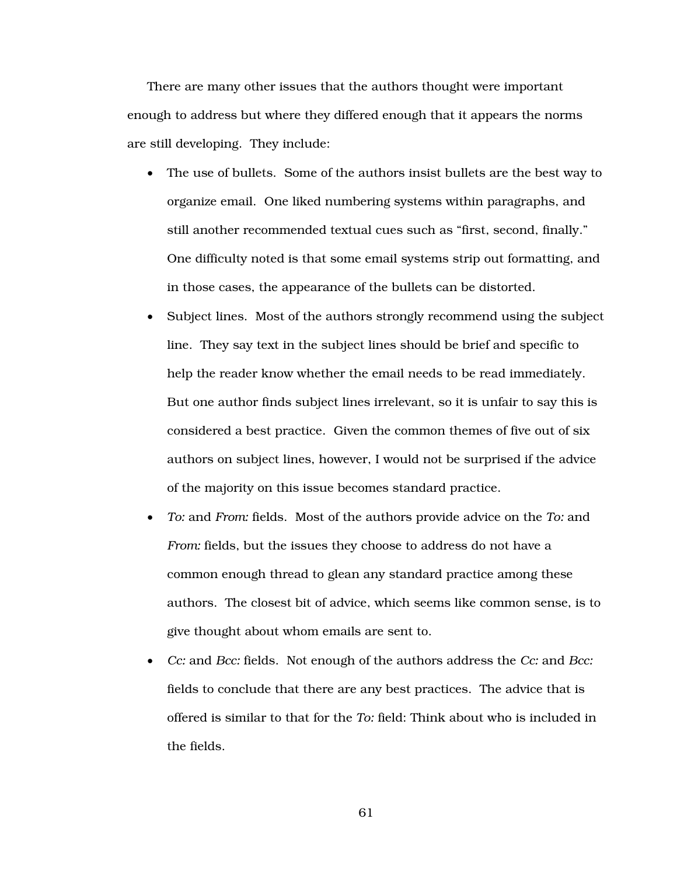There are many other issues that the authors thought were important enough to address but where they differed enough that it appears the norms are still developing. They include:

- The use of bullets. Some of the authors insist bullets are the best way to organize email. One liked numbering systems within paragraphs, and still another recommended textual cues such as "first, second, finally." One difficulty noted is that some email systems strip out formatting, and in those cases, the appearance of the bullets can be distorted.
- Subject lines. Most of the authors strongly recommend using the subject line. They say text in the subject lines should be brief and specific to help the reader know whether the email needs to be read immediately. But one author finds subject lines irrelevant, so it is unfair to say this is considered a best practice. Given the common themes of five out of six authors on subject lines, however, I would not be surprised if the advice of the majority on this issue becomes standard practice.
- *To:* and *From:* fields. Most of the authors provide advice on the *To:* and *From:* fields, but the issues they choose to address do not have a common enough thread to glean any standard practice among these authors. The closest bit of advice, which seems like common sense, is to give thought about whom emails are sent to.
- *Cc:* and *Bcc:* fields. Not enough of the authors address the *Cc:* and *Bcc:* fields to conclude that there are any best practices. The advice that is offered is similar to that for the *To:* field: Think about who is included in the fields.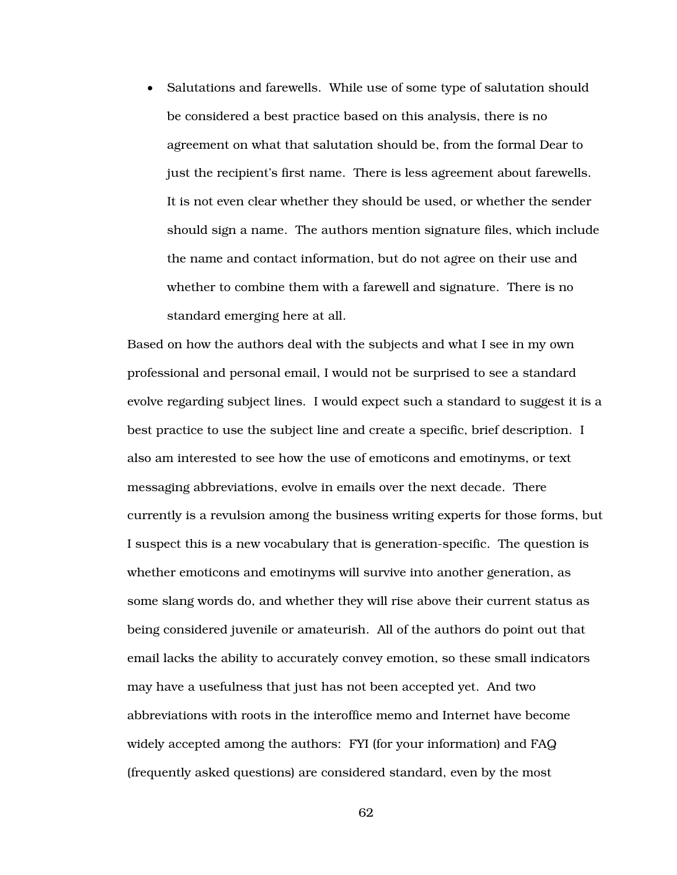• Salutations and farewells. While use of some type of salutation should be considered a best practice based on this analysis, there is no agreement on what that salutation should be, from the formal Dear to just the recipient's first name. There is less agreement about farewells. It is not even clear whether they should be used, or whether the sender should sign a name. The authors mention signature files, which include the name and contact information, but do not agree on their use and whether to combine them with a farewell and signature. There is no standard emerging here at all.

Based on how the authors deal with the subjects and what I see in my own professional and personal email, I would not be surprised to see a standard evolve regarding subject lines. I would expect such a standard to suggest it is a best practice to use the subject line and create a specific, brief description. I also am interested to see how the use of emoticons and emotinyms, or text messaging abbreviations, evolve in emails over the next decade. There currently is a revulsion among the business writing experts for those forms, but I suspect this is a new vocabulary that is generation-specific. The question is whether emoticons and emotinyms will survive into another generation, as some slang words do, and whether they will rise above their current status as being considered juvenile or amateurish. All of the authors do point out that email lacks the ability to accurately convey emotion, so these small indicators may have a usefulness that just has not been accepted yet. And two abbreviations with roots in the interoffice memo and Internet have become widely accepted among the authors: FYI (for your information) and FAQ (frequently asked questions) are considered standard, even by the most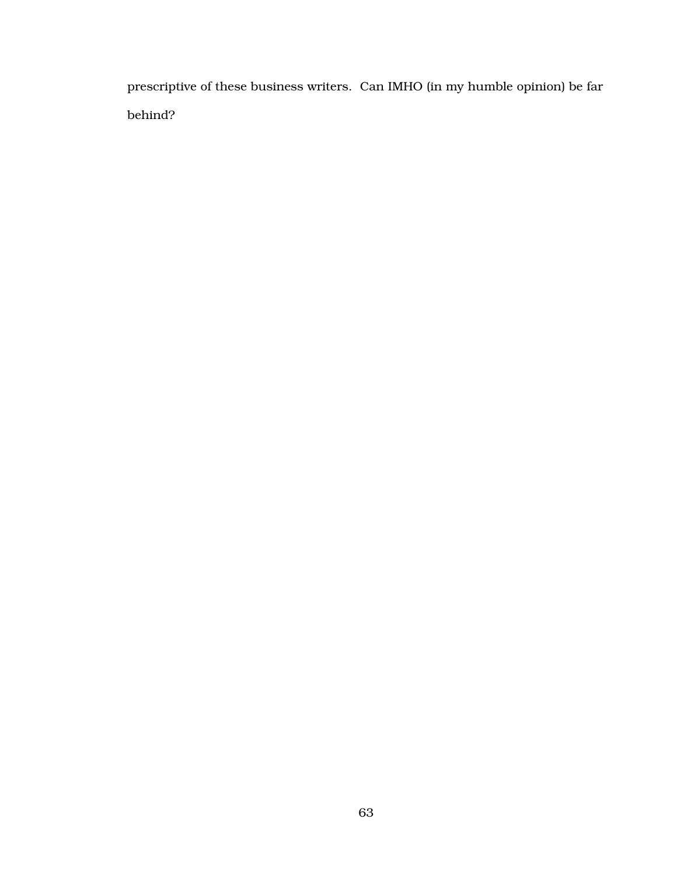prescriptive of these business writers. Can IMHO (in my humble opinion) be far behind?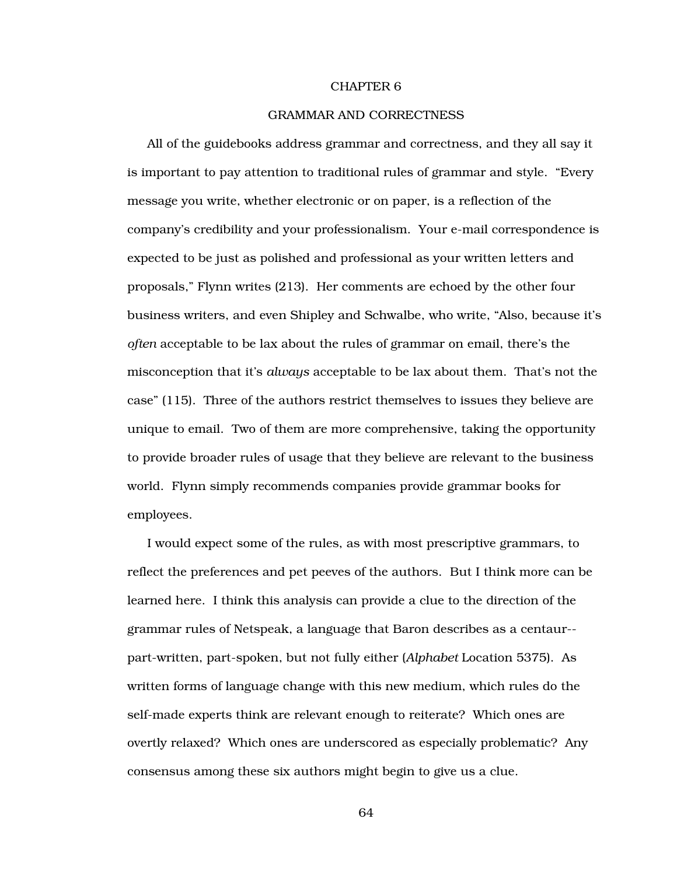#### CHAPTER 6

## GRAMMAR AND CORRECTNESS

All of the guidebooks address grammar and correctness, and they all say it is important to pay attention to traditional rules of grammar and style. "Every message you write, whether electronic or on paper, is a reflection of the company's credibility and your professionalism. Your e-mail correspondence is expected to be just as polished and professional as your written letters and proposals," Flynn writes (213). Her comments are echoed by the other four business writers, and even Shipley and Schwalbe, who write, "Also, because it's *often* acceptable to be lax about the rules of grammar on email, there's the misconception that it's *always* acceptable to be lax about them. That's not the case" (115). Three of the authors restrict themselves to issues they believe are unique to email. Two of them are more comprehensive, taking the opportunity to provide broader rules of usage that they believe are relevant to the business world. Flynn simply recommends companies provide grammar books for employees.

I would expect some of the rules, as with most prescriptive grammars, to reflect the preferences and pet peeves of the authors. But I think more can be learned here. I think this analysis can provide a clue to the direction of the grammar rules of Netspeak, a language that Baron describes as a centaur- part-written, part-spoken, but not fully either (*Alphabet* Location 5375). As written forms of language change with this new medium, which rules do the self-made experts think are relevant enough to reiterate? Which ones are overtly relaxed? Which ones are underscored as especially problematic? Any consensus among these six authors might begin to give us a clue.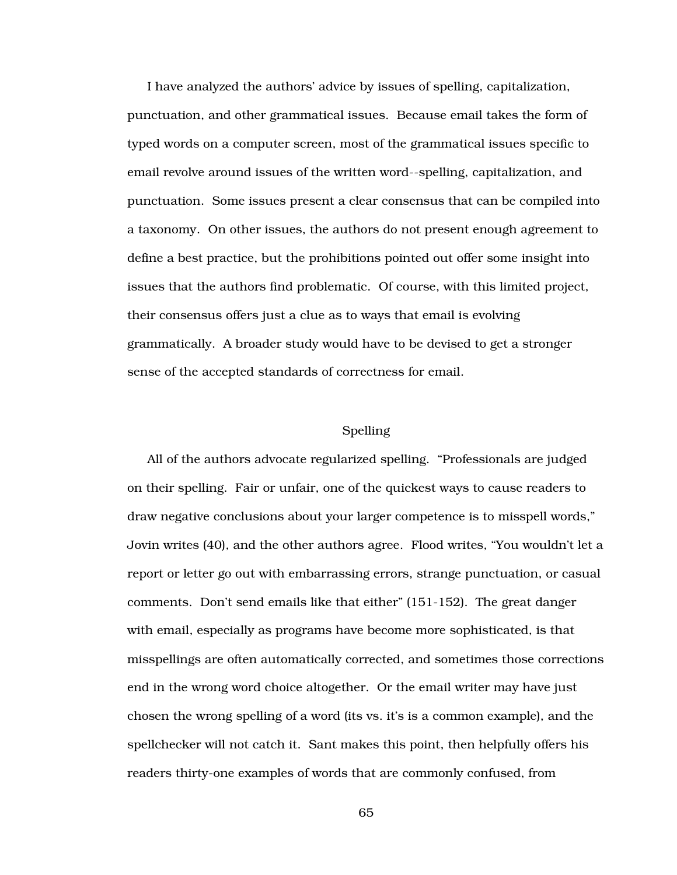I have analyzed the authors' advice by issues of spelling, capitalization, punctuation, and other grammatical issues. Because email takes the form of typed words on a computer screen, most of the grammatical issues specific to email revolve around issues of the written word--spelling, capitalization, and punctuation. Some issues present a clear consensus that can be compiled into a taxonomy. On other issues, the authors do not present enough agreement to define a best practice, but the prohibitions pointed out offer some insight into issues that the authors find problematic. Of course, with this limited project, their consensus offers just a clue as to ways that email is evolving grammatically. A broader study would have to be devised to get a stronger sense of the accepted standards of correctness for email.

# Spelling

All of the authors advocate regularized spelling. "Professionals are judged on their spelling. Fair or unfair, one of the quickest ways to cause readers to draw negative conclusions about your larger competence is to misspell words," Jovin writes (40), and the other authors agree. Flood writes, "You wouldn't let a report or letter go out with embarrassing errors, strange punctuation, or casual comments. Don't send emails like that either" (151-152). The great danger with email, especially as programs have become more sophisticated, is that misspellings are often automatically corrected, and sometimes those corrections end in the wrong word choice altogether. Or the email writer may have just chosen the wrong spelling of a word (its vs. it's is a common example), and the spellchecker will not catch it. Sant makes this point, then helpfully offers his readers thirty-one examples of words that are commonly confused, from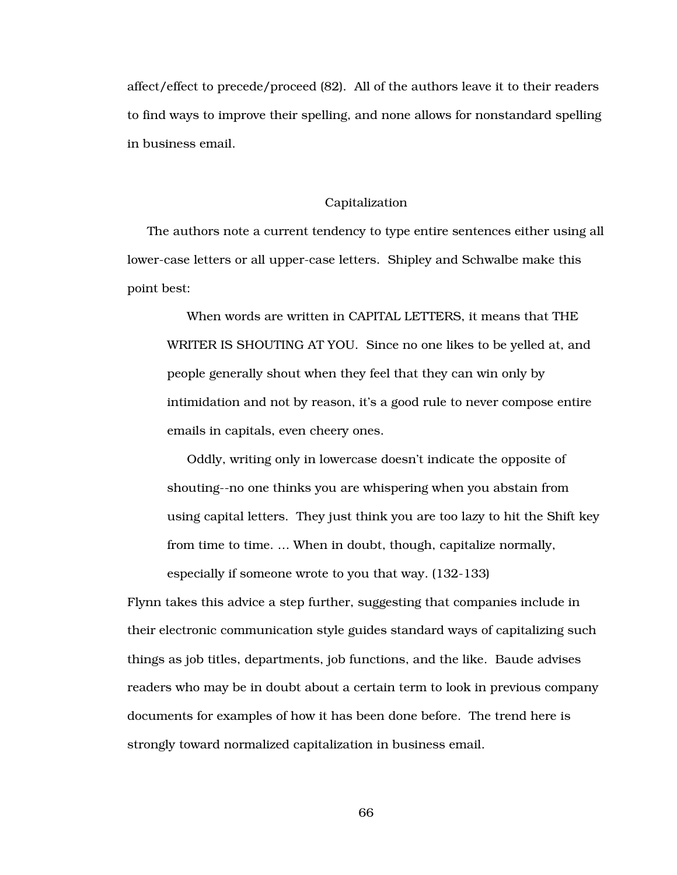affect/effect to precede/proceed (82). All of the authors leave it to their readers to find ways to improve their spelling, and none allows for nonstandard spelling in business email.

### Capitalization

The authors note a current tendency to type entire sentences either using all lower-case letters or all upper-case letters. Shipley and Schwalbe make this point best:

When words are written in CAPITAL LETTERS, it means that THE WRITER IS SHOUTING AT YOU. Since no one likes to be yelled at, and people generally shout when they feel that they can win only by intimidation and not by reason, it's a good rule to never compose entire emails in capitals, even cheery ones.

Oddly, writing only in lowercase doesn't indicate the opposite of shouting--no one thinks you are whispering when you abstain from using capital letters. They just think you are too lazy to hit the Shift key from time to time. … When in doubt, though, capitalize normally, especially if someone wrote to you that way. (132-133)

Flynn takes this advice a step further, suggesting that companies include in their electronic communication style guides standard ways of capitalizing such things as job titles, departments, job functions, and the like. Baude advises readers who may be in doubt about a certain term to look in previous company documents for examples of how it has been done before. The trend here is strongly toward normalized capitalization in business email.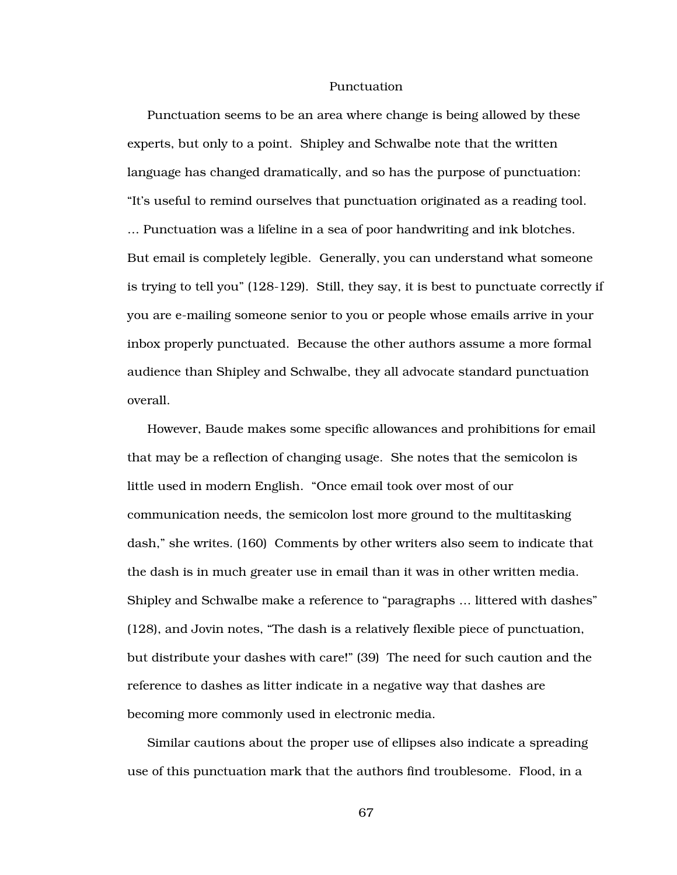#### Punctuation

Punctuation seems to be an area where change is being allowed by these experts, but only to a point. Shipley and Schwalbe note that the written language has changed dramatically, and so has the purpose of punctuation: "It's useful to remind ourselves that punctuation originated as a reading tool. … Punctuation was a lifeline in a sea of poor handwriting and ink blotches. But email is completely legible. Generally, you can understand what someone is trying to tell you" (128-129). Still, they say, it is best to punctuate correctly if you are e-mailing someone senior to you or people whose emails arrive in your inbox properly punctuated. Because the other authors assume a more formal audience than Shipley and Schwalbe, they all advocate standard punctuation overall.

However, Baude makes some specific allowances and prohibitions for email that may be a reflection of changing usage. She notes that the semicolon is little used in modern English. "Once email took over most of our communication needs, the semicolon lost more ground to the multitasking dash," she writes. (160) Comments by other writers also seem to indicate that the dash is in much greater use in email than it was in other written media. Shipley and Schwalbe make a reference to "paragraphs … littered with dashes" (128), and Jovin notes, "The dash is a relatively flexible piece of punctuation, but distribute your dashes with care!" (39) The need for such caution and the reference to dashes as litter indicate in a negative way that dashes are becoming more commonly used in electronic media.

Similar cautions about the proper use of ellipses also indicate a spreading use of this punctuation mark that the authors find troublesome. Flood, in a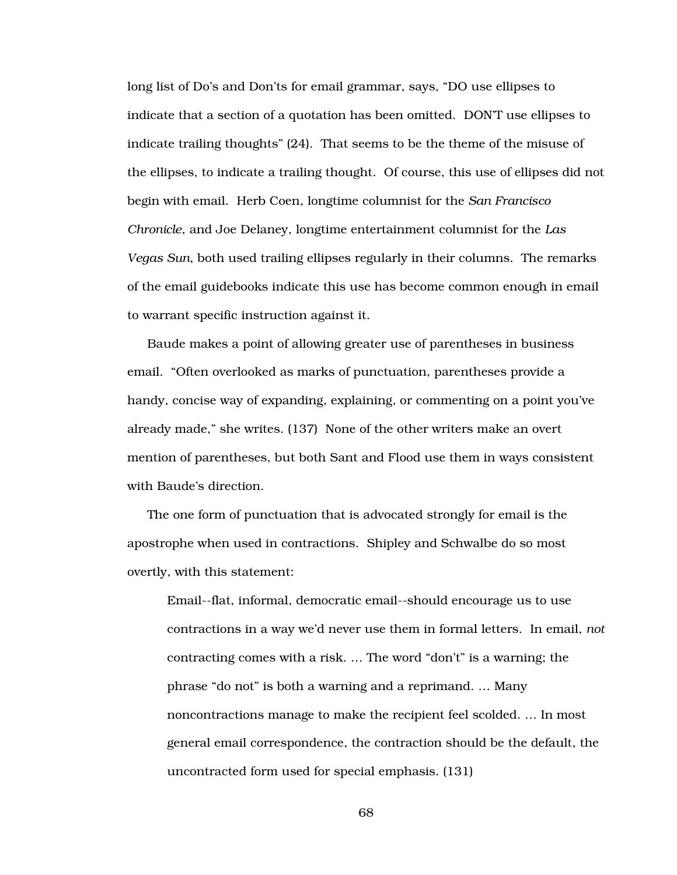long list of Do's and Don'ts for email grammar, says, "DO use ellipses to indicate that a section of a quotation has been omitted. DON'T use ellipses to indicate trailing thoughts" (24). That seems to be the theme of the misuse of the ellipses, to indicate a trailing thought. Of course, this use of ellipses did not begin with email. Herb Coen, longtime columnist for the *San Francisco Chronicle*, and Joe Delaney, longtime entertainment columnist for the *Las Vegas Sun*, both used trailing ellipses regularly in their columns. The remarks of the email guidebooks indicate this use has become common enough in email to warrant specific instruction against it.

Baude makes a point of allowing greater use of parentheses in business email. "Often overlooked as marks of punctuation, parentheses provide a handy, concise way of expanding, explaining, or commenting on a point you've already made," she writes. (137) None of the other writers make an overt mention of parentheses, but both Sant and Flood use them in ways consistent with Baude's direction.

The one form of punctuation that is advocated strongly for email is the apostrophe when used in contractions. Shipley and Schwalbe do so most overtly, with this statement:

Email--flat, informal, democratic email--should encourage us to use contractions in a way we'd never use them in formal letters. In email, *not* contracting comes with a risk. … The word "don't" is a warning; the phrase "do not" is both a warning and a reprimand. … Many noncontractions manage to make the recipient feel scolded. … In most general email correspondence, the contraction should be the default, the uncontracted form used for special emphasis. (131)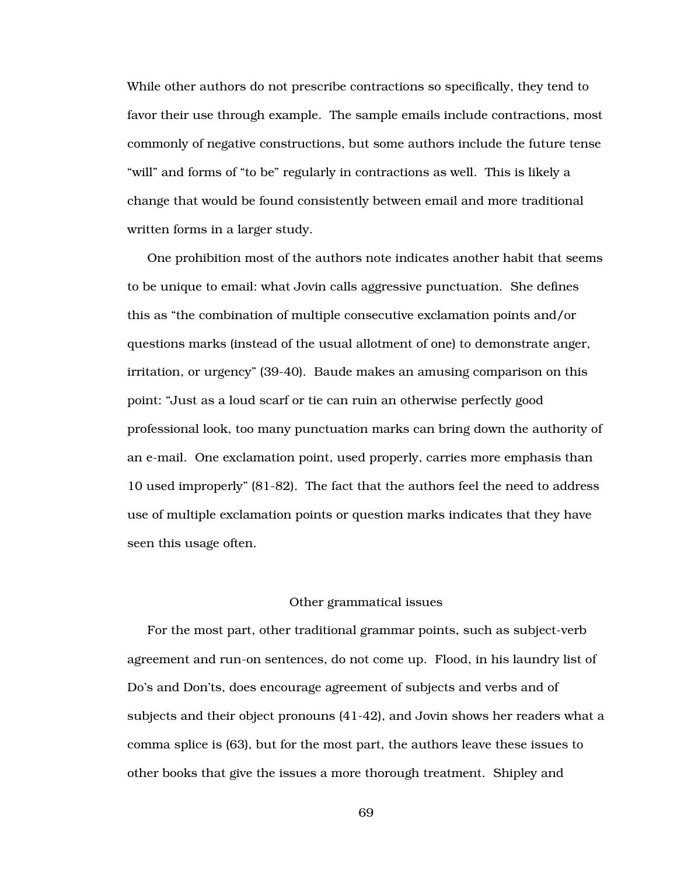While other authors do not prescribe contractions so specifically, they tend to favor their use through example. The sample emails include contractions, most commonly of negative constructions, but some authors include the future tense "will" and forms of "to be" regularly in contractions as well. This is likely a change that would be found consistently between email and more traditional written forms in a larger study.

One prohibition most of the authors note indicates another habit that seems to be unique to email: what Jovin calls aggressive punctuation. She defines this as "the combination of multiple consecutive exclamation points and/or questions marks (instead of the usual allotment of one) to demonstrate anger, irritation, or urgency" (39-40). Baude makes an amusing comparison on this point: "Just as a loud scarf or tie can ruin an otherwise perfectly good professional look, too many punctuation marks can bring down the authority of an e-mail. One exclamation point, used properly, carries more emphasis than 10 used improperly" (81-82). The fact that the authors feel the need to address use of multiple exclamation points or question marks indicates that they have seen this usage often.

## Other grammatical issues

For the most part, other traditional grammar points, such as subject-verb agreement and run-on sentences, do not come up. Flood, in his laundry list of Do's and Don'ts, does encourage agreement of subjects and verbs and of subjects and their object pronouns (41-42), and Jovin shows her readers what a comma splice is (63), but for the most part, the authors leave these issues to other books that give the issues a more thorough treatment. Shipley and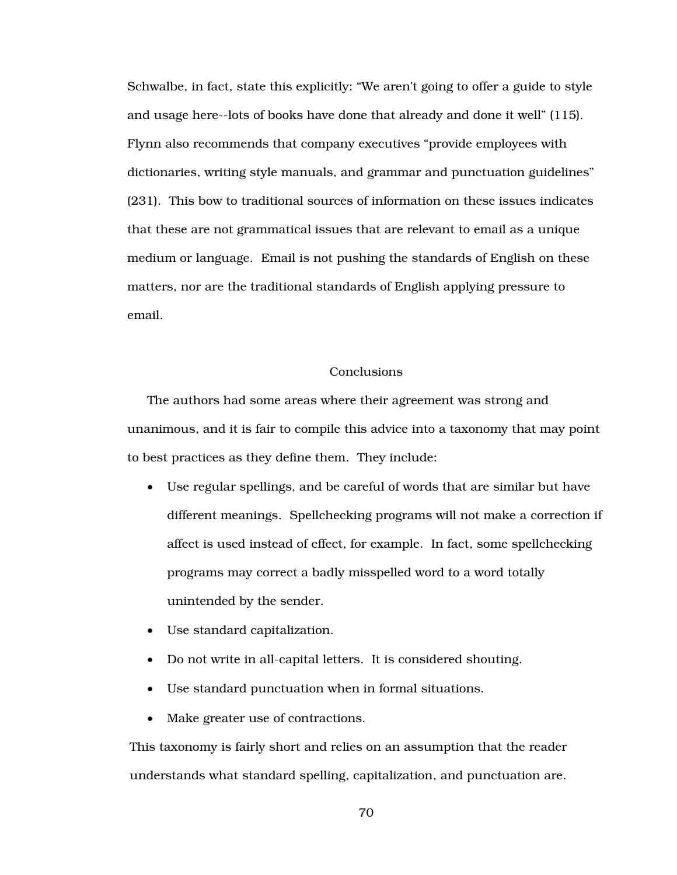Schwalbe, in fact, state this explicitly: "We aren't going to offer a guide to style and usage here--lots of books have done that already and done it well" (115). Flynn also recommends that company executives "provide employees with dictionaries, writing style manuals, and grammar and punctuation guidelines" (231). This bow to traditional sources of information on these issues indicates that these are not grammatical issues that are relevant to email as a unique medium or language. Email is not pushing the standards of English on these matters, nor are the traditional standards of English applying pressure to email.

## **Conclusions**

The authors had some areas where their agreement was strong and unanimous, and it is fair to compile this advice into a taxonomy that may point to best practices as they define them. They include:

- Use regular spellings, and be careful of words that are similar but have different meanings. Spellchecking programs will not make a correction if affect is used instead of effect, for example. In fact, some spellchecking programs may correct a badly misspelled word to a word totally unintended by the sender.
- Use standard capitalization.
- Do not write in all-capital letters. It is considered shouting.
- Use standard punctuation when in formal situations.
- Make greater use of contractions.

This taxonomy is fairly short and relies on an assumption that the reader understands what standard spelling, capitalization, and punctuation are.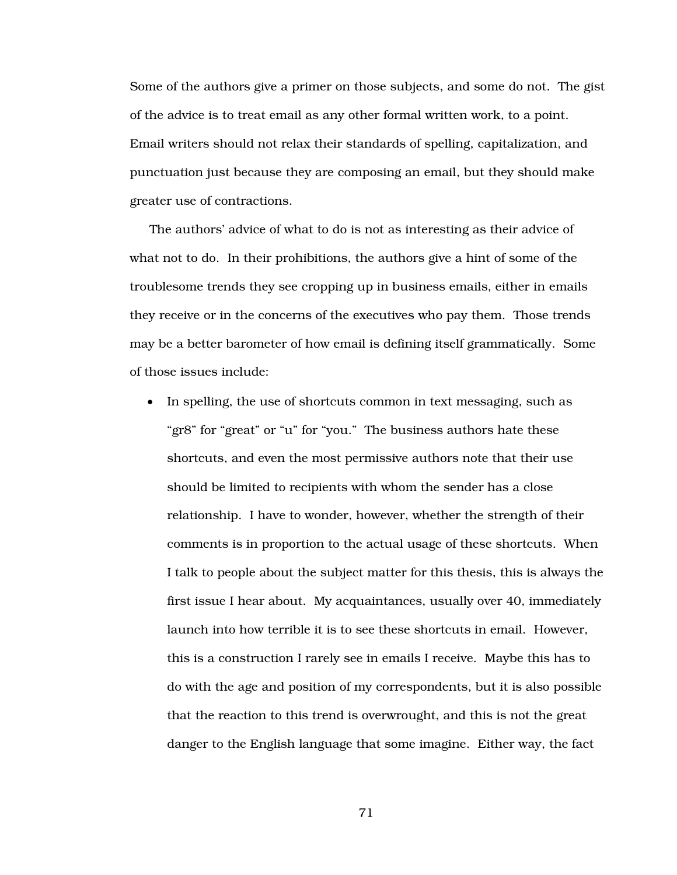Some of the authors give a primer on those subjects, and some do not. The gist of the advice is to treat email as any other formal written work, to a point. Email writers should not relax their standards of spelling, capitalization, and punctuation just because they are composing an email, but they should make greater use of contractions.

The authors' advice of what to do is not as interesting as their advice of what not to do. In their prohibitions, the authors give a hint of some of the troublesome trends they see cropping up in business emails, either in emails they receive or in the concerns of the executives who pay them. Those trends may be a better barometer of how email is defining itself grammatically. Some of those issues include:

• In spelling, the use of shortcuts common in text messaging, such as "gr8" for "great" or "u" for "you." The business authors hate these shortcuts, and even the most permissive authors note that their use should be limited to recipients with whom the sender has a close relationship. I have to wonder, however, whether the strength of their comments is in proportion to the actual usage of these shortcuts. When I talk to people about the subject matter for this thesis, this is always the first issue I hear about. My acquaintances, usually over 40, immediately launch into how terrible it is to see these shortcuts in email. However, this is a construction I rarely see in emails I receive. Maybe this has to do with the age and position of my correspondents, but it is also possible that the reaction to this trend is overwrought, and this is not the great danger to the English language that some imagine. Either way, the fact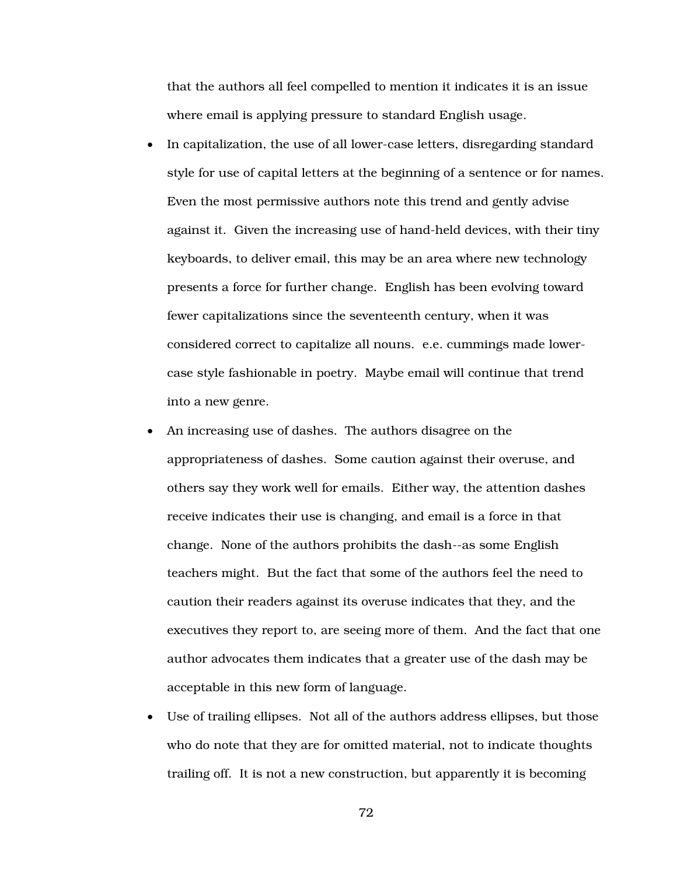that the authors all feel compelled to mention it indicates it is an issue where email is applying pressure to standard English usage.

- In capitalization, the use of all lower-case letters, disregarding standard style for use of capital letters at the beginning of a sentence or for names. Even the most permissive authors note this trend and gently advise against it. Given the increasing use of hand-held devices, with their tiny keyboards, to deliver email, this may be an area where new technology presents a force for further change. English has been evolving toward fewer capitalizations since the seventeenth century, when it was considered correct to capitalize all nouns. e.e. cummings made lowercase style fashionable in poetry. Maybe email will continue that trend into a new genre.
- An increasing use of dashes. The authors disagree on the appropriateness of dashes. Some caution against their overuse, and others say they work well for emails. Either way, the attention dashes receive indicates their use is changing, and email is a force in that change. None of the authors prohibits the dash--as some English teachers might. But the fact that some of the authors feel the need to caution their readers against its overuse indicates that they, and the executives they report to, are seeing more of them. And the fact that one author advocates them indicates that a greater use of the dash may be acceptable in this new form of language.
- Use of trailing ellipses. Not all of the authors address ellipses, but those who do note that they are for omitted material, not to indicate thoughts trailing off. It is not a new construction, but apparently it is becoming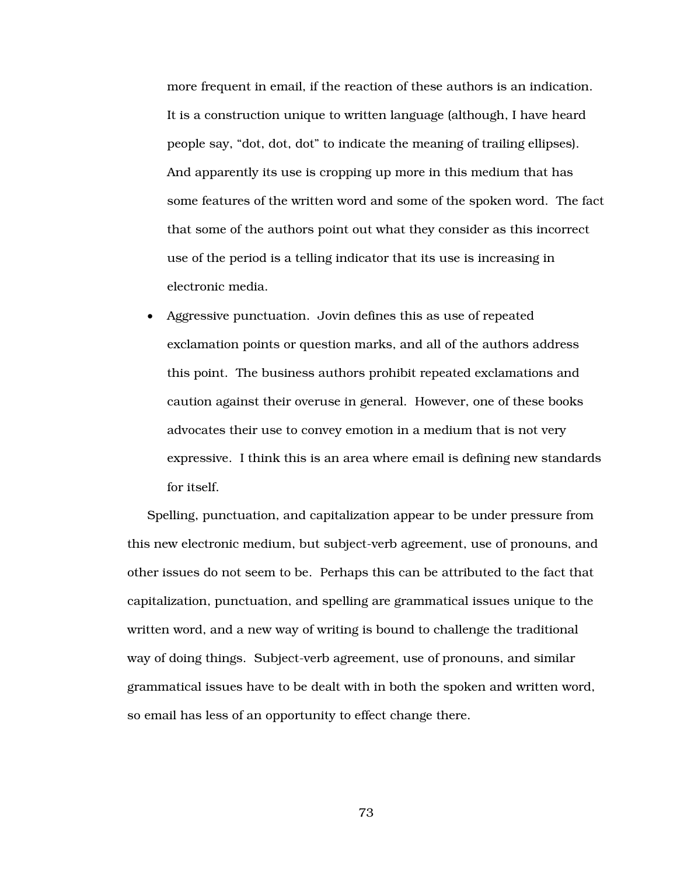more frequent in email, if the reaction of these authors is an indication. It is a construction unique to written language (although, I have heard people say, "dot, dot, dot" to indicate the meaning of trailing ellipses). And apparently its use is cropping up more in this medium that has some features of the written word and some of the spoken word. The fact that some of the authors point out what they consider as this incorrect use of the period is a telling indicator that its use is increasing in electronic media.

• Aggressive punctuation. Jovin defines this as use of repeated exclamation points or question marks, and all of the authors address this point. The business authors prohibit repeated exclamations and caution against their overuse in general. However, one of these books advocates their use to convey emotion in a medium that is not very expressive. I think this is an area where email is defining new standards for itself.

Spelling, punctuation, and capitalization appear to be under pressure from this new electronic medium, but subject-verb agreement, use of pronouns, and other issues do not seem to be. Perhaps this can be attributed to the fact that capitalization, punctuation, and spelling are grammatical issues unique to the written word, and a new way of writing is bound to challenge the traditional way of doing things. Subject-verb agreement, use of pronouns, and similar grammatical issues have to be dealt with in both the spoken and written word, so email has less of an opportunity to effect change there.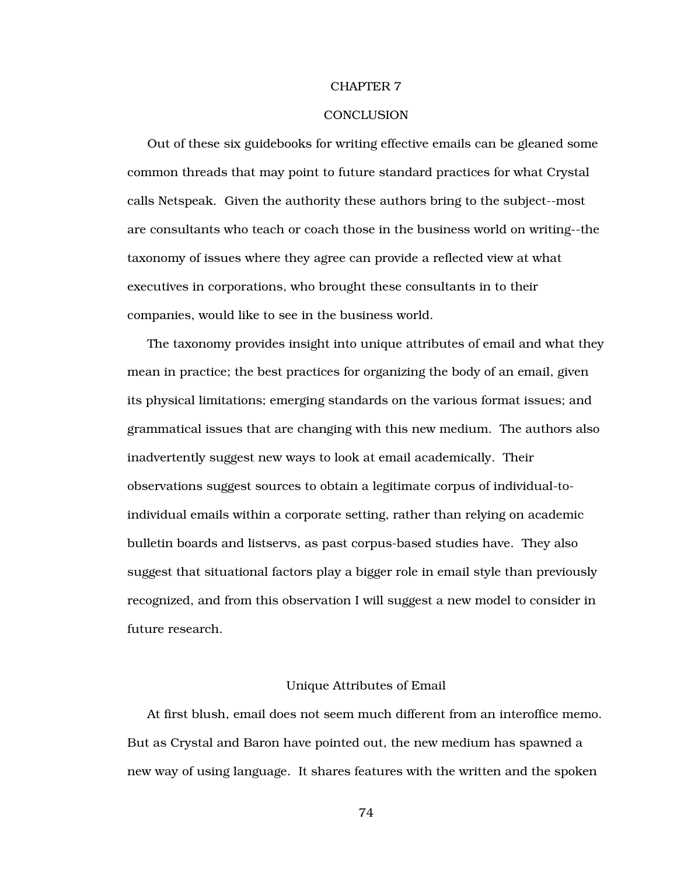#### CHAPTER 7

## **CONCLUSION**

Out of these six guidebooks for writing effective emails can be gleaned some common threads that may point to future standard practices for what Crystal calls Netspeak. Given the authority these authors bring to the subject--most are consultants who teach or coach those in the business world on writing--the taxonomy of issues where they agree can provide a reflected view at what executives in corporations, who brought these consultants in to their companies, would like to see in the business world.

The taxonomy provides insight into unique attributes of email and what they mean in practice; the best practices for organizing the body of an email, given its physical limitations; emerging standards on the various format issues; and grammatical issues that are changing with this new medium. The authors also inadvertently suggest new ways to look at email academically. Their observations suggest sources to obtain a legitimate corpus of individual-toindividual emails within a corporate setting, rather than relying on academic bulletin boards and listservs, as past corpus-based studies have. They also suggest that situational factors play a bigger role in email style than previously recognized, and from this observation I will suggest a new model to consider in future research.

## Unique Attributes of Email

At first blush, email does not seem much different from an interoffice memo. But as Crystal and Baron have pointed out, the new medium has spawned a new way of using language. It shares features with the written and the spoken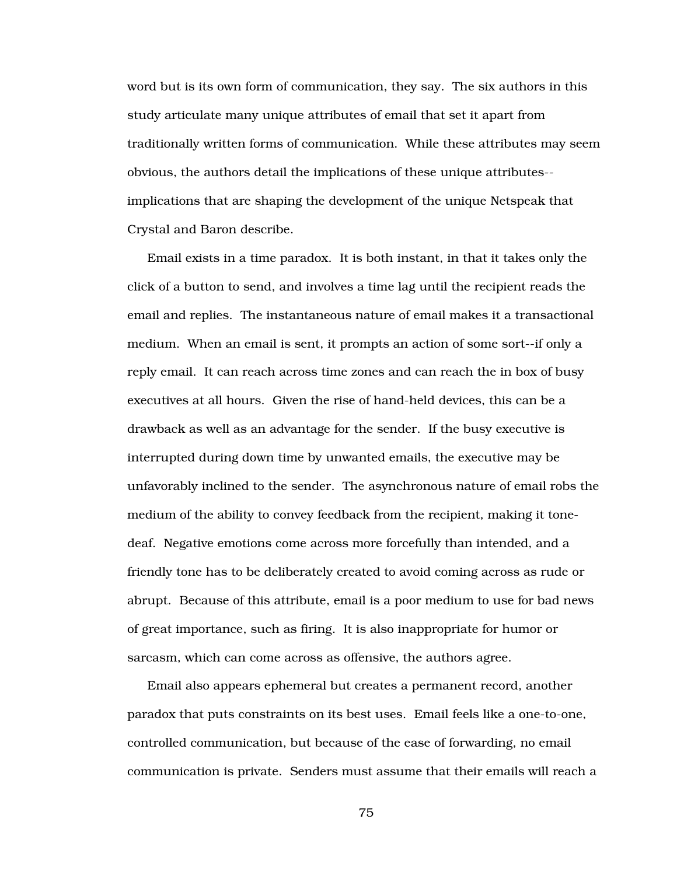word but is its own form of communication, they say. The six authors in this study articulate many unique attributes of email that set it apart from traditionally written forms of communication. While these attributes may seem obvious, the authors detail the implications of these unique attributes- implications that are shaping the development of the unique Netspeak that Crystal and Baron describe.

Email exists in a time paradox. It is both instant, in that it takes only the click of a button to send, and involves a time lag until the recipient reads the email and replies. The instantaneous nature of email makes it a transactional medium. When an email is sent, it prompts an action of some sort--if only a reply email. It can reach across time zones and can reach the in box of busy executives at all hours. Given the rise of hand-held devices, this can be a drawback as well as an advantage for the sender. If the busy executive is interrupted during down time by unwanted emails, the executive may be unfavorably inclined to the sender. The asynchronous nature of email robs the medium of the ability to convey feedback from the recipient, making it tonedeaf. Negative emotions come across more forcefully than intended, and a friendly tone has to be deliberately created to avoid coming across as rude or abrupt. Because of this attribute, email is a poor medium to use for bad news of great importance, such as firing. It is also inappropriate for humor or sarcasm, which can come across as offensive, the authors agree.

Email also appears ephemeral but creates a permanent record, another paradox that puts constraints on its best uses. Email feels like a one-to-one, controlled communication, but because of the ease of forwarding, no email communication is private. Senders must assume that their emails will reach a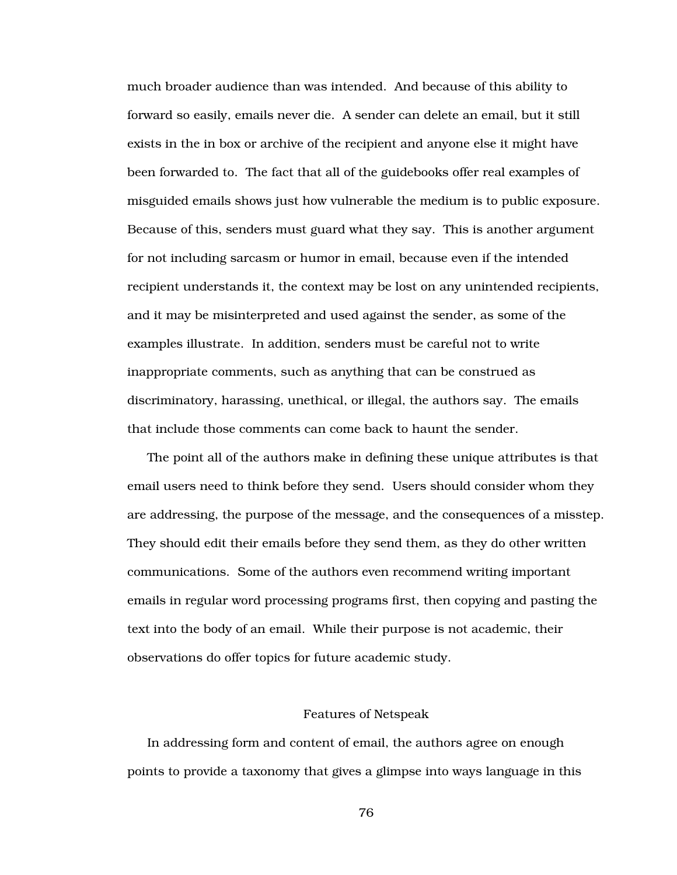much broader audience than was intended. And because of this ability to forward so easily, emails never die. A sender can delete an email, but it still exists in the in box or archive of the recipient and anyone else it might have been forwarded to. The fact that all of the guidebooks offer real examples of misguided emails shows just how vulnerable the medium is to public exposure. Because of this, senders must guard what they say. This is another argument for not including sarcasm or humor in email, because even if the intended recipient understands it, the context may be lost on any unintended recipients, and it may be misinterpreted and used against the sender, as some of the examples illustrate. In addition, senders must be careful not to write inappropriate comments, such as anything that can be construed as discriminatory, harassing, unethical, or illegal, the authors say. The emails that include those comments can come back to haunt the sender.

The point all of the authors make in defining these unique attributes is that email users need to think before they send. Users should consider whom they are addressing, the purpose of the message, and the consequences of a misstep. They should edit their emails before they send them, as they do other written communications. Some of the authors even recommend writing important emails in regular word processing programs first, then copying and pasting the text into the body of an email. While their purpose is not academic, their observations do offer topics for future academic study.

#### Features of Netspeak

In addressing form and content of email, the authors agree on enough points to provide a taxonomy that gives a glimpse into ways language in this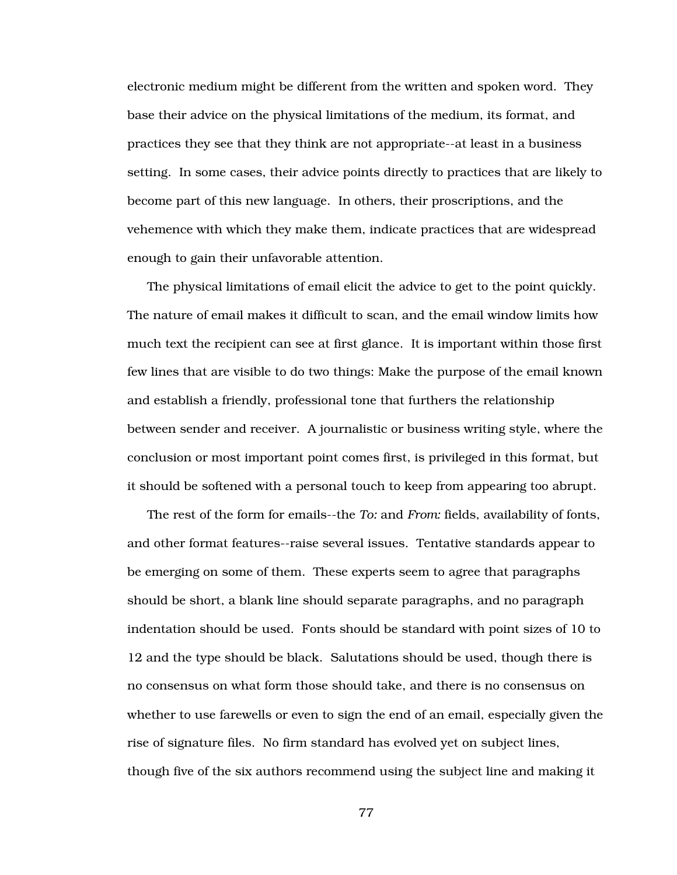electronic medium might be different from the written and spoken word. They base their advice on the physical limitations of the medium, its format, and practices they see that they think are not appropriate--at least in a business setting. In some cases, their advice points directly to practices that are likely to become part of this new language. In others, their proscriptions, and the vehemence with which they make them, indicate practices that are widespread enough to gain their unfavorable attention.

The physical limitations of email elicit the advice to get to the point quickly. The nature of email makes it difficult to scan, and the email window limits how much text the recipient can see at first glance. It is important within those first few lines that are visible to do two things: Make the purpose of the email known and establish a friendly, professional tone that furthers the relationship between sender and receiver. A journalistic or business writing style, where the conclusion or most important point comes first, is privileged in this format, but it should be softened with a personal touch to keep from appearing too abrupt.

The rest of the form for emails--the *To:* and *From:* fields, availability of fonts, and other format features--raise several issues. Tentative standards appear to be emerging on some of them. These experts seem to agree that paragraphs should be short, a blank line should separate paragraphs, and no paragraph indentation should be used. Fonts should be standard with point sizes of 10 to 12 and the type should be black. Salutations should be used, though there is no consensus on what form those should take, and there is no consensus on whether to use farewells or even to sign the end of an email, especially given the rise of signature files. No firm standard has evolved yet on subject lines, though five of the six authors recommend using the subject line and making it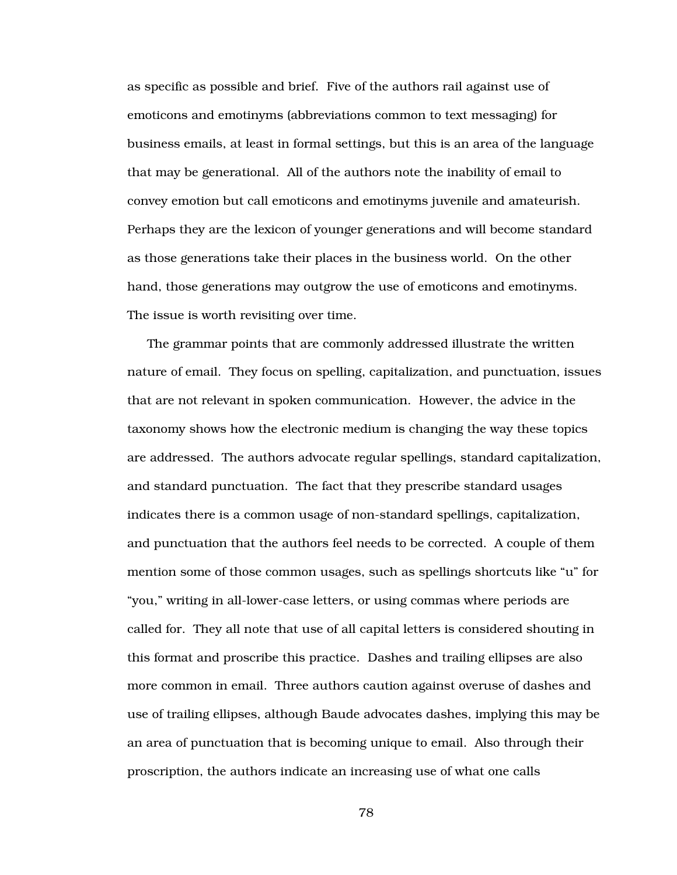as specific as possible and brief. Five of the authors rail against use of emoticons and emotinyms (abbreviations common to text messaging) for business emails, at least in formal settings, but this is an area of the language that may be generational. All of the authors note the inability of email to convey emotion but call emoticons and emotinyms juvenile and amateurish. Perhaps they are the lexicon of younger generations and will become standard as those generations take their places in the business world. On the other hand, those generations may outgrow the use of emoticons and emotinyms. The issue is worth revisiting over time.

The grammar points that are commonly addressed illustrate the written nature of email. They focus on spelling, capitalization, and punctuation, issues that are not relevant in spoken communication. However, the advice in the taxonomy shows how the electronic medium is changing the way these topics are addressed. The authors advocate regular spellings, standard capitalization, and standard punctuation. The fact that they prescribe standard usages indicates there is a common usage of non-standard spellings, capitalization, and punctuation that the authors feel needs to be corrected. A couple of them mention some of those common usages, such as spellings shortcuts like "u" for "you," writing in all-lower-case letters, or using commas where periods are called for. They all note that use of all capital letters is considered shouting in this format and proscribe this practice. Dashes and trailing ellipses are also more common in email. Three authors caution against overuse of dashes and use of trailing ellipses, although Baude advocates dashes, implying this may be an area of punctuation that is becoming unique to email. Also through their proscription, the authors indicate an increasing use of what one calls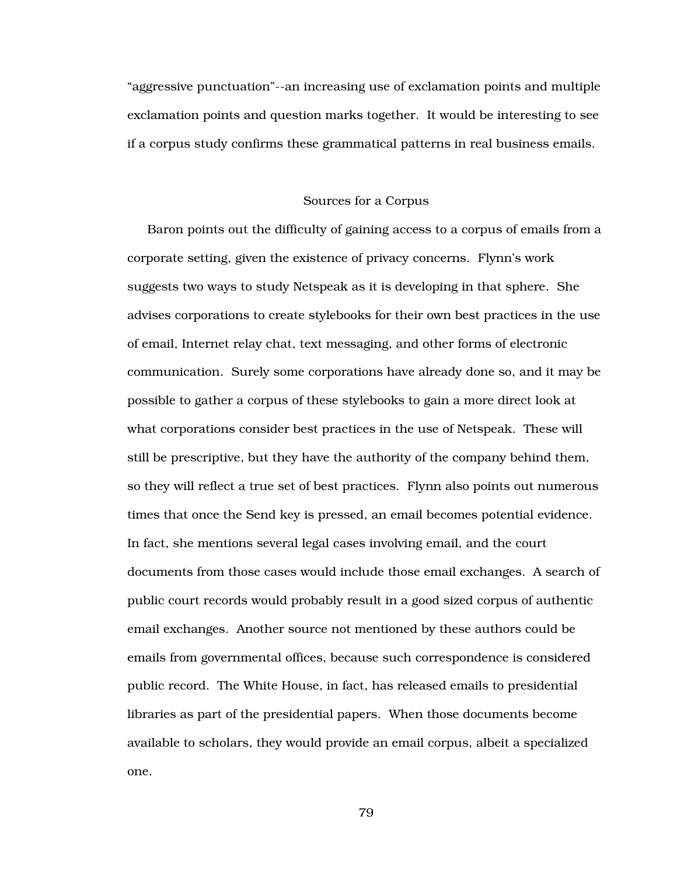"aggressive punctuation"--an increasing use of exclamation points and multiple exclamation points and question marks together. It would be interesting to see if a corpus study confirms these grammatical patterns in real business emails.

### Sources for a Corpus

Baron points out the difficulty of gaining access to a corpus of emails from a corporate setting, given the existence of privacy concerns. Flynn's work suggests two ways to study Netspeak as it is developing in that sphere. She advises corporations to create stylebooks for their own best practices in the use of email, Internet relay chat, text messaging, and other forms of electronic communication. Surely some corporations have already done so, and it may be possible to gather a corpus of these stylebooks to gain a more direct look at what corporations consider best practices in the use of Netspeak. These will still be prescriptive, but they have the authority of the company behind them, so they will reflect a true set of best practices. Flynn also points out numerous times that once the Send key is pressed, an email becomes potential evidence. In fact, she mentions several legal cases involving email, and the court documents from those cases would include those email exchanges. A search of public court records would probably result in a good sized corpus of authentic email exchanges. Another source not mentioned by these authors could be emails from governmental offices, because such correspondence is considered public record. The White House, in fact, has released emails to presidential libraries as part of the presidential papers. When those documents become available to scholars, they would provide an email corpus, albeit a specialized one.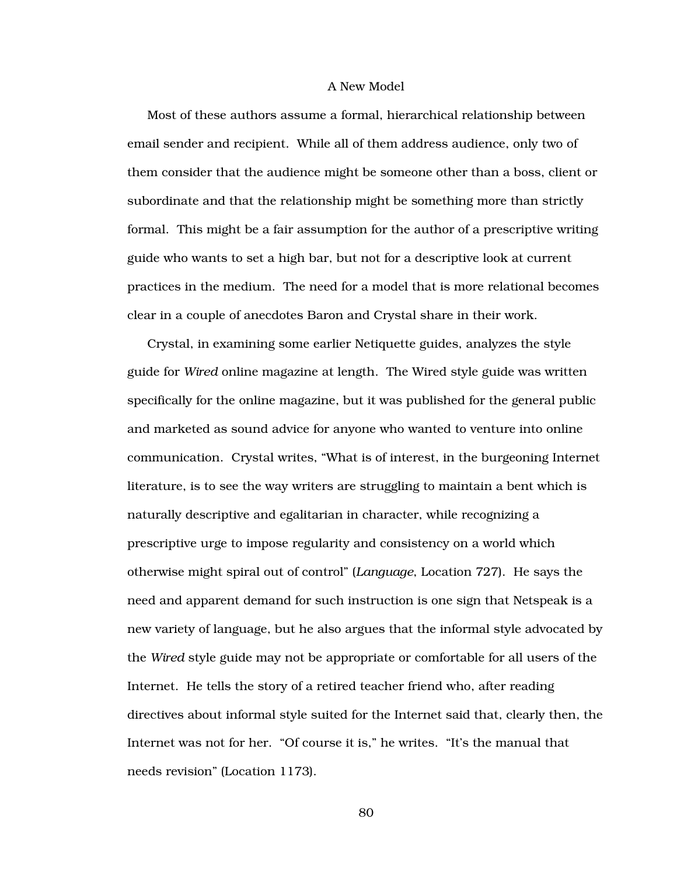## A New Model

Most of these authors assume a formal, hierarchical relationship between email sender and recipient. While all of them address audience, only two of them consider that the audience might be someone other than a boss, client or subordinate and that the relationship might be something more than strictly formal. This might be a fair assumption for the author of a prescriptive writing guide who wants to set a high bar, but not for a descriptive look at current practices in the medium. The need for a model that is more relational becomes clear in a couple of anecdotes Baron and Crystal share in their work.

Crystal, in examining some earlier Netiquette guides, analyzes the style guide for *Wired* online magazine at length. The Wired style guide was written specifically for the online magazine, but it was published for the general public and marketed as sound advice for anyone who wanted to venture into online communication. Crystal writes, "What is of interest, in the burgeoning Internet literature, is to see the way writers are struggling to maintain a bent which is naturally descriptive and egalitarian in character, while recognizing a prescriptive urge to impose regularity and consistency on a world which otherwise might spiral out of control" (*Language*, Location 727). He says the need and apparent demand for such instruction is one sign that Netspeak is a new variety of language, but he also argues that the informal style advocated by the *Wired* style guide may not be appropriate or comfortable for all users of the Internet. He tells the story of a retired teacher friend who, after reading directives about informal style suited for the Internet said that, clearly then, the Internet was not for her. "Of course it is," he writes. "It's the manual that needs revision" (Location 1173).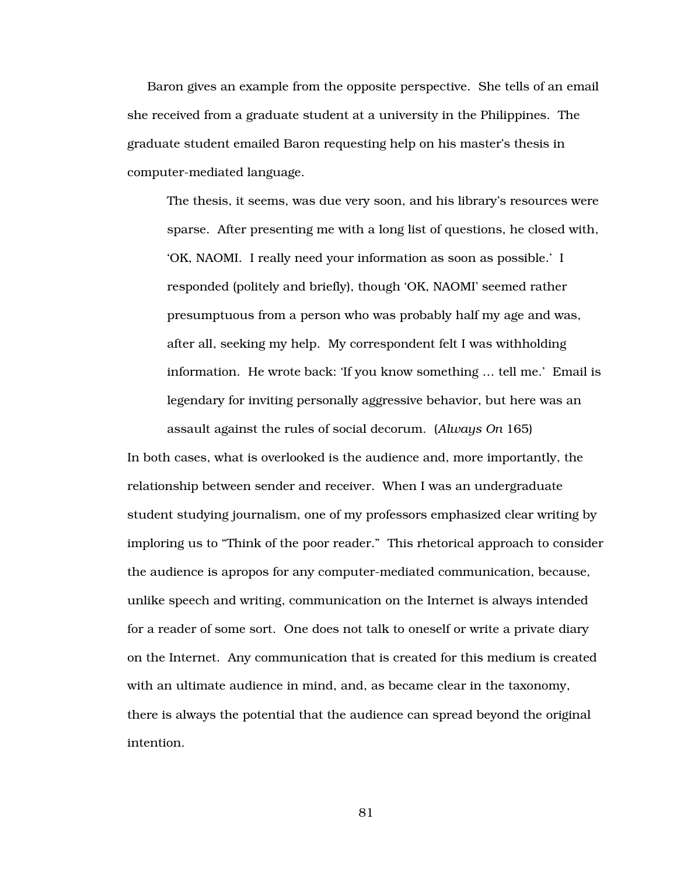Baron gives an example from the opposite perspective. She tells of an email she received from a graduate student at a university in the Philippines. The graduate student emailed Baron requesting help on his master's thesis in computer-mediated language.

The thesis, it seems, was due very soon, and his library's resources were sparse. After presenting me with a long list of questions, he closed with, 'OK, NAOMI. I really need your information as soon as possible.' I responded (politely and briefly), though 'OK, NAOMI' seemed rather presumptuous from a person who was probably half my age and was, after all, seeking my help. My correspondent felt I was withholding information. He wrote back: 'If you know something … tell me.' Email is legendary for inviting personally aggressive behavior, but here was an assault against the rules of social decorum. (*Always On* 165)

In both cases, what is overlooked is the audience and, more importantly, the relationship between sender and receiver. When I was an undergraduate student studying journalism, one of my professors emphasized clear writing by imploring us to "Think of the poor reader." This rhetorical approach to consider the audience is apropos for any computer-mediated communication, because, unlike speech and writing, communication on the Internet is always intended for a reader of some sort. One does not talk to oneself or write a private diary on the Internet. Any communication that is created for this medium is created with an ultimate audience in mind, and, as became clear in the taxonomy, there is always the potential that the audience can spread beyond the original intention.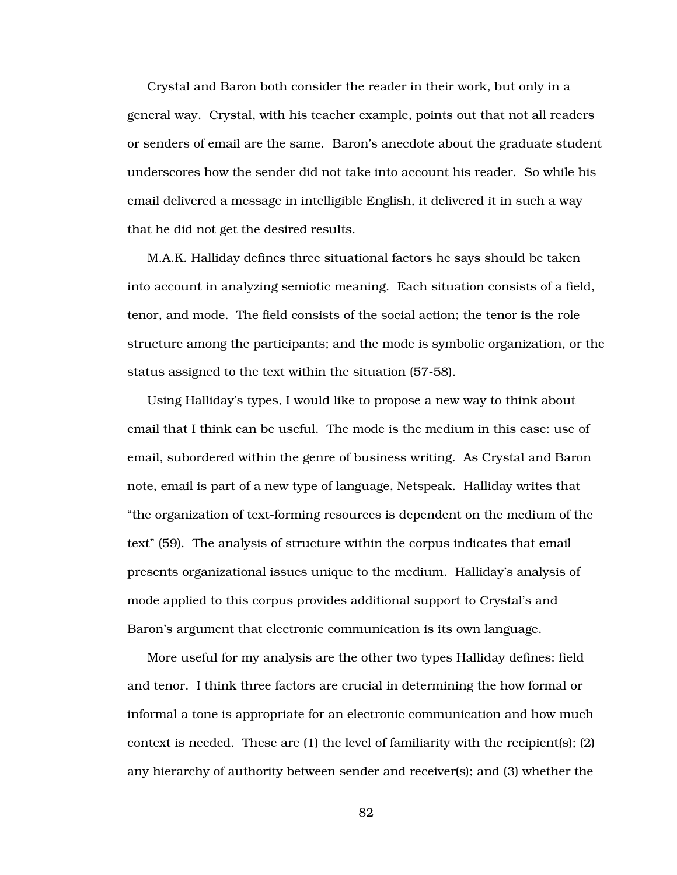Crystal and Baron both consider the reader in their work, but only in a general way. Crystal, with his teacher example, points out that not all readers or senders of email are the same. Baron's anecdote about the graduate student underscores how the sender did not take into account his reader. So while his email delivered a message in intelligible English, it delivered it in such a way that he did not get the desired results.

M.A.K. Halliday defines three situational factors he says should be taken into account in analyzing semiotic meaning. Each situation consists of a field, tenor, and mode. The field consists of the social action; the tenor is the role structure among the participants; and the mode is symbolic organization, or the status assigned to the text within the situation (57-58).

Using Halliday's types, I would like to propose a new way to think about email that I think can be useful. The mode is the medium in this case: use of email, subordered within the genre of business writing. As Crystal and Baron note, email is part of a new type of language, Netspeak. Halliday writes that "the organization of text-forming resources is dependent on the medium of the text" (59). The analysis of structure within the corpus indicates that email presents organizational issues unique to the medium. Halliday's analysis of mode applied to this corpus provides additional support to Crystal's and Baron's argument that electronic communication is its own language.

More useful for my analysis are the other two types Halliday defines: field and tenor. I think three factors are crucial in determining the how formal or informal a tone is appropriate for an electronic communication and how much context is needed. These are  $(1)$  the level of familiarity with the recipient(s);  $(2)$ any hierarchy of authority between sender and receiver(s); and (3) whether the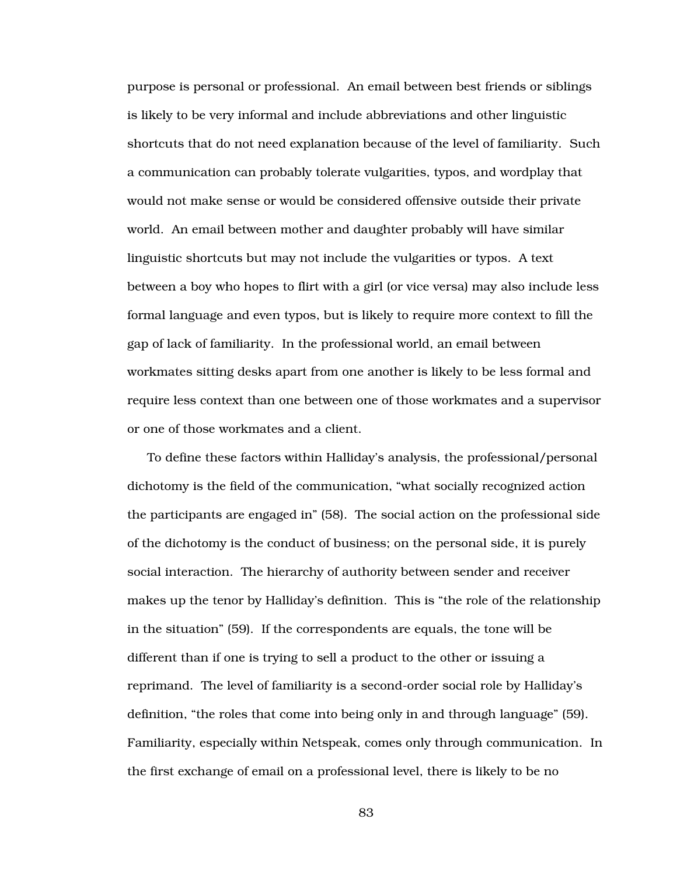purpose is personal or professional. An email between best friends or siblings is likely to be very informal and include abbreviations and other linguistic shortcuts that do not need explanation because of the level of familiarity. Such a communication can probably tolerate vulgarities, typos, and wordplay that would not make sense or would be considered offensive outside their private world. An email between mother and daughter probably will have similar linguistic shortcuts but may not include the vulgarities or typos. A text between a boy who hopes to flirt with a girl (or vice versa) may also include less formal language and even typos, but is likely to require more context to fill the gap of lack of familiarity. In the professional world, an email between workmates sitting desks apart from one another is likely to be less formal and require less context than one between one of those workmates and a supervisor or one of those workmates and a client.

To define these factors within Halliday's analysis, the professional/personal dichotomy is the field of the communication, "what socially recognized action the participants are engaged in" (58). The social action on the professional side of the dichotomy is the conduct of business; on the personal side, it is purely social interaction. The hierarchy of authority between sender and receiver makes up the tenor by Halliday's definition. This is "the role of the relationship in the situation" (59). If the correspondents are equals, the tone will be different than if one is trying to sell a product to the other or issuing a reprimand. The level of familiarity is a second-order social role by Halliday's definition, "the roles that come into being only in and through language" (59). Familiarity, especially within Netspeak, comes only through communication. In the first exchange of email on a professional level, there is likely to be no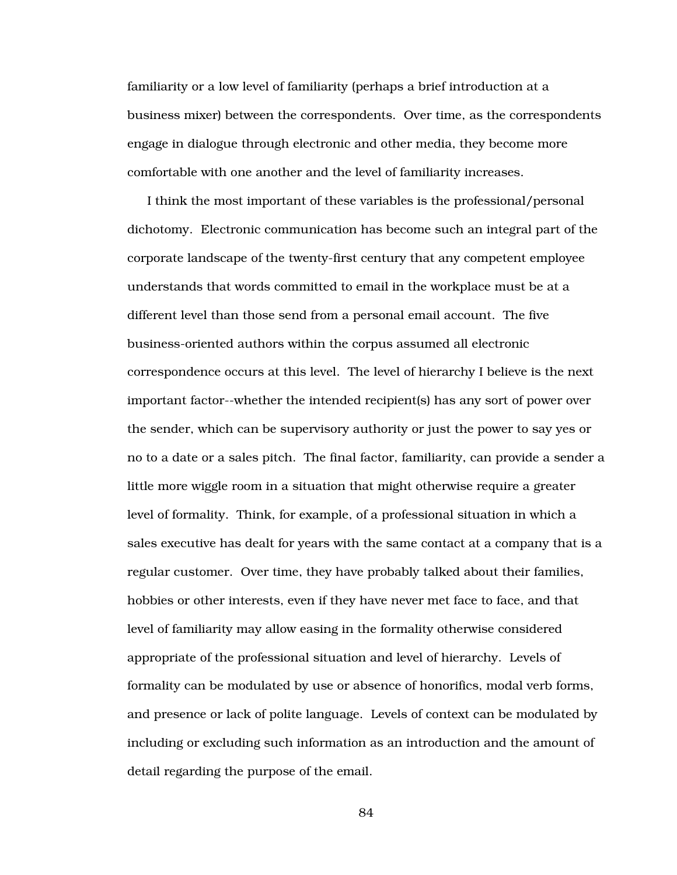familiarity or a low level of familiarity (perhaps a brief introduction at a business mixer) between the correspondents. Over time, as the correspondents engage in dialogue through electronic and other media, they become more comfortable with one another and the level of familiarity increases.

I think the most important of these variables is the professional/personal dichotomy. Electronic communication has become such an integral part of the corporate landscape of the twenty-first century that any competent employee understands that words committed to email in the workplace must be at a different level than those send from a personal email account. The five business-oriented authors within the corpus assumed all electronic correspondence occurs at this level. The level of hierarchy I believe is the next important factor--whether the intended recipient(s) has any sort of power over the sender, which can be supervisory authority or just the power to say yes or no to a date or a sales pitch. The final factor, familiarity, can provide a sender a little more wiggle room in a situation that might otherwise require a greater level of formality. Think, for example, of a professional situation in which a sales executive has dealt for years with the same contact at a company that is a regular customer. Over time, they have probably talked about their families, hobbies or other interests, even if they have never met face to face, and that level of familiarity may allow easing in the formality otherwise considered appropriate of the professional situation and level of hierarchy. Levels of formality can be modulated by use or absence of honorifics, modal verb forms, and presence or lack of polite language. Levels of context can be modulated by including or excluding such information as an introduction and the amount of detail regarding the purpose of the email.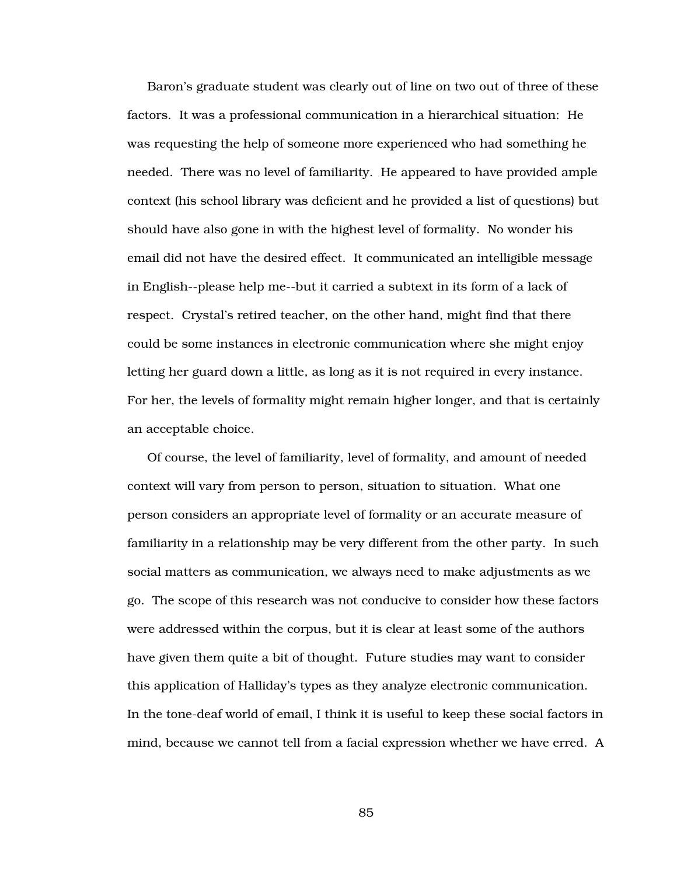Baron's graduate student was clearly out of line on two out of three of these factors. It was a professional communication in a hierarchical situation: He was requesting the help of someone more experienced who had something he needed. There was no level of familiarity. He appeared to have provided ample context (his school library was deficient and he provided a list of questions) but should have also gone in with the highest level of formality. No wonder his email did not have the desired effect. It communicated an intelligible message in English--please help me--but it carried a subtext in its form of a lack of respect. Crystal's retired teacher, on the other hand, might find that there could be some instances in electronic communication where she might enjoy letting her guard down a little, as long as it is not required in every instance. For her, the levels of formality might remain higher longer, and that is certainly an acceptable choice.

Of course, the level of familiarity, level of formality, and amount of needed context will vary from person to person, situation to situation. What one person considers an appropriate level of formality or an accurate measure of familiarity in a relationship may be very different from the other party. In such social matters as communication, we always need to make adjustments as we go. The scope of this research was not conducive to consider how these factors were addressed within the corpus, but it is clear at least some of the authors have given them quite a bit of thought. Future studies may want to consider this application of Halliday's types as they analyze electronic communication. In the tone-deaf world of email, I think it is useful to keep these social factors in mind, because we cannot tell from a facial expression whether we have erred. A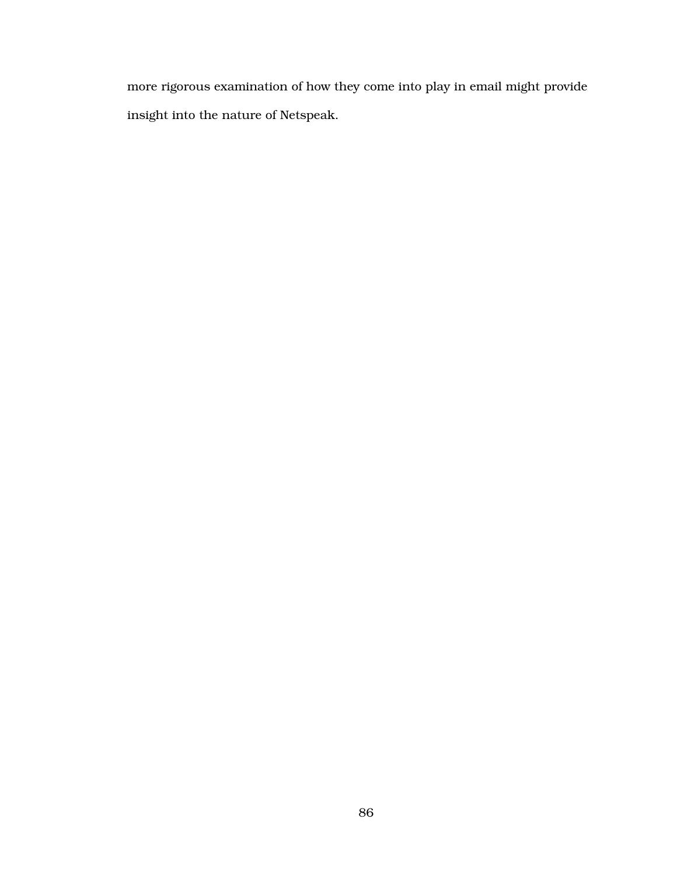more rigorous examination of how they come into play in email might provide insight into the nature of Netspeak.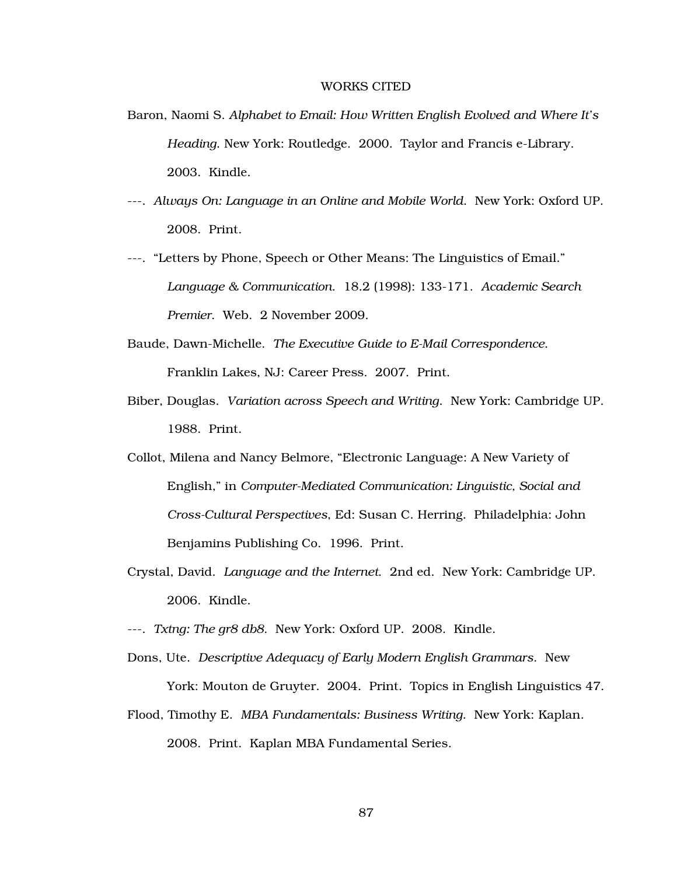### WORKS CITED

- Baron, Naomi S. *Alphabet to Email: How Written English Evolved and Where It's Heading*. New York: Routledge. 2000. Taylor and Francis e-Library. 2003. Kindle.
- ---. *Always On: Language in an Online and Mobile World*. New York: Oxford UP. 2008. Print.
- ---. "Letters by Phone, Speech or Other Means: The Linguistics of Email." *Language & Communication*. 18.2 (1998): 133-171. *Academic Search Premier*. Web. 2 November 2009.
- Baude, Dawn-Michelle. *The Executive Guide to E-Mail Correspondence*. Franklin Lakes, NJ: Career Press. 2007. Print.
- Biber, Douglas. *Variation across Speech and Writing*. New York: Cambridge UP. 1988. Print.
- Collot, Milena and Nancy Belmore, "Electronic Language: A New Variety of English," in *Computer-Mediated Communication: Linguistic, Social and Cross-Cultural Perspectives*, Ed: Susan C. Herring. Philadelphia: John Benjamins Publishing Co. 1996. Print.
- Crystal, David. *Language and the Internet*. 2nd ed. New York: Cambridge UP. 2006. Kindle.
- ---. *Txtng: The gr8 db8*. New York: Oxford UP. 2008. Kindle.
- Dons, Ute. *Descriptive Adequacy of Early Modern English Grammars*. New York: Mouton de Gruyter. 2004. Print. Topics in English Linguistics 47.
- Flood, Timothy E. *MBA Fundamentals: Business Writing*. New York: Kaplan. 2008. Print. Kaplan MBA Fundamental Series.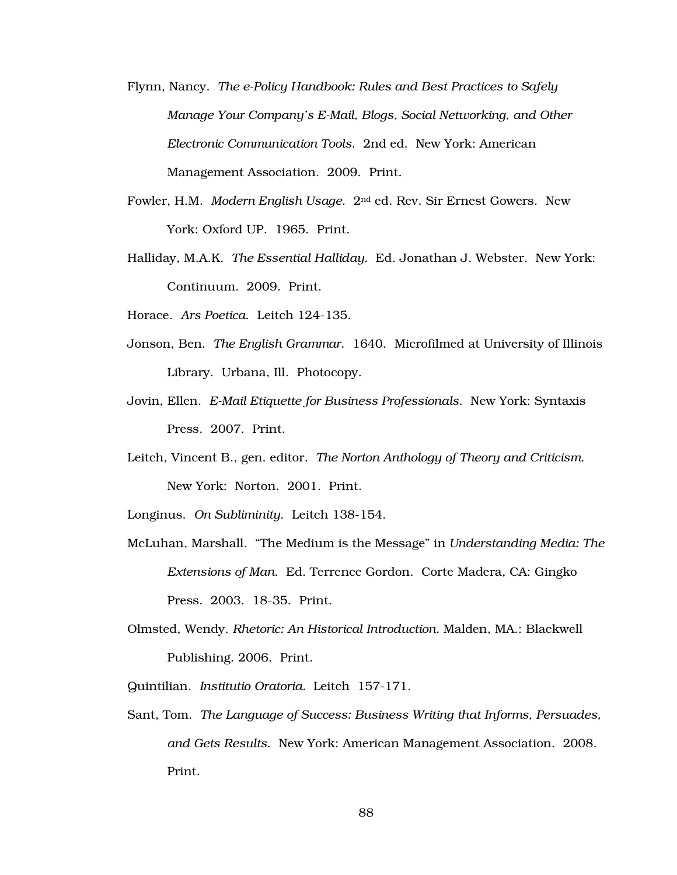- Flynn, Nancy. *The e-Policy Handbook: Rules and Best Practices to Safely Manage Your Company's E-Mail, Blogs, Social Networking, and Other Electronic Communication Tools*. 2nd ed. New York: American Management Association. 2009. Print.
- Fowler, H.M. *Modern English Usage*. 2nd ed. Rev. Sir Ernest Gowers. New York: Oxford UP. 1965. Print.
- Halliday, M.A.K. *The Essential Halliday.* Ed. Jonathan J. Webster. New York: Continuum. 2009. Print.
- Horace. *Ars Poetica*. Leitch 124-135.
- Jonson, Ben. *The English Grammar*. 1640. Microfilmed at University of Illinois Library. Urbana, Ill. Photocopy.
- Jovin, Ellen. *E-Mail Etiquette for Business Professionals*. New York: Syntaxis Press. 2007. Print.
- Leitch, Vincent B., gen. editor. *The Norton Anthology of Theory and Criticism.*  New York: Norton. 2001. Print.
- Longinus. *On Subliminity*. Leitch 138-154.
- McLuhan, Marshall. "The Medium is the Message" in *Understanding Media: The Extensions of Man*. Ed. Terrence Gordon. Corte Madera, CA: Gingko Press. 2003. 18-35. Print.
- Olmsted, Wendy. *Rhetoric: An Historical Introduction.* Malden, MA.: Blackwell Publishing. 2006. Print.
- Quintilian. *Institutio Oratoria.* Leitch 157-171.
- Sant, Tom. *The Language of Success: Business Writing that Informs, Persuades, and Gets Results*. New York: American Management Association. 2008. Print.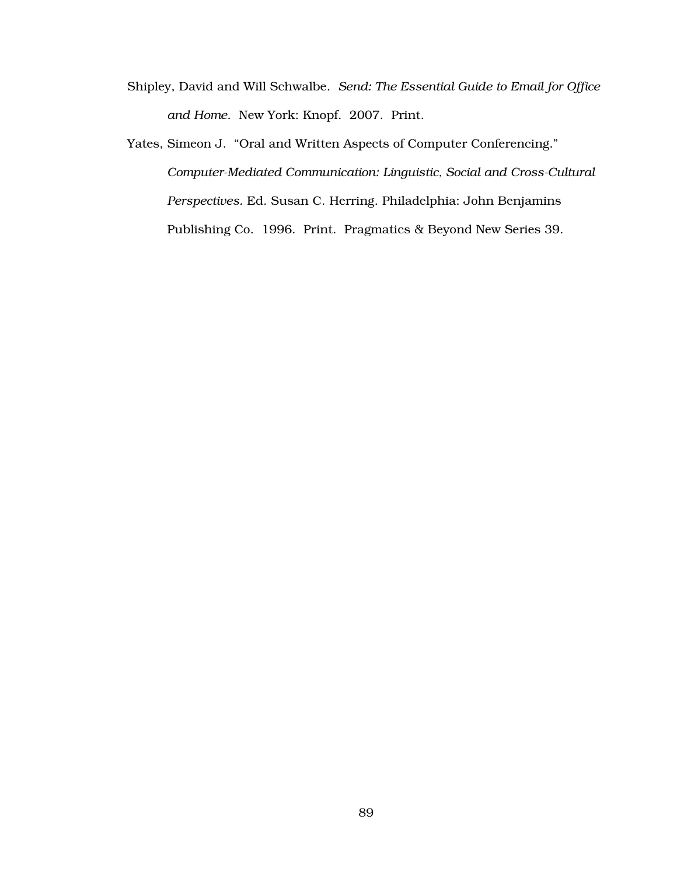- Shipley, David and Will Schwalbe. *Send: The Essential Guide to Email for Office and Home*. New York: Knopf. 2007. Print.
- Yates, Simeon J. "Oral and Written Aspects of Computer Conferencing." *Computer-Mediated Communication: Linguistic, Social and Cross-Cultural Perspectives.* Ed. Susan C. Herring. Philadelphia: John Benjamins Publishing Co. 1996. Print. Pragmatics & Beyond New Series 39.